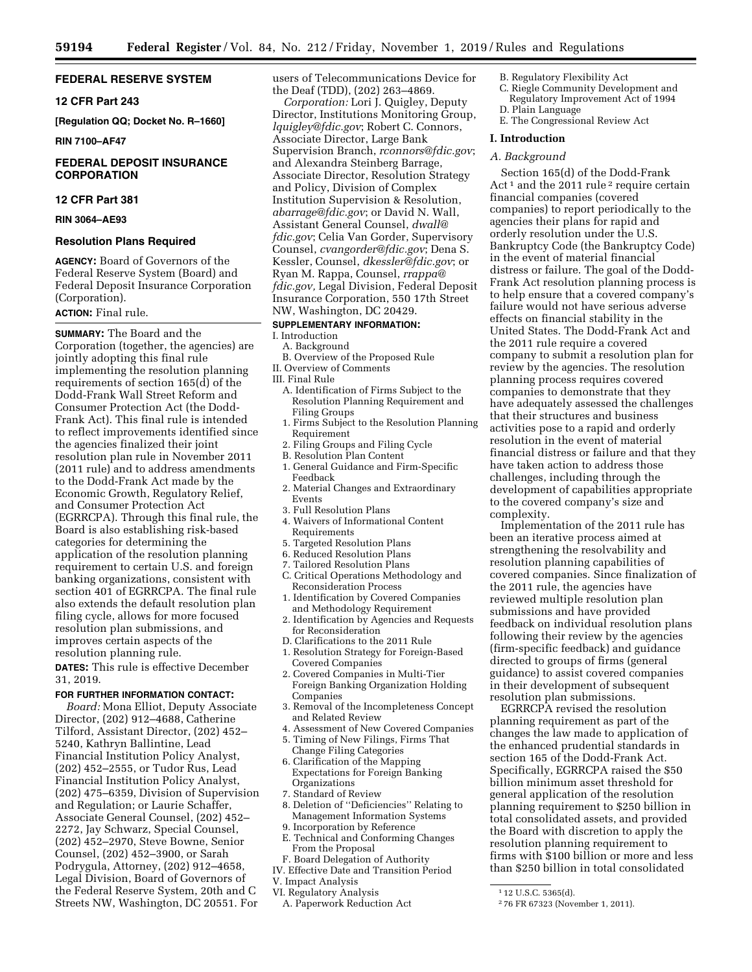# **FEDERAL RESERVE SYSTEM**

# **12 CFR Part 243**

**[Regulation QQ; Docket No. R–1660]** 

# **RIN 7100–AF47**

# **FEDERAL DEPOSIT INSURANCE CORPORATION**

#### **12 CFR Part 381**

**RIN 3064–AE93** 

# **Resolution Plans Required**

**AGENCY:** Board of Governors of the Federal Reserve System (Board) and Federal Deposit Insurance Corporation (Corporation).

# **ACTION:** Final rule.

**SUMMARY:** The Board and the Corporation (together, the agencies) are jointly adopting this final rule implementing the resolution planning requirements of section  $165(\overline{d})$  of the Dodd-Frank Wall Street Reform and Consumer Protection Act (the Dodd-Frank Act). This final rule is intended to reflect improvements identified since the agencies finalized their joint resolution plan rule in November 2011 (2011 rule) and to address amendments to the Dodd-Frank Act made by the Economic Growth, Regulatory Relief, and Consumer Protection Act (EGRRCPA). Through this final rule, the Board is also establishing risk-based categories for determining the application of the resolution planning requirement to certain U.S. and foreign banking organizations, consistent with section 401 of EGRRCPA. The final rule also extends the default resolution plan filing cycle, allows for more focused resolution plan submissions, and improves certain aspects of the resolution planning rule.

**DATES:** This rule is effective December 31, 2019.

# **FOR FURTHER INFORMATION CONTACT:**

*Board:* Mona Elliot, Deputy Associate Director, (202) 912–4688, Catherine Tilford, Assistant Director, (202) 452– 5240, Kathryn Ballintine, Lead Financial Institution Policy Analyst, (202) 452–2555, or Tudor Rus, Lead Financial Institution Policy Analyst, (202) 475–6359, Division of Supervision and Regulation; or Laurie Schaffer, Associate General Counsel, (202) 452– 2272, Jay Schwarz, Special Counsel, (202) 452–2970, Steve Bowne, Senior Counsel, (202) 452–3900, or Sarah Podrygula, Attorney, (202) 912–4658, Legal Division, Board of Governors of the Federal Reserve System, 20th and C Streets NW, Washington, DC 20551. For

users of Telecommunications Device for the Deaf (TDD), (202) 263–4869.

*Corporation:* Lori J. Quigley, Deputy Director, Institutions Monitoring Group, *[lquigley@fdic.gov](mailto:lquigley@fdic.gov)*; Robert C. Connors, Associate Director, Large Bank Supervision Branch, *[rconnors@fdic.gov](mailto:rconnors@fdic.gov)*; and Alexandra Steinberg Barrage, Associate Director, Resolution Strategy and Policy, Division of Complex Institution Supervision & Resolution, *[abarrage@fdic.gov](mailto:abarrage@fdic.gov)*; or David N. Wall, Assistant General Counsel, *[dwall@](mailto:dwall@fdic.gov) [fdic.gov](mailto:dwall@fdic.gov)*; Celia Van Gorder, Supervisory Counsel, *[cvangorder@fdic.gov](mailto:cvangorder@fdic.gov)*; Dena S. Kessler, Counsel, *[dkessler@fdic.gov](mailto:dkessler@fdic.gov)*; or Ryan M. Rappa, Counsel, *[rrappa@](mailto:rrappa@fdic.gov) [fdic.gov,](mailto:rrappa@fdic.gov)* Legal Division, Federal Deposit Insurance Corporation, 550 17th Street NW, Washington, DC 20429.

# **SUPPLEMENTARY INFORMATION:**

# I. Introduction

- A. Background B. Overview of the Proposed Rule
- II. Overview of Comments
- III. Final Rule
- A. Identification of Firms Subject to the Resolution Planning Requirement and Filing Groups
- 1. Firms Subject to the Resolution Planning Requirement
- 2. Filing Groups and Filing Cycle
- B. Resolution Plan Content
- 1. General Guidance and Firm-Specific Feedback
- 2. Material Changes and Extraordinary Events
- 3. Full Resolution Plans
- 4. Waivers of Informational Content Requirements
- 5. Targeted Resolution Plans
- 6. Reduced Resolution Plans
- 7. Tailored Resolution Plans
- C. Critical Operations Methodology and Reconsideration Process
- 1. Identification by Covered Companies
- and Methodology Requirement 2. Identification by Agencies and Requests for Reconsideration
- D. Clarifications to the 2011 Rule
- 1. Resolution Strategy for Foreign-Based Covered Companies
- 2. Covered Companies in Multi-Tier Foreign Banking Organization Holding Companies
- 3. Removal of the Incompleteness Concept and Related Review
- 4. Assessment of New Covered Companies
- 5. Timing of New Filings, Firms That Change Filing Categories
- 6. Clarification of the Mapping Expectations for Foreign Banking Organizations
- 7. Standard of Review
- 8. Deletion of ''Deficiencies'' Relating to Management Information Systems
- 9. Incorporation by Reference
- E. Technical and Conforming Changes From the Proposal
- F. Board Delegation of Authority
- IV. Effective Date and Transition Period
- V. Impact Analysis
- VI. Regulatory Analysis
- A. Paperwork Reduction Act
- B. Regulatory Flexibility Act
	- C. Riegle Community Development and Regulatory Improvement Act of 1994 D. Plain Language
	-
	- E. The Congressional Review Act

# **I. Introduction**

# *A. Background*

Section 165(d) of the Dodd-Frank Act<sup>1</sup> and the 2011 rule<sup>2</sup> require certain financial companies (covered companies) to report periodically to the agencies their plans for rapid and orderly resolution under the U.S. Bankruptcy Code (the Bankruptcy Code) in the event of material financial distress or failure. The goal of the Dodd-Frank Act resolution planning process is to help ensure that a covered company's failure would not have serious adverse effects on financial stability in the United States. The Dodd-Frank Act and the 2011 rule require a covered company to submit a resolution plan for review by the agencies. The resolution planning process requires covered companies to demonstrate that they have adequately assessed the challenges that their structures and business activities pose to a rapid and orderly resolution in the event of material financial distress or failure and that they have taken action to address those challenges, including through the development of capabilities appropriate to the covered company's size and complexity.

Implementation of the 2011 rule has been an iterative process aimed at strengthening the resolvability and resolution planning capabilities of covered companies. Since finalization of the 2011 rule, the agencies have reviewed multiple resolution plan submissions and have provided feedback on individual resolution plans following their review by the agencies (firm-specific feedback) and guidance directed to groups of firms (general guidance) to assist covered companies in their development of subsequent resolution plan submissions.

EGRRCPA revised the resolution planning requirement as part of the changes the law made to application of the enhanced prudential standards in section 165 of the Dodd-Frank Act. Specifically, EGRRCPA raised the \$50 billion minimum asset threshold for general application of the resolution planning requirement to \$250 billion in total consolidated assets, and provided the Board with discretion to apply the resolution planning requirement to firms with \$100 billion or more and less than \$250 billion in total consolidated

<sup>1</sup> 12 U.S.C. 5365(d).

<sup>2</sup> 76 FR 67323 (November 1, 2011).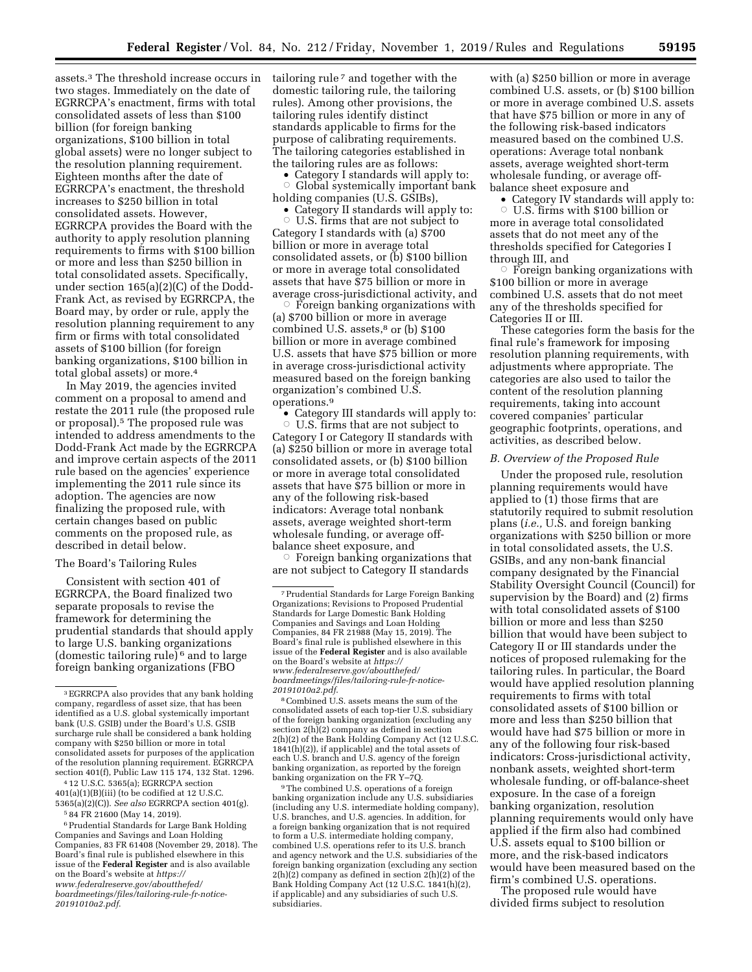assets.3 The threshold increase occurs in two stages. Immediately on the date of EGRRCPA's enactment, firms with total consolidated assets of less than \$100 billion (for foreign banking organizations, \$100 billion in total global assets) were no longer subject to the resolution planning requirement. Eighteen months after the date of EGRRCPA's enactment, the threshold increases to \$250 billion in total consolidated assets. However, EGRRCPA provides the Board with the authority to apply resolution planning requirements to firms with \$100 billion or more and less than \$250 billion in total consolidated assets. Specifically, under section 165(a)(2)(C) of the Dodd-Frank Act, as revised by EGRRCPA, the Board may, by order or rule, apply the resolution planning requirement to any firm or firms with total consolidated assets of \$100 billion (for foreign banking organizations, \$100 billion in total global assets) or more.<sup>4</sup>

In May 2019, the agencies invited comment on a proposal to amend and restate the 2011 rule (the proposed rule or proposal).5 The proposed rule was intended to address amendments to the Dodd-Frank Act made by the EGRRCPA and improve certain aspects of the 2011 rule based on the agencies' experience implementing the 2011 rule since its adoption. The agencies are now finalizing the proposed rule, with certain changes based on public comments on the proposed rule, as described in detail below.

# The Board's Tailoring Rules

Consistent with section 401 of EGRRCPA, the Board finalized two separate proposals to revise the framework for determining the prudential standards that should apply to large U.S. banking organizations (domestic tailoring rule) 6 and to large foreign banking organizations (FBO

6Prudential Standards for Large Bank Holding Companies and Savings and Loan Holding Companies, 83 FR 61408 (November 29, 2018). The Board's final rule is published elsewhere in this issue of the **Federal Register** and is also available on the Board's website at *[https://](https://www.federalreserve.gov/aboutthefed/boardmeetings/files/tailoring-rule-fr-notice-20191010a2.pdf) [www.federalreserve.gov/aboutthefed/](https://www.federalreserve.gov/aboutthefed/boardmeetings/files/tailoring-rule-fr-notice-20191010a2.pdf)  [boardmeetings/files/tailoring-rule-fr-notice-](https://www.federalreserve.gov/aboutthefed/boardmeetings/files/tailoring-rule-fr-notice-20191010a2.pdf)[20191010a2.pdf](https://www.federalreserve.gov/aboutthefed/boardmeetings/files/tailoring-rule-fr-notice-20191010a2.pdf)*.

tailoring rule 7 and together with the domestic tailoring rule, the tailoring rules). Among other provisions, the tailoring rules identify distinct standards applicable to firms for the purpose of calibrating requirements. The tailoring categories established in the tailoring rules are as follows:

• Category I standards will apply to: Global systemically important bank holding companies (U.S. GSIBs),

• Category II standards will apply to:  $\circ$  U.S. firms that are not subject to Category I standards with (a) \$700 billion or more in average total consolidated assets, or (b) \$100 billion or more in average total consolidated assets that have \$75 billion or more in average cross-jurisdictional activity, and

 $\dot{\circ}$  Foreign banking organizations with (a) \$700 billion or more in average combined U.S. assets,<sup>8</sup> or (b) \$100 billion or more in average combined U.S. assets that have \$75 billion or more in average cross-jurisdictional activity measured based on the foreign banking organization's combined U.S. operations.9

• Category III standards will apply to:  $\circ$  U.S. firms that are not subject to Category I or Category II standards with (a) \$250 billion or more in average total consolidated assets, or (b) \$100 billion or more in average total consolidated assets that have \$75 billion or more in any of the following risk-based indicators: Average total nonbank assets, average weighted short-term wholesale funding, or average offbalance sheet exposure, and

 $\circ$  Foreign banking organizations that are not subject to Category II standards

9The combined U.S. operations of a foreign banking organization include any U.S. subsidiaries (including any U.S. intermediate holding company), U.S. branches, and U.S. agencies. In addition, for a foreign banking organization that is not required to form a U.S. intermediate holding company, combined U.S. operations refer to its U.S. branch and agency network and the U.S. subsidiaries of the foreign banking organization (excluding any section  $2(h)(2)$  company as defined in section  $2(h)(2)$  of the Bank Holding Company Act (12 U.S.C. 1841(h)(2), if applicable) and any subsidiaries of such U.S. subsidiaries.

with (a) \$250 billion or more in average combined U.S. assets, or (b) \$100 billion or more in average combined U.S. assets that have \$75 billion or more in any of the following risk-based indicators measured based on the combined U.S. operations: Average total nonbank assets, average weighted short-term wholesale funding, or average offbalance sheet exposure and

• Category IV standards will apply to:  $\circ$  U.S. firms with \$100 billion or more in average total consolidated assets that do not meet any of the thresholds specified for Categories I through III, and

 $\circ$  Foreign banking organizations with \$100 billion or more in average combined U.S. assets that do not meet any of the thresholds specified for Categories II or III.

These categories form the basis for the final rule's framework for imposing resolution planning requirements, with adjustments where appropriate. The categories are also used to tailor the content of the resolution planning requirements, taking into account covered companies' particular geographic footprints, operations, and activities, as described below.

# *B. Overview of the Proposed Rule*

Under the proposed rule, resolution planning requirements would have applied to (1) those firms that are statutorily required to submit resolution plans (*i.e.,* U.S. and foreign banking organizations with \$250 billion or more in total consolidated assets, the U.S. GSIBs, and any non-bank financial company designated by the Financial Stability Oversight Council (Council) for supervision by the Board) and (2) firms with total consolidated assets of \$100 billion or more and less than \$250 billion that would have been subject to Category II or III standards under the notices of proposed rulemaking for the tailoring rules. In particular, the Board would have applied resolution planning requirements to firms with total consolidated assets of \$100 billion or more and less than \$250 billion that would have had \$75 billion or more in any of the following four risk-based indicators: Cross-jurisdictional activity, nonbank assets, weighted short-term wholesale funding, or off-balance-sheet exposure. In the case of a foreign banking organization, resolution planning requirements would only have applied if the firm also had combined U.S. assets equal to \$100 billion or more, and the risk-based indicators would have been measured based on the firm's combined U.S. operations.

The proposed rule would have divided firms subject to resolution

<sup>3</sup>EGRRCPA also provides that any bank holding company, regardless of asset size, that has been identified as a U.S. global systemically important bank (U.S. GSIB) under the Board's U.S. GSIB surcharge rule shall be considered a bank holding company with \$250 billion or more in total consolidated assets for purposes of the application of the resolution planning requirement. EGRRCPA section 401(f), Public Law 115 174, 132 Stat. 1296.

<sup>4</sup> 12 U.S.C. 5365(a); EGRRCPA section 401(a)(1)(B)(iii) (to be codified at 12 U.S.C. 5365(a)(2)(C)). *See also* EGRRCPA section 401(g).

<sup>5</sup> 84 FR 21600 (May 14, 2019).

<sup>7</sup>Prudential Standards for Large Foreign Banking Organizations; Revisions to Proposed Prudential Standards for Large Domestic Bank Holding Companies and Savings and Loan Holding Companies, 84 FR 21988 (May 15, 2019). The Board's final rule is published elsewhere in this issue of the **Federal Register** and is also available on the Board's website at *[https://](https://www.federalreserve.gov/aboutthefed/boardmeetings/files/tailoring-rule-fr-notice-20191010a2.pdf) [www.federalreserve.gov/aboutthefed/](https://www.federalreserve.gov/aboutthefed/boardmeetings/files/tailoring-rule-fr-notice-20191010a2.pdf)  [boardmeetings/files/tailoring-rule-fr-notice-](https://www.federalreserve.gov/aboutthefed/boardmeetings/files/tailoring-rule-fr-notice-20191010a2.pdf)[20191010a2.pdf](https://www.federalreserve.gov/aboutthefed/boardmeetings/files/tailoring-rule-fr-notice-20191010a2.pdf)*. 8Combined U.S. assets means the sum of the

consolidated assets of each top-tier U.S. subsidiary of the foreign banking organization (excluding any section 2(h)(2) company as defined in section 2(h)(2) of the Bank Holding Company Act (12 U.S.C. 1841(h)(2)), if applicable) and the total assets of each U.S. branch and U.S. agency of the foreign banking organization, as reported by the foreign banking organization on the FR Y–7Q.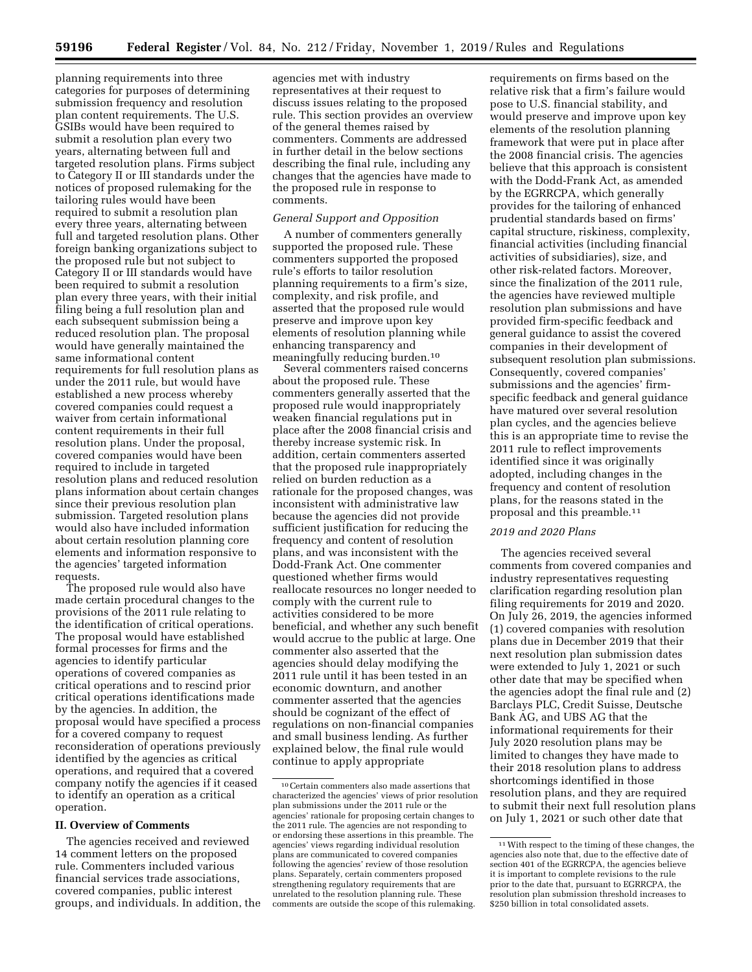planning requirements into three categories for purposes of determining submission frequency and resolution plan content requirements. The U.S. GSIBs would have been required to submit a resolution plan every two years, alternating between full and targeted resolution plans. Firms subject to Category II or III standards under the notices of proposed rulemaking for the tailoring rules would have been required to submit a resolution plan every three years, alternating between full and targeted resolution plans. Other foreign banking organizations subject to the proposed rule but not subject to Category II or III standards would have been required to submit a resolution plan every three years, with their initial filing being a full resolution plan and each subsequent submission being a reduced resolution plan. The proposal would have generally maintained the same informational content requirements for full resolution plans as under the 2011 rule, but would have established a new process whereby covered companies could request a waiver from certain informational content requirements in their full resolution plans. Under the proposal, covered companies would have been required to include in targeted resolution plans and reduced resolution plans information about certain changes since their previous resolution plan submission. Targeted resolution plans would also have included information about certain resolution planning core elements and information responsive to the agencies' targeted information requests.

The proposed rule would also have made certain procedural changes to the provisions of the 2011 rule relating to the identification of critical operations. The proposal would have established formal processes for firms and the agencies to identify particular operations of covered companies as critical operations and to rescind prior critical operations identifications made by the agencies. In addition, the proposal would have specified a process for a covered company to request reconsideration of operations previously identified by the agencies as critical operations, and required that a covered company notify the agencies if it ceased to identify an operation as a critical operation.

#### **II. Overview of Comments**

The agencies received and reviewed 14 comment letters on the proposed rule. Commenters included various financial services trade associations, covered companies, public interest groups, and individuals. In addition, the

agencies met with industry representatives at their request to discuss issues relating to the proposed rule. This section provides an overview of the general themes raised by commenters. Comments are addressed in further detail in the below sections describing the final rule, including any changes that the agencies have made to the proposed rule in response to comments.

# *General Support and Opposition*

A number of commenters generally supported the proposed rule. These commenters supported the proposed rule's efforts to tailor resolution planning requirements to a firm's size, complexity, and risk profile, and asserted that the proposed rule would preserve and improve upon key elements of resolution planning while enhancing transparency and meaningfully reducing burden.10

Several commenters raised concerns about the proposed rule. These commenters generally asserted that the proposed rule would inappropriately weaken financial regulations put in place after the 2008 financial crisis and thereby increase systemic risk. In addition, certain commenters asserted that the proposed rule inappropriately relied on burden reduction as a rationale for the proposed changes, was inconsistent with administrative law because the agencies did not provide sufficient justification for reducing the frequency and content of resolution plans, and was inconsistent with the Dodd-Frank Act. One commenter questioned whether firms would reallocate resources no longer needed to comply with the current rule to activities considered to be more beneficial, and whether any such benefit would accrue to the public at large. One commenter also asserted that the agencies should delay modifying the 2011 rule until it has been tested in an economic downturn, and another commenter asserted that the agencies should be cognizant of the effect of regulations on non-financial companies and small business lending. As further explained below, the final rule would continue to apply appropriate

requirements on firms based on the relative risk that a firm's failure would pose to U.S. financial stability, and would preserve and improve upon key elements of the resolution planning framework that were put in place after the 2008 financial crisis. The agencies believe that this approach is consistent with the Dodd-Frank Act, as amended by the EGRRCPA, which generally provides for the tailoring of enhanced prudential standards based on firms' capital structure, riskiness, complexity, financial activities (including financial activities of subsidiaries), size, and other risk-related factors. Moreover, since the finalization of the 2011 rule, the agencies have reviewed multiple resolution plan submissions and have provided firm-specific feedback and general guidance to assist the covered companies in their development of subsequent resolution plan submissions. Consequently, covered companies' submissions and the agencies' firmspecific feedback and general guidance have matured over several resolution plan cycles, and the agencies believe this is an appropriate time to revise the 2011 rule to reflect improvements identified since it was originally adopted, including changes in the frequency and content of resolution plans, for the reasons stated in the proposal and this preamble.11

# *2019 and 2020 Plans*

The agencies received several comments from covered companies and industry representatives requesting clarification regarding resolution plan filing requirements for 2019 and 2020. On July 26, 2019, the agencies informed (1) covered companies with resolution plans due in December 2019 that their next resolution plan submission dates were extended to July 1, 2021 or such other date that may be specified when the agencies adopt the final rule and (2) Barclays PLC, Credit Suisse, Deutsche Bank AG, and UBS AG that the informational requirements for their July 2020 resolution plans may be limited to changes they have made to their 2018 resolution plans to address shortcomings identified in those resolution plans, and they are required to submit their next full resolution plans on July 1, 2021 or such other date that

<sup>10</sup>Certain commenters also made assertions that characterized the agencies' views of prior resolution plan submissions under the 2011 rule or the agencies' rationale for proposing certain changes to the 2011 rule. The agencies are not responding to or endorsing these assertions in this preamble. The agencies' views regarding individual resolution plans are communicated to covered companies following the agencies' review of those resolution plans. Separately, certain commenters proposed strengthening regulatory requirements that are unrelated to the resolution planning rule. These comments are outside the scope of this rulemaking.

<sup>11</sup>With respect to the timing of these changes, the agencies also note that, due to the effective date of section 401 of the EGRRCPA, the agencies believe it is important to complete revisions to the rule prior to the date that, pursuant to EGRRCPA, the resolution plan submission threshold increases to \$250 billion in total consolidated assets.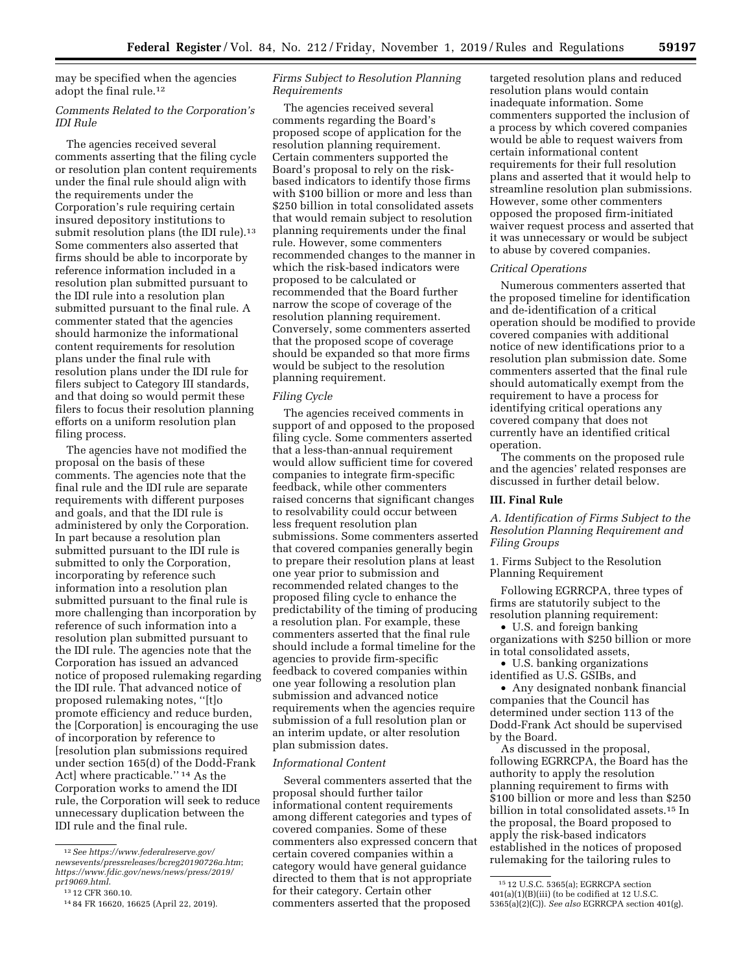may be specified when the agencies adopt the final rule.12

# *Comments Related to the Corporation's IDI Rule*

The agencies received several comments asserting that the filing cycle or resolution plan content requirements under the final rule should align with the requirements under the Corporation's rule requiring certain insured depository institutions to submit resolution plans (the IDI rule).<sup>13</sup> Some commenters also asserted that firms should be able to incorporate by reference information included in a resolution plan submitted pursuant to the IDI rule into a resolution plan submitted pursuant to the final rule. A commenter stated that the agencies should harmonize the informational content requirements for resolution plans under the final rule with resolution plans under the IDI rule for filers subject to Category III standards, and that doing so would permit these filers to focus their resolution planning efforts on a uniform resolution plan filing process.

The agencies have not modified the proposal on the basis of these comments. The agencies note that the final rule and the IDI rule are separate requirements with different purposes and goals, and that the IDI rule is administered by only the Corporation. In part because a resolution plan submitted pursuant to the IDI rule is submitted to only the Corporation, incorporating by reference such information into a resolution plan submitted pursuant to the final rule is more challenging than incorporation by reference of such information into a resolution plan submitted pursuant to the IDI rule. The agencies note that the Corporation has issued an advanced notice of proposed rulemaking regarding the IDI rule. That advanced notice of proposed rulemaking notes, ''[t]o promote efficiency and reduce burden, the [Corporation] is encouraging the use of incorporation by reference to [resolution plan submissions required under section 165(d) of the Dodd-Frank Act] where practicable.'' 14 As the Corporation works to amend the IDI rule, the Corporation will seek to reduce unnecessary duplication between the IDI rule and the final rule.

# *Firms Subject to Resolution Planning Requirements*

The agencies received several comments regarding the Board's proposed scope of application for the resolution planning requirement. Certain commenters supported the Board's proposal to rely on the riskbased indicators to identify those firms with \$100 billion or more and less than \$250 billion in total consolidated assets that would remain subject to resolution planning requirements under the final rule. However, some commenters recommended changes to the manner in which the risk-based indicators were proposed to be calculated or recommended that the Board further narrow the scope of coverage of the resolution planning requirement. Conversely, some commenters asserted that the proposed scope of coverage should be expanded so that more firms would be subject to the resolution planning requirement.

# *Filing Cycle*

The agencies received comments in support of and opposed to the proposed filing cycle. Some commenters asserted that a less-than-annual requirement would allow sufficient time for covered companies to integrate firm-specific feedback, while other commenters raised concerns that significant changes to resolvability could occur between less frequent resolution plan submissions. Some commenters asserted that covered companies generally begin to prepare their resolution plans at least one year prior to submission and recommended related changes to the proposed filing cycle to enhance the predictability of the timing of producing a resolution plan. For example, these commenters asserted that the final rule should include a formal timeline for the agencies to provide firm-specific feedback to covered companies within one year following a resolution plan submission and advanced notice requirements when the agencies require submission of a full resolution plan or an interim update, or alter resolution plan submission dates.

# *Informational Content*

Several commenters asserted that the proposal should further tailor informational content requirements among different categories and types of covered companies. Some of these commenters also expressed concern that certain covered companies within a category would have general guidance directed to them that is not appropriate for their category. Certain other commenters asserted that the proposed

targeted resolution plans and reduced resolution plans would contain inadequate information. Some commenters supported the inclusion of a process by which covered companies would be able to request waivers from certain informational content requirements for their full resolution plans and asserted that it would help to streamline resolution plan submissions. However, some other commenters opposed the proposed firm-initiated waiver request process and asserted that it was unnecessary or would be subject to abuse by covered companies.

#### *Critical Operations*

Numerous commenters asserted that the proposed timeline for identification and de-identification of a critical operation should be modified to provide covered companies with additional notice of new identifications prior to a resolution plan submission date. Some commenters asserted that the final rule should automatically exempt from the requirement to have a process for identifying critical operations any covered company that does not currently have an identified critical operation.

The comments on the proposed rule and the agencies' related responses are discussed in further detail below.

# **III. Final Rule**

*A. Identification of Firms Subject to the Resolution Planning Requirement and Filing Groups* 

1. Firms Subject to the Resolution Planning Requirement

Following EGRRCPA, three types of firms are statutorily subject to the resolution planning requirement:

• U.S. and foreign banking organizations with \$250 billion or more in total consolidated assets,

• U.S. banking organizations identified as U.S. GSIBs, and

• Any designated nonbank financial companies that the Council has determined under section 113 of the Dodd-Frank Act should be supervised by the Board.

As discussed in the proposal, following EGRRCPA, the Board has the authority to apply the resolution planning requirement to firms with \$100 billion or more and less than \$250 billion in total consolidated assets.15 In the proposal, the Board proposed to apply the risk-based indicators established in the notices of proposed rulemaking for the tailoring rules to

<sup>12</sup>*See [https://www.federalreserve.gov/](https://www.federalreserve.gov/newsevents/pressreleases/bcreg20190726a.htm)  [newsevents/pressreleases/bcreg20190726a.htm](https://www.federalreserve.gov/newsevents/pressreleases/bcreg20190726a.htm)*; *[https://www.fdic.gov/news/news/press/2019/](https://www.fdic.gov/news/news/press/2019/pr19069.html) [pr19069.html](https://www.fdic.gov/news/news/press/2019/pr19069.html)*.

<sup>13</sup> 12 CFR 360.10.

<sup>14</sup> 84 FR 16620, 16625 (April 22, 2019).

<sup>15</sup> 12 U.S.C. 5365(a); EGRRCPA section  $401(a)(1)(B)(iii)$  (to be codified at 12 U.S.C. 5365(a)(2)(C)). *See also* EGRRCPA section 401(g).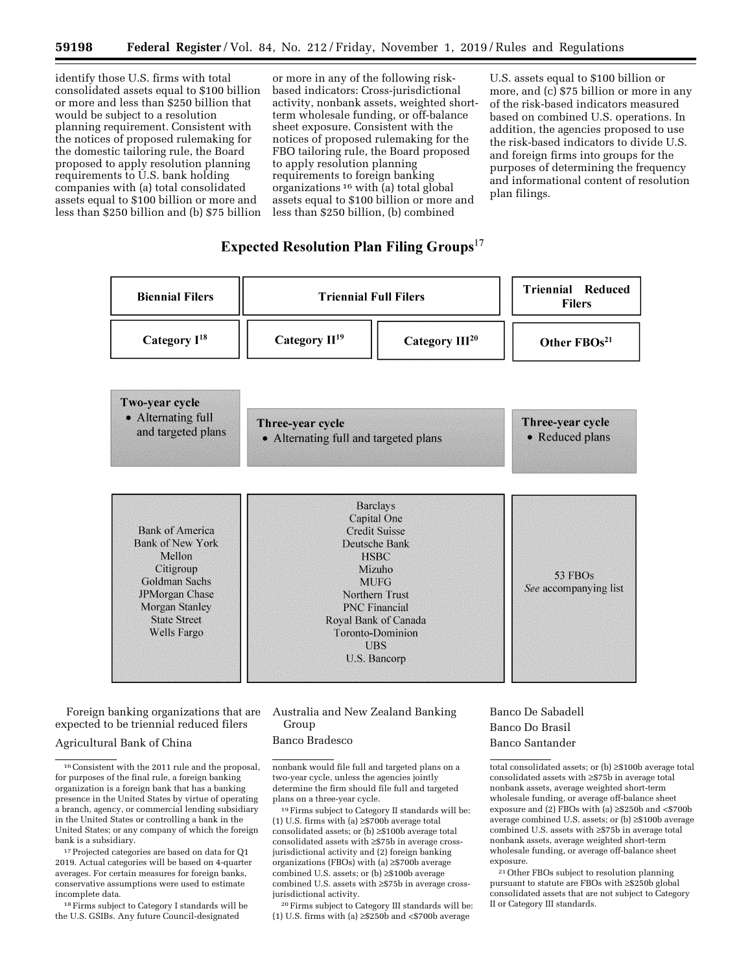identify those U.S. firms with total consolidated assets equal to \$100 billion or more and less than \$250 billion that would be subject to a resolution planning requirement. Consistent with the notices of proposed rulemaking for the domestic tailoring rule, the Board proposed to apply resolution planning requirements to U.S. bank holding companies with (a) total consolidated assets equal to \$100 billion or more and less than \$250 billion and (b) \$75 billion

or more in any of the following riskbased indicators: Cross-jurisdictional activity, nonbank assets, weighted shortterm wholesale funding, or off-balance sheet exposure. Consistent with the notices of proposed rulemaking for the FBO tailoring rule, the Board proposed to apply resolution planning requirements to foreign banking organizations  $16$  with (a) total global assets equal to \$100 billion or more and less than \$250 billion, (b) combined

U.S. assets equal to \$100 billion or more, and (c) \$75 billion or more in any of the risk-based indicators measured based on combined U.S. operations. In addition, the agencies proposed to use the risk-based indicators to divide U.S. and foreign firms into groups for the purposes of determining the frequency and informational content of resolution plan filings.

# **Expected Resolution Plan Filing Groups**<sup>17</sup>



Foreign banking organizations that are expected to be triennial reduced filers

# Agricultural Bank of China

18Firms subject to Category I standards will be the U.S. GSIBs. Any future Council-designated

Australia and New Zealand Banking Group

# Banco Bradesco

nonbank would file full and targeted plans on a two-year cycle, unless the agencies jointly determine the firm should file full and targeted plans on a three-year cycle.

19Firms subject to Category II standards will be: (1) U.S. firms with (a) ≥\$700b average total consolidated assets; or (b) ≥\$100b average total consolidated assets with ≥\$75b in average crossjurisdictional activity and (2) foreign banking organizations (FBOs) with (a) ≥\$700b average combined U.S. assets; or (b) ≥\$100b average combined U.S. assets with ≥\$75b in average crossjurisdictional activity.

20Firms subject to Category III standards will be: (1) U.S. firms with (a)  ${\geq}$  \$250b and <\$700b average

# Banco De Sabadell Banco Do Brasil Banco Santander

total consolidated assets; or (b) ≥\$100b average total consolidated assets with ≥\$75b in average total nonbank assets, average weighted short-term wholesale funding, or average off-balance sheet exposure and (2) FBOs with (a) ≥\$250b and <\$700b average combined U.S. assets; or (b) ≥\$100b average combined U.S. assets with ≥\$75b in average total nonbank assets, average weighted short-term wholesale funding, or average off-balance sheet exposure.

<sup>21</sup> Other FBOs subject to resolution planning pursuant to statute are FBOs with ≥\$250b global consolidated assets that are not subject to Category II or Category III standards.

<sup>16</sup>Consistent with the 2011 rule and the proposal, for purposes of the final rule, a foreign banking organization is a foreign bank that has a banking presence in the United States by virtue of operating a branch, agency, or commercial lending subsidiary in the United States or controlling a bank in the United States; or any company of which the foreign bank is a subsidiary.

<sup>&</sup>lt;sup>17</sup> Projected categories are based on data for Q1 2019. Actual categories will be based on 4-quarter averages. For certain measures for foreign banks, conservative assumptions were used to estimate incomplete data.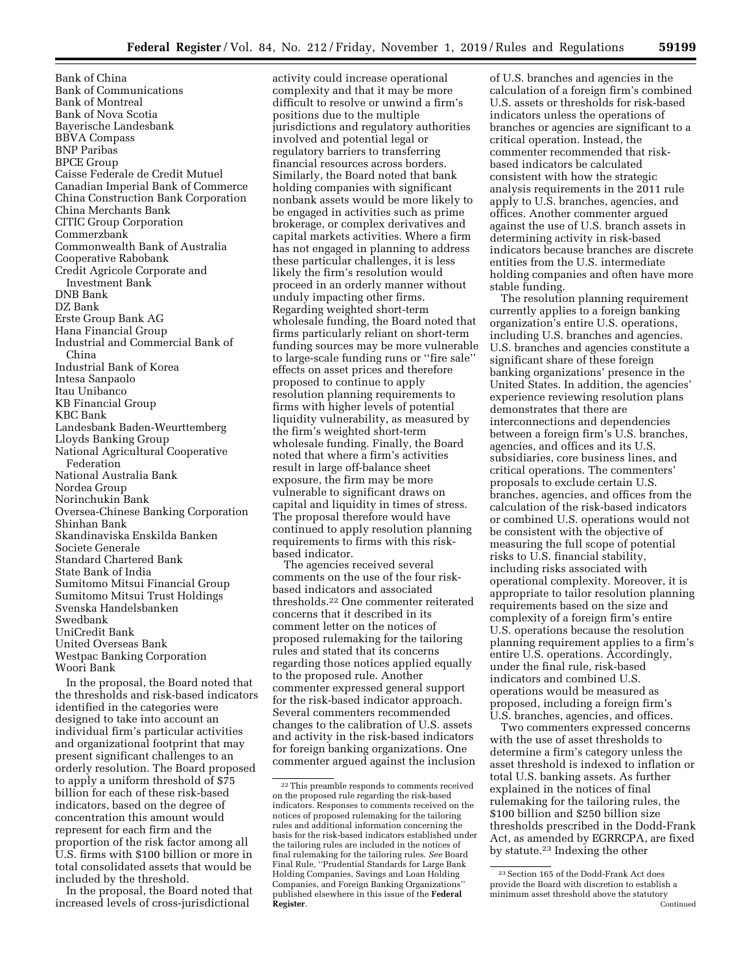Bank of China Bank of Communications Bank of Montreal Bank of Nova Scotia Bayerische Landesbank BBVA Compass BNP Paribas BPCE Group Caisse Federale de Credit Mutuel Canadian Imperial Bank of Commerce China Construction Bank Corporation China Merchants Bank CITIC Group Corporation Commerzbank Commonwealth Bank of Australia Cooperative Rabobank Credit Agricole Corporate and Investment Bank DNB Bank DZ Bank Erste Group Bank AG Hana Financial Group Industrial and Commercial Bank of China Industrial Bank of Korea Intesa Sanpaolo Itau Unibanco KB Financial Group KBC Bank Landesbank Baden-Weurttemberg Lloyds Banking Group National Agricultural Cooperative Federation National Australia Bank Nordea Group Norinchukin Bank Oversea-Chinese Banking Corporation Shinhan Bank Skandinaviska Enskilda Banken Societe Generale Standard Chartered Bank State Bank of India Sumitomo Mitsui Financial Group Sumitomo Mitsui Trust Holdings Svenska Handelsbanken Swedbank UniCredit Bank United Overseas Bank Westpac Banking Corporation Woori Bank

In the proposal, the Board noted that the thresholds and risk-based indicators identified in the categories were designed to take into account an individual firm's particular activities and organizational footprint that may present significant challenges to an orderly resolution. The Board proposed to apply a uniform threshold of \$75 billion for each of these risk-based indicators, based on the degree of concentration this amount would represent for each firm and the proportion of the risk factor among all U.S. firms with \$100 billion or more in total consolidated assets that would be included by the threshold.

In the proposal, the Board noted that increased levels of cross-jurisdictional

activity could increase operational complexity and that it may be more difficult to resolve or unwind a firm's positions due to the multiple jurisdictions and regulatory authorities involved and potential legal or regulatory barriers to transferring financial resources across borders. Similarly, the Board noted that bank holding companies with significant nonbank assets would be more likely to be engaged in activities such as prime brokerage, or complex derivatives and capital markets activities. Where a firm has not engaged in planning to address these particular challenges, it is less likely the firm's resolution would proceed in an orderly manner without unduly impacting other firms. Regarding weighted short-term wholesale funding, the Board noted that firms particularly reliant on short-term funding sources may be more vulnerable to large-scale funding runs or ''fire sale'' effects on asset prices and therefore proposed to continue to apply resolution planning requirements to firms with higher levels of potential liquidity vulnerability, as measured by the firm's weighted short-term wholesale funding. Finally, the Board noted that where a firm's activities result in large off-balance sheet exposure, the firm may be more vulnerable to significant draws on capital and liquidity in times of stress. The proposal therefore would have continued to apply resolution planning requirements to firms with this riskbased indicator.

The agencies received several comments on the use of the four riskbased indicators and associated thresholds.22 One commenter reiterated concerns that it described in its comment letter on the notices of proposed rulemaking for the tailoring rules and stated that its concerns regarding those notices applied equally to the proposed rule. Another commenter expressed general support for the risk-based indicator approach. Several commenters recommended changes to the calibration of U.S. assets and activity in the risk-based indicators for foreign banking organizations. One commenter argued against the inclusion of U.S. branches and agencies in the calculation of a foreign firm's combined U.S. assets or thresholds for risk-based indicators unless the operations of branches or agencies are significant to a critical operation. Instead, the commenter recommended that riskbased indicators be calculated consistent with how the strategic analysis requirements in the 2011 rule apply to U.S. branches, agencies, and offices. Another commenter argued against the use of U.S. branch assets in determining activity in risk-based indicators because branches are discrete entities from the U.S. intermediate holding companies and often have more stable funding.

The resolution planning requirement currently applies to a foreign banking organization's entire U.S. operations, including U.S. branches and agencies. U.S. branches and agencies constitute a significant share of these foreign banking organizations' presence in the United States. In addition, the agencies' experience reviewing resolution plans demonstrates that there are interconnections and dependencies between a foreign firm's U.S. branches, agencies, and offices and its U.S. subsidiaries, core business lines, and critical operations. The commenters' proposals to exclude certain U.S. branches, agencies, and offices from the calculation of the risk-based indicators or combined U.S. operations would not be consistent with the objective of measuring the full scope of potential risks to U.S. financial stability, including risks associated with operational complexity. Moreover, it is appropriate to tailor resolution planning requirements based on the size and complexity of a foreign firm's entire U.S. operations because the resolution planning requirement applies to a firm's entire U.S. operations. Accordingly, under the final rule, risk-based indicators and combined U.S. operations would be measured as proposed, including a foreign firm's U.S. branches, agencies, and offices.

Two commenters expressed concerns with the use of asset thresholds to determine a firm's category unless the asset threshold is indexed to inflation or total U.S. banking assets. As further explained in the notices of final rulemaking for the tailoring rules, the \$100 billion and \$250 billion size thresholds prescribed in the Dodd-Frank Act, as amended by EGRRCPA, are fixed by statute.23 Indexing the other

<sup>22</sup>This preamble responds to comments received on the proposed rule regarding the risk-based indicators. Responses to comments received on the notices of proposed rulemaking for the tailoring rules and additional information concerning the basis for the risk-based indicators established under the tailoring rules are included in the notices of final rulemaking for the tailoring rules. *See* Board Final Rule, ''Prudential Standards for Large Bank Holding Companies, Savings and Loan Holding Companies, and Foreign Banking Organizations'' published elsewhere in this issue of the **Federal Register**.

<sup>23</sup>Section 165 of the Dodd-Frank Act does provide the Board with discretion to establish a minimum asset threshold above the statutory **Continued**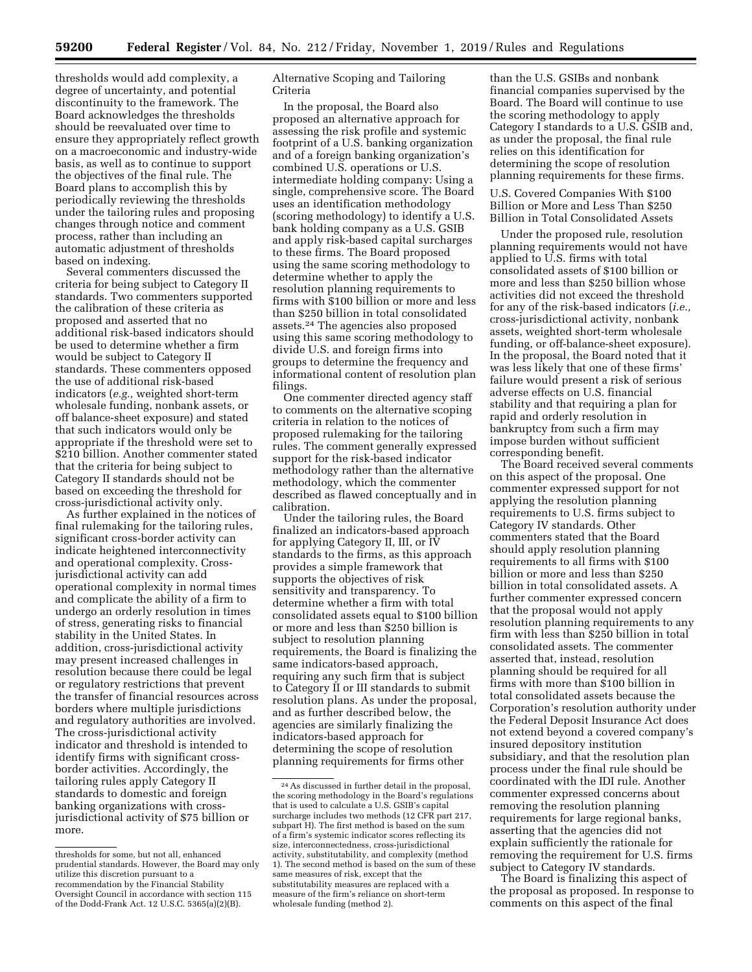thresholds would add complexity, a degree of uncertainty, and potential discontinuity to the framework. The Board acknowledges the thresholds should be reevaluated over time to ensure they appropriately reflect growth on a macroeconomic and industry-wide basis, as well as to continue to support the objectives of the final rule. The Board plans to accomplish this by periodically reviewing the thresholds under the tailoring rules and proposing changes through notice and comment process, rather than including an automatic adjustment of thresholds based on indexing.

Several commenters discussed the criteria for being subject to Category II standards. Two commenters supported the calibration of these criteria as proposed and asserted that no additional risk-based indicators should be used to determine whether a firm would be subject to Category II standards. These commenters opposed the use of additional risk-based indicators (*e.g.,* weighted short-term wholesale funding, nonbank assets, or off balance-sheet exposure) and stated that such indicators would only be appropriate if the threshold were set to \$210 billion. Another commenter stated that the criteria for being subject to Category II standards should not be based on exceeding the threshold for cross-jurisdictional activity only.

As further explained in the notices of final rulemaking for the tailoring rules, significant cross-border activity can indicate heightened interconnectivity and operational complexity. Crossjurisdictional activity can add operational complexity in normal times and complicate the ability of a firm to undergo an orderly resolution in times of stress, generating risks to financial stability in the United States. In addition, cross-jurisdictional activity may present increased challenges in resolution because there could be legal or regulatory restrictions that prevent the transfer of financial resources across borders where multiple jurisdictions and regulatory authorities are involved. The cross-jurisdictional activity indicator and threshold is intended to identify firms with significant crossborder activities. Accordingly, the tailoring rules apply Category II standards to domestic and foreign banking organizations with crossjurisdictional activity of \$75 billion or more.

Alternative Scoping and Tailoring Criteria

In the proposal, the Board also proposed an alternative approach for assessing the risk profile and systemic footprint of a U.S. banking organization and of a foreign banking organization's combined U.S. operations or U.S. intermediate holding company: Using a single, comprehensive score. The Board uses an identification methodology (scoring methodology) to identify a U.S. bank holding company as a U.S. GSIB and apply risk-based capital surcharges to these firms. The Board proposed using the same scoring methodology to determine whether to apply the resolution planning requirements to firms with \$100 billion or more and less than \$250 billion in total consolidated assets.24 The agencies also proposed using this same scoring methodology to divide U.S. and foreign firms into groups to determine the frequency and informational content of resolution plan filings.

One commenter directed agency staff to comments on the alternative scoping criteria in relation to the notices of proposed rulemaking for the tailoring rules. The comment generally expressed support for the risk-based indicator methodology rather than the alternative methodology, which the commenter described as flawed conceptually and in calibration.

Under the tailoring rules, the Board finalized an indicators-based approach for applying Category II, III, or IV standards to the firms, as this approach provides a simple framework that supports the objectives of risk sensitivity and transparency. To determine whether a firm with total consolidated assets equal to \$100 billion or more and less than \$250 billion is subject to resolution planning requirements, the Board is finalizing the same indicators-based approach, requiring any such firm that is subject to Category II or III standards to submit resolution plans. As under the proposal, and as further described below, the agencies are similarly finalizing the indicators-based approach for determining the scope of resolution planning requirements for firms other

than the U.S. GSIBs and nonbank financial companies supervised by the Board. The Board will continue to use the scoring methodology to apply Category I standards to a U.S. GSIB and, as under the proposal, the final rule relies on this identification for determining the scope of resolution planning requirements for these firms.

U.S. Covered Companies With \$100 Billion or More and Less Than \$250 Billion in Total Consolidated Assets

Under the proposed rule, resolution planning requirements would not have applied to U.S. firms with total consolidated assets of \$100 billion or more and less than \$250 billion whose activities did not exceed the threshold for any of the risk-based indicators (*i.e.,*  cross-jurisdictional activity, nonbank assets, weighted short-term wholesale funding, or off-balance-sheet exposure). In the proposal, the Board noted that it was less likely that one of these firms' failure would present a risk of serious adverse effects on U.S. financial stability and that requiring a plan for rapid and orderly resolution in bankruptcy from such a firm may impose burden without sufficient corresponding benefit.

The Board received several comments on this aspect of the proposal. One commenter expressed support for not applying the resolution planning requirements to U.S. firms subject to Category IV standards. Other commenters stated that the Board should apply resolution planning requirements to all firms with \$100 billion or more and less than \$250 billion in total consolidated assets. A further commenter expressed concern that the proposal would not apply resolution planning requirements to any firm with less than \$250 billion in total consolidated assets. The commenter asserted that, instead, resolution planning should be required for all firms with more than \$100 billion in total consolidated assets because the Corporation's resolution authority under the Federal Deposit Insurance Act does not extend beyond a covered company's insured depository institution subsidiary, and that the resolution plan process under the final rule should be coordinated with the IDI rule. Another commenter expressed concerns about removing the resolution planning requirements for large regional banks, asserting that the agencies did not explain sufficiently the rationale for removing the requirement for U.S. firms subject to Category IV standards.

The Board is finalizing this aspect of the proposal as proposed. In response to comments on this aspect of the final

thresholds for some, but not all, enhanced prudential standards. However, the Board may only utilize this discretion pursuant to a recommendation by the Financial Stability Oversight Council in accordance with section 115 of the Dodd-Frank Act. 12 U.S.C. 5365(a)(2)(B).

<sup>24</sup>As discussed in further detail in the proposal, the scoring methodology in the Board's regulations that is used to calculate a U.S. GSIB's capital surcharge includes two methods (12 CFR part 217, subpart H). The first method is based on the sum of a firm's systemic indicator scores reflecting its size, interconnectedness, cross-jurisdictional activity, substitutability, and complexity (method 1). The second method is based on the sum of these same measures of risk, except that the substitutability measures are replaced with a measure of the firm's reliance on short-term wholesale funding (method 2).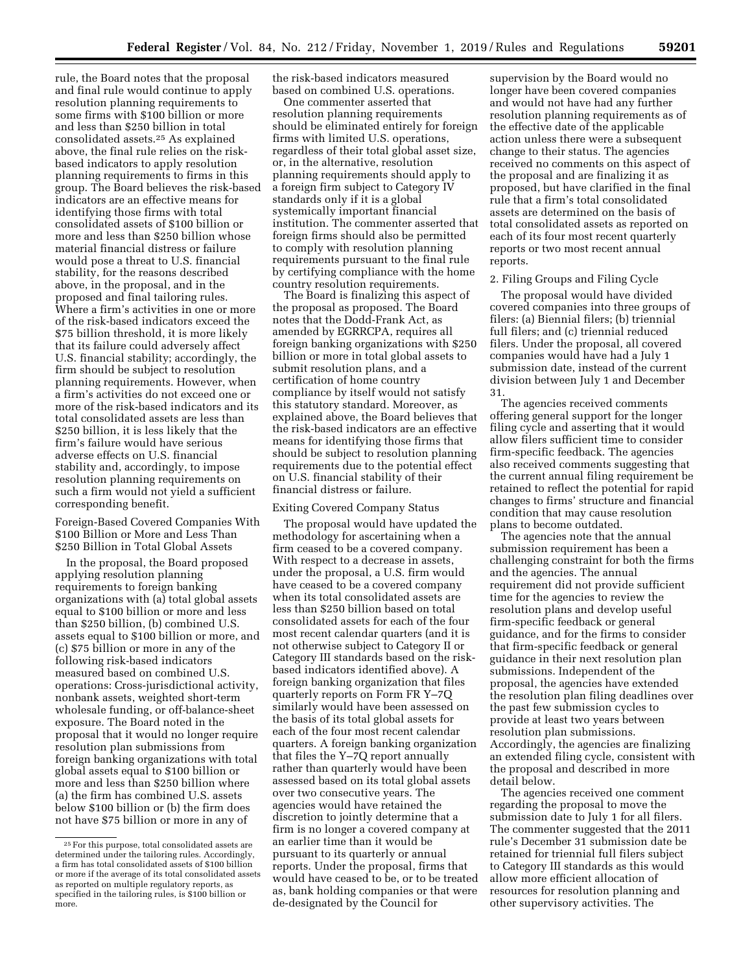rule, the Board notes that the proposal and final rule would continue to apply resolution planning requirements to some firms with \$100 billion or more and less than \$250 billion in total consolidated assets.25 As explained above, the final rule relies on the riskbased indicators to apply resolution planning requirements to firms in this group. The Board believes the risk-based indicators are an effective means for identifying those firms with total consolidated assets of \$100 billion or more and less than \$250 billion whose material financial distress or failure would pose a threat to U.S. financial stability, for the reasons described above, in the proposal, and in the proposed and final tailoring rules. Where a firm's activities in one or more of the risk-based indicators exceed the \$75 billion threshold, it is more likely that its failure could adversely affect U.S. financial stability; accordingly, the firm should be subject to resolution planning requirements. However, when a firm's activities do not exceed one or more of the risk-based indicators and its total consolidated assets are less than \$250 billion, it is less likely that the firm's failure would have serious adverse effects on U.S. financial stability and, accordingly, to impose resolution planning requirements on such a firm would not yield a sufficient corresponding benefit.

Foreign-Based Covered Companies With \$100 Billion or More and Less Than \$250 Billion in Total Global Assets

In the proposal, the Board proposed applying resolution planning requirements to foreign banking organizations with (a) total global assets equal to \$100 billion or more and less than \$250 billion, (b) combined U.S. assets equal to \$100 billion or more, and (c) \$75 billion or more in any of the following risk-based indicators measured based on combined U.S. operations: Cross-jurisdictional activity, nonbank assets, weighted short-term wholesale funding, or off-balance-sheet exposure. The Board noted in the proposal that it would no longer require resolution plan submissions from foreign banking organizations with total global assets equal to \$100 billion or more and less than \$250 billion where (a) the firm has combined U.S. assets below \$100 billion or (b) the firm does not have \$75 billion or more in any of

the risk-based indicators measured based on combined U.S. operations.

One commenter asserted that resolution planning requirements should be eliminated entirely for foreign firms with limited U.S. operations, regardless of their total global asset size, or, in the alternative, resolution planning requirements should apply to a foreign firm subject to Category IV standards only if it is a global systemically important financial institution. The commenter asserted that foreign firms should also be permitted to comply with resolution planning requirements pursuant to the final rule by certifying compliance with the home country resolution requirements.

The Board is finalizing this aspect of the proposal as proposed. The Board notes that the Dodd-Frank Act, as amended by EGRRCPA, requires all foreign banking organizations with \$250 billion or more in total global assets to submit resolution plans, and a certification of home country compliance by itself would not satisfy this statutory standard. Moreover, as explained above, the Board believes that the risk-based indicators are an effective means for identifying those firms that should be subject to resolution planning requirements due to the potential effect on U.S. financial stability of their financial distress or failure.

## Exiting Covered Company Status

The proposal would have updated the methodology for ascertaining when a firm ceased to be a covered company. With respect to a decrease in assets, under the proposal, a U.S. firm would have ceased to be a covered company when its total consolidated assets are less than \$250 billion based on total consolidated assets for each of the four most recent calendar quarters (and it is not otherwise subject to Category II or Category III standards based on the riskbased indicators identified above). A foreign banking organization that files quarterly reports on Form FR Y–7Q similarly would have been assessed on the basis of its total global assets for each of the four most recent calendar quarters. A foreign banking organization that files the Y–7Q report annually rather than quarterly would have been assessed based on its total global assets over two consecutive years. The agencies would have retained the discretion to jointly determine that a firm is no longer a covered company at an earlier time than it would be pursuant to its quarterly or annual reports. Under the proposal, firms that would have ceased to be, or to be treated as, bank holding companies or that were de-designated by the Council for

supervision by the Board would no longer have been covered companies and would not have had any further resolution planning requirements as of the effective date of the applicable action unless there were a subsequent change to their status. The agencies received no comments on this aspect of the proposal and are finalizing it as proposed, but have clarified in the final rule that a firm's total consolidated assets are determined on the basis of total consolidated assets as reported on each of its four most recent quarterly reports or two most recent annual reports.

# 2. Filing Groups and Filing Cycle

The proposal would have divided covered companies into three groups of filers: (a) Biennial filers; (b) triennial full filers; and (c) triennial reduced filers. Under the proposal, all covered companies would have had a July 1 submission date, instead of the current division between July 1 and December 31.

The agencies received comments offering general support for the longer filing cycle and asserting that it would allow filers sufficient time to consider firm-specific feedback. The agencies also received comments suggesting that the current annual filing requirement be retained to reflect the potential for rapid changes to firms' structure and financial condition that may cause resolution plans to become outdated.

The agencies note that the annual submission requirement has been a challenging constraint for both the firms and the agencies. The annual requirement did not provide sufficient time for the agencies to review the resolution plans and develop useful firm-specific feedback or general guidance, and for the firms to consider that firm-specific feedback or general guidance in their next resolution plan submissions. Independent of the proposal, the agencies have extended the resolution plan filing deadlines over the past few submission cycles to provide at least two years between resolution plan submissions. Accordingly, the agencies are finalizing an extended filing cycle, consistent with the proposal and described in more detail below.

The agencies received one comment regarding the proposal to move the submission date to July 1 for all filers. The commenter suggested that the 2011 rule's December 31 submission date be retained for triennial full filers subject to Category III standards as this would allow more efficient allocation of resources for resolution planning and other supervisory activities. The

<sup>25</sup>For this purpose, total consolidated assets are determined under the tailoring rules. Accordingly, a firm has total consolidated assets of \$100 billion or more if the average of its total consolidated assets as reported on multiple regulatory reports, as specified in the tailoring rules, is \$100 billion or more.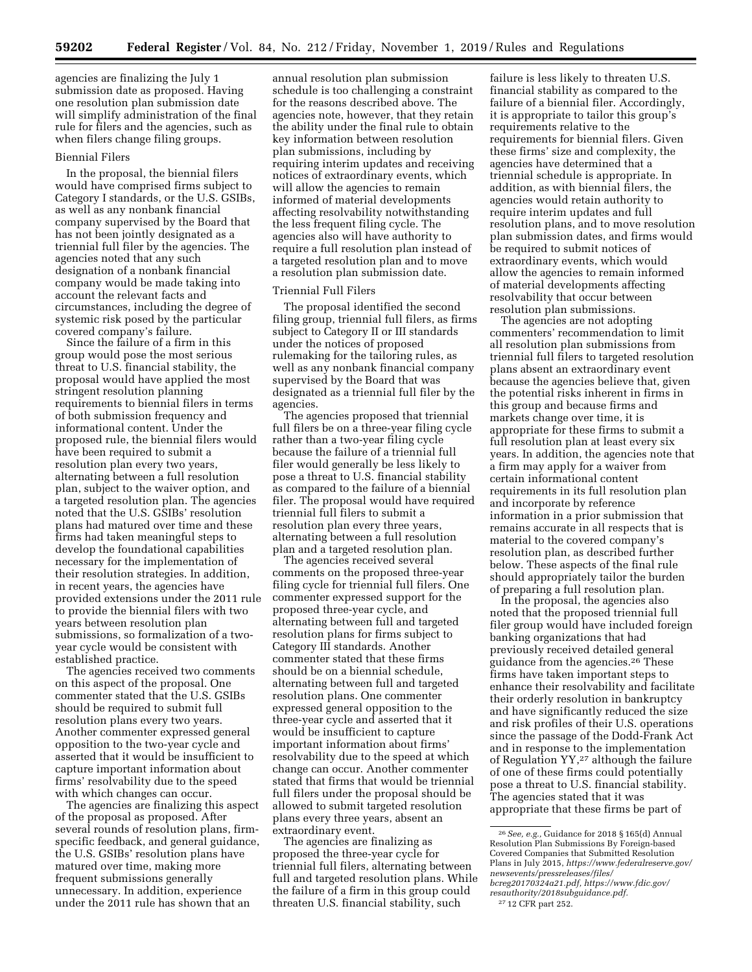agencies are finalizing the July 1 submission date as proposed. Having one resolution plan submission date will simplify administration of the final rule for filers and the agencies, such as when filers change filing groups.

#### Biennial Filers

In the proposal, the biennial filers would have comprised firms subject to Category I standards, or the U.S. GSIBs, as well as any nonbank financial company supervised by the Board that has not been jointly designated as a triennial full filer by the agencies. The agencies noted that any such designation of a nonbank financial company would be made taking into account the relevant facts and circumstances, including the degree of systemic risk posed by the particular covered company's failure.

Since the failure of a firm in this group would pose the most serious threat to U.S. financial stability, the proposal would have applied the most stringent resolution planning requirements to biennial filers in terms of both submission frequency and informational content. Under the proposed rule, the biennial filers would have been required to submit a resolution plan every two years, alternating between a full resolution plan, subject to the waiver option, and a targeted resolution plan. The agencies noted that the U.S. GSIBs' resolution plans had matured over time and these firms had taken meaningful steps to develop the foundational capabilities necessary for the implementation of their resolution strategies. In addition, in recent years, the agencies have provided extensions under the 2011 rule to provide the biennial filers with two years between resolution plan submissions, so formalization of a twoyear cycle would be consistent with established practice.

The agencies received two comments on this aspect of the proposal. One commenter stated that the U.S. GSIBs should be required to submit full resolution plans every two years. Another commenter expressed general opposition to the two-year cycle and asserted that it would be insufficient to capture important information about firms' resolvability due to the speed with which changes can occur.

The agencies are finalizing this aspect of the proposal as proposed. After several rounds of resolution plans, firmspecific feedback, and general guidance, the U.S. GSIBs' resolution plans have matured over time, making more frequent submissions generally unnecessary. In addition, experience under the 2011 rule has shown that an

annual resolution plan submission schedule is too challenging a constraint for the reasons described above. The agencies note, however, that they retain the ability under the final rule to obtain key information between resolution plan submissions, including by requiring interim updates and receiving notices of extraordinary events, which will allow the agencies to remain informed of material developments affecting resolvability notwithstanding the less frequent filing cycle. The agencies also will have authority to require a full resolution plan instead of a targeted resolution plan and to move a resolution plan submission date.

# Triennial Full Filers

The proposal identified the second filing group, triennial full filers, as firms subject to Category II or III standards under the notices of proposed rulemaking for the tailoring rules, as well as any nonbank financial company supervised by the Board that was designated as a triennial full filer by the agencies.

The agencies proposed that triennial full filers be on a three-year filing cycle rather than a two-year filing cycle because the failure of a triennial full filer would generally be less likely to pose a threat to U.S. financial stability as compared to the failure of a biennial filer. The proposal would have required triennial full filers to submit a resolution plan every three years, alternating between a full resolution plan and a targeted resolution plan.

The agencies received several comments on the proposed three-year filing cycle for triennial full filers. One commenter expressed support for the proposed three-year cycle, and alternating between full and targeted resolution plans for firms subject to Category III standards. Another commenter stated that these firms should be on a biennial schedule, alternating between full and targeted resolution plans. One commenter expressed general opposition to the three-year cycle and asserted that it would be insufficient to capture important information about firms' resolvability due to the speed at which change can occur. Another commenter stated that firms that would be triennial full filers under the proposal should be allowed to submit targeted resolution plans every three years, absent an extraordinary event.

The agencies are finalizing as proposed the three-year cycle for triennial full filers, alternating between full and targeted resolution plans. While the failure of a firm in this group could threaten U.S. financial stability, such

failure is less likely to threaten U.S. financial stability as compared to the failure of a biennial filer. Accordingly, it is appropriate to tailor this group's requirements relative to the requirements for biennial filers. Given these firms' size and complexity, the agencies have determined that a triennial schedule is appropriate. In addition, as with biennial filers, the agencies would retain authority to require interim updates and full resolution plans, and to move resolution plan submission dates, and firms would be required to submit notices of extraordinary events, which would allow the agencies to remain informed of material developments affecting resolvability that occur between resolution plan submissions.

The agencies are not adopting commenters' recommendation to limit all resolution plan submissions from triennial full filers to targeted resolution plans absent an extraordinary event because the agencies believe that, given the potential risks inherent in firms in this group and because firms and markets change over time, it is appropriate for these firms to submit a full resolution plan at least every six years. In addition, the agencies note that a firm may apply for a waiver from certain informational content requirements in its full resolution plan and incorporate by reference information in a prior submission that remains accurate in all respects that is material to the covered company's resolution plan, as described further below. These aspects of the final rule should appropriately tailor the burden of preparing a full resolution plan.

In the proposal, the agencies also noted that the proposed triennial full filer group would have included foreign banking organizations that had previously received detailed general guidance from the agencies.26 These firms have taken important steps to enhance their resolvability and facilitate their orderly resolution in bankruptcy and have significantly reduced the size and risk profiles of their U.S. operations since the passage of the Dodd-Frank Act and in response to the implementation of Regulation YY,27 although the failure of one of these firms could potentially pose a threat to U.S. financial stability. The agencies stated that it was appropriate that these firms be part of

<sup>26</sup>*See, e.g.,* Guidance for 2018 § 165(d) Annual Resolution Plan Submissions By Foreign-based Covered Companies that Submitted Resolution Plans in July 2015, *[https://www.federalreserve.gov/](https://www.federalreserve.gov/newsevents/pressreleases/files/bcreg20170324a21.pdf)  [newsevents/pressreleases/files/](https://www.federalreserve.gov/newsevents/pressreleases/files/bcreg20170324a21.pdf) [bcreg20170324a21.pdf,](https://www.federalreserve.gov/newsevents/pressreleases/files/bcreg20170324a21.pdf) [https://www.fdic.gov/](https://www.fdic.gov/resauthority/2018subguidance.pdf) [resauthority/2018subguidance.pdf.](https://www.fdic.gov/resauthority/2018subguidance.pdf)*  27 12 CFR part 252.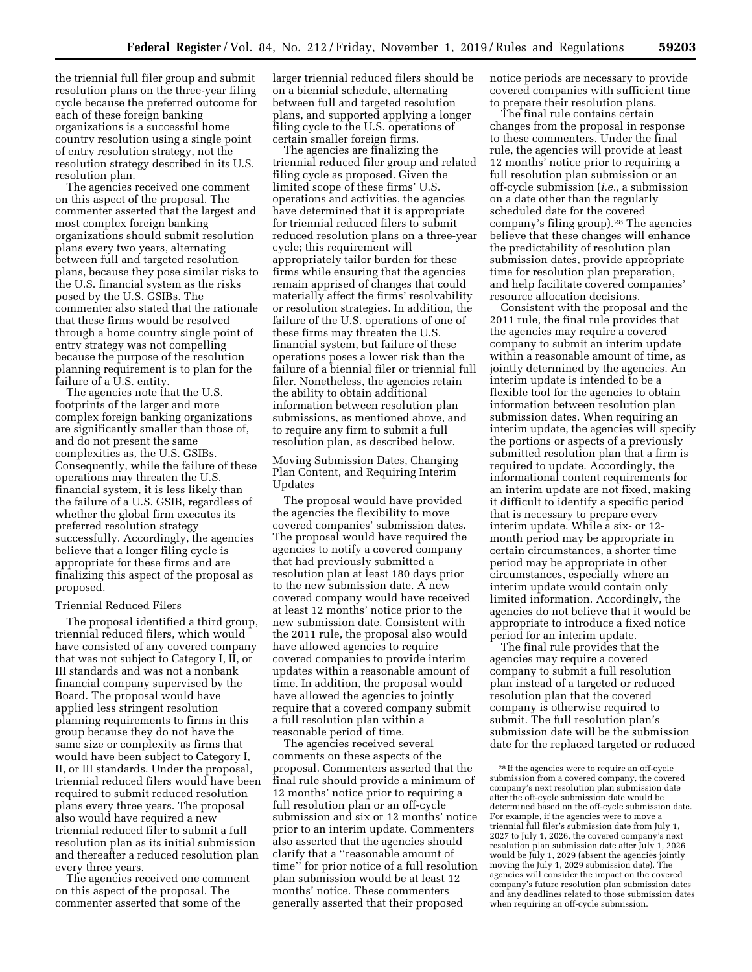the triennial full filer group and submit resolution plans on the three-year filing cycle because the preferred outcome for each of these foreign banking organizations is a successful home country resolution using a single point of entry resolution strategy, not the resolution strategy described in its U.S. resolution plan.

The agencies received one comment on this aspect of the proposal. The commenter asserted that the largest and most complex foreign banking organizations should submit resolution plans every two years, alternating between full and targeted resolution plans, because they pose similar risks to the U.S. financial system as the risks posed by the U.S. GSIBs. The commenter also stated that the rationale that these firms would be resolved through a home country single point of entry strategy was not compelling because the purpose of the resolution planning requirement is to plan for the failure of a U.S. entity.

The agencies note that the U.S. footprints of the larger and more complex foreign banking organizations are significantly smaller than those of, and do not present the same complexities as, the U.S. GSIBs. Consequently, while the failure of these operations may threaten the U.S. financial system, it is less likely than the failure of a U.S. GSIB, regardless of whether the global firm executes its preferred resolution strategy successfully. Accordingly, the agencies believe that a longer filing cycle is appropriate for these firms and are finalizing this aspect of the proposal as proposed.

# Triennial Reduced Filers

The proposal identified a third group, triennial reduced filers, which would have consisted of any covered company that was not subject to Category I, II, or III standards and was not a nonbank financial company supervised by the Board. The proposal would have applied less stringent resolution planning requirements to firms in this group because they do not have the same size or complexity as firms that would have been subject to Category I, II, or III standards. Under the proposal, triennial reduced filers would have been required to submit reduced resolution plans every three years. The proposal also would have required a new triennial reduced filer to submit a full resolution plan as its initial submission and thereafter a reduced resolution plan every three years.

The agencies received one comment on this aspect of the proposal. The commenter asserted that some of the

larger triennial reduced filers should be on a biennial schedule, alternating between full and targeted resolution plans, and supported applying a longer filing cycle to the U.S. operations of certain smaller foreign firms.

The agencies are finalizing the triennial reduced filer group and related filing cycle as proposed. Given the limited scope of these firms' U.S. operations and activities, the agencies have determined that it is appropriate for triennial reduced filers to submit reduced resolution plans on a three-year cycle; this requirement will appropriately tailor burden for these firms while ensuring that the agencies remain apprised of changes that could materially affect the firms' resolvability or resolution strategies. In addition, the failure of the U.S. operations of one of these firms may threaten the U.S. financial system, but failure of these operations poses a lower risk than the failure of a biennial filer or triennial full filer. Nonetheless, the agencies retain the ability to obtain additional information between resolution plan submissions, as mentioned above, and to require any firm to submit a full resolution plan, as described below.

Moving Submission Dates, Changing Plan Content, and Requiring Interim Updates

The proposal would have provided the agencies the flexibility to move covered companies' submission dates. The proposal would have required the agencies to notify a covered company that had previously submitted a resolution plan at least 180 days prior to the new submission date. A new covered company would have received at least 12 months' notice prior to the new submission date. Consistent with the 2011 rule, the proposal also would have allowed agencies to require covered companies to provide interim updates within a reasonable amount of time. In addition, the proposal would have allowed the agencies to jointly require that a covered company submit a full resolution plan within a reasonable period of time.

The agencies received several comments on these aspects of the proposal. Commenters asserted that the final rule should provide a minimum of 12 months' notice prior to requiring a full resolution plan or an off-cycle submission and six or 12 months' notice prior to an interim update. Commenters also asserted that the agencies should clarify that a ''reasonable amount of time'' for prior notice of a full resolution plan submission would be at least 12 months' notice. These commenters generally asserted that their proposed

notice periods are necessary to provide covered companies with sufficient time to prepare their resolution plans.

The final rule contains certain changes from the proposal in response to these commenters. Under the final rule, the agencies will provide at least 12 months' notice prior to requiring a full resolution plan submission or an off-cycle submission (*i.e.,* a submission on a date other than the regularly scheduled date for the covered company's filing group).28 The agencies believe that these changes will enhance the predictability of resolution plan submission dates, provide appropriate time for resolution plan preparation, and help facilitate covered companies' resource allocation decisions.

Consistent with the proposal and the 2011 rule, the final rule provides that the agencies may require a covered company to submit an interim update within a reasonable amount of time, as jointly determined by the agencies. An interim update is intended to be a flexible tool for the agencies to obtain information between resolution plan submission dates. When requiring an interim update, the agencies will specify the portions or aspects of a previously submitted resolution plan that a firm is required to update. Accordingly, the informational content requirements for an interim update are not fixed, making it difficult to identify a specific period that is necessary to prepare every interim update. While a six- or 12 month period may be appropriate in certain circumstances, a shorter time period may be appropriate in other circumstances, especially where an interim update would contain only limited information. Accordingly, the agencies do not believe that it would be appropriate to introduce a fixed notice period for an interim update.

The final rule provides that the agencies may require a covered company to submit a full resolution plan instead of a targeted or reduced resolution plan that the covered company is otherwise required to submit. The full resolution plan's submission date will be the submission date for the replaced targeted or reduced

<sup>28</sup> If the agencies were to require an off-cycle submission from a covered company, the covered company's next resolution plan submission date after the off-cycle submission date would be determined based on the off-cycle submission date. For example, if the agencies were to move a triennial full filer's submission date from July 1, 2027 to July 1, 2026, the covered company's next resolution plan submission date after July 1, 2026 would be July 1, 2029 (absent the agencies jointly moving the July 1, 2029 submission date). The agencies will consider the impact on the covered company's future resolution plan submission dates and any deadlines related to those submission dates when requiring an off-cycle submission.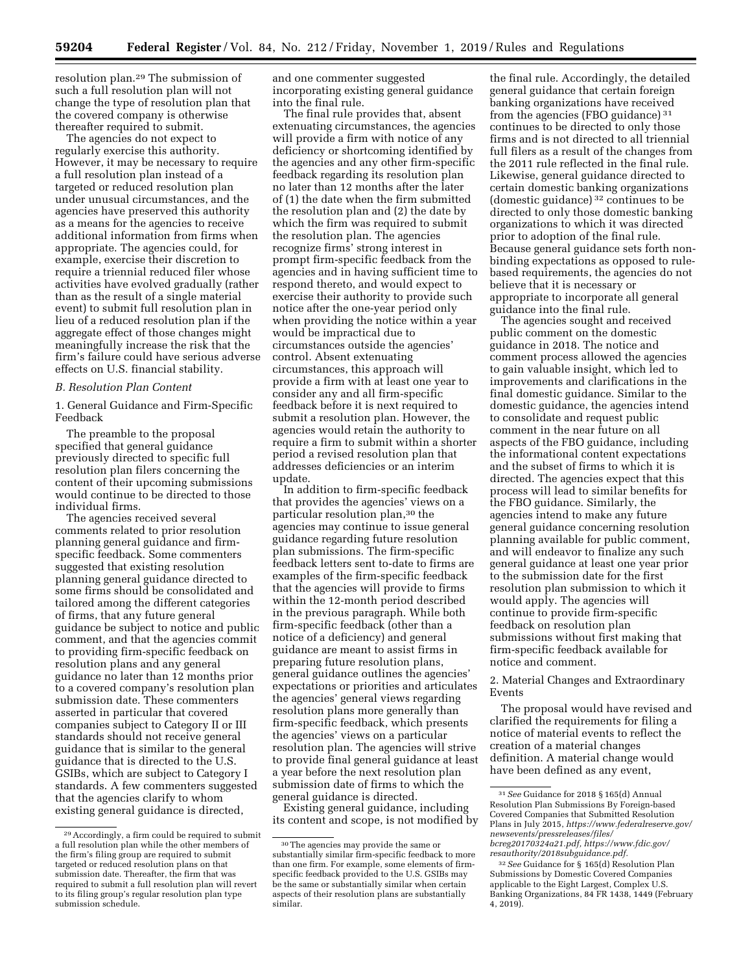resolution plan.29 The submission of such a full resolution plan will not change the type of resolution plan that the covered company is otherwise thereafter required to submit.

The agencies do not expect to regularly exercise this authority. However, it may be necessary to require a full resolution plan instead of a targeted or reduced resolution plan under unusual circumstances, and the agencies have preserved this authority as a means for the agencies to receive additional information from firms when appropriate. The agencies could, for example, exercise their discretion to require a triennial reduced filer whose activities have evolved gradually (rather than as the result of a single material event) to submit full resolution plan in lieu of a reduced resolution plan if the aggregate effect of those changes might meaningfully increase the risk that the firm's failure could have serious adverse effects on U.S. financial stability.

#### *B. Resolution Plan Content*

1. General Guidance and Firm-Specific Feedback

The preamble to the proposal specified that general guidance previously directed to specific full resolution plan filers concerning the content of their upcoming submissions would continue to be directed to those individual firms.

The agencies received several comments related to prior resolution planning general guidance and firmspecific feedback. Some commenters suggested that existing resolution planning general guidance directed to some firms should be consolidated and tailored among the different categories of firms, that any future general guidance be subject to notice and public comment, and that the agencies commit to providing firm-specific feedback on resolution plans and any general guidance no later than 12 months prior to a covered company's resolution plan submission date. These commenters asserted in particular that covered companies subject to Category II or III standards should not receive general guidance that is similar to the general guidance that is directed to the U.S. GSIBs, which are subject to Category I standards. A few commenters suggested that the agencies clarify to whom existing general guidance is directed,

and one commenter suggested incorporating existing general guidance into the final rule.

The final rule provides that, absent extenuating circumstances, the agencies will provide a firm with notice of any deficiency or shortcoming identified by the agencies and any other firm-specific feedback regarding its resolution plan no later than 12 months after the later of (1) the date when the firm submitted the resolution plan and (2) the date by which the firm was required to submit the resolution plan. The agencies recognize firms' strong interest in prompt firm-specific feedback from the agencies and in having sufficient time to respond thereto, and would expect to exercise their authority to provide such notice after the one-year period only when providing the notice within a year would be impractical due to circumstances outside the agencies' control. Absent extenuating circumstances, this approach will provide a firm with at least one year to consider any and all firm-specific feedback before it is next required to submit a resolution plan. However, the agencies would retain the authority to require a firm to submit within a shorter period a revised resolution plan that addresses deficiencies or an interim update.

In addition to firm-specific feedback that provides the agencies' views on a particular resolution plan,30 the agencies may continue to issue general guidance regarding future resolution plan submissions. The firm-specific feedback letters sent to-date to firms are examples of the firm-specific feedback that the agencies will provide to firms within the 12-month period described in the previous paragraph. While both firm-specific feedback (other than a notice of a deficiency) and general guidance are meant to assist firms in preparing future resolution plans, general guidance outlines the agencies' expectations or priorities and articulates the agencies' general views regarding resolution plans more generally than firm-specific feedback, which presents the agencies' views on a particular resolution plan. The agencies will strive to provide final general guidance at least a year before the next resolution plan submission date of firms to which the general guidance is directed.

Existing general guidance, including its content and scope, is not modified by

the final rule. Accordingly, the detailed general guidance that certain foreign banking organizations have received from the agencies (FBO guidance) 31 continues to be directed to only those firms and is not directed to all triennial full filers as a result of the changes from the 2011 rule reflected in the final rule. Likewise, general guidance directed to certain domestic banking organizations (domestic guidance) 32 continues to be directed to only those domestic banking organizations to which it was directed prior to adoption of the final rule. Because general guidance sets forth nonbinding expectations as opposed to rulebased requirements, the agencies do not believe that it is necessary or appropriate to incorporate all general guidance into the final rule.

The agencies sought and received public comment on the domestic guidance in 2018. The notice and comment process allowed the agencies to gain valuable insight, which led to improvements and clarifications in the final domestic guidance. Similar to the domestic guidance, the agencies intend to consolidate and request public comment in the near future on all aspects of the FBO guidance, including the informational content expectations and the subset of firms to which it is directed. The agencies expect that this process will lead to similar benefits for the FBO guidance. Similarly, the agencies intend to make any future general guidance concerning resolution planning available for public comment, and will endeavor to finalize any such general guidance at least one year prior to the submission date for the first resolution plan submission to which it would apply. The agencies will continue to provide firm-specific feedback on resolution plan submissions without first making that firm-specific feedback available for notice and comment.

2. Material Changes and Extraordinary Events

The proposal would have revised and clarified the requirements for filing a notice of material events to reflect the creation of a material changes definition. A material change would have been defined as any event,

<sup>29</sup>Accordingly, a firm could be required to submit a full resolution plan while the other members of the firm's filing group are required to submit targeted or reduced resolution plans on that submission date. Thereafter, the firm that was required to submit a full resolution plan will revert to its filing group's regular resolution plan type submission schedule.

<sup>30</sup>The agencies may provide the same or substantially similar firm-specific feedback to more than one firm. For example, some elements of firmspecific feedback provided to the U.S. GSIBs may be the same or substantially similar when certain aspects of their resolution plans are substantially similar.

<sup>31</sup>*See* Guidance for 2018 § 165(d) Annual Resolution Plan Submissions By Foreign-based Covered Companies that Submitted Resolution Plans in July 2015, *[https://www.federalreserve.gov/](https://www.federalreserve.gov/newsevents/pressreleases/files/bcreg20170324a21.pdf)  [newsevents/pressreleases/files/](https://www.federalreserve.gov/newsevents/pressreleases/files/bcreg20170324a21.pdf) [bcreg20170324a21.pdf,](https://www.federalreserve.gov/newsevents/pressreleases/files/bcreg20170324a21.pdf) [https://www.fdic.gov/](https://www.fdic.gov/resauthority/2018subguidance.pdf) [resauthority/2018subguidance.pdf.](https://www.fdic.gov/resauthority/2018subguidance.pdf)* 

<sup>32</sup>*See* Guidance for § 165(d) Resolution Plan Submissions by Domestic Covered Companies applicable to the Eight Largest, Complex U.S. Banking Organizations, 84 FR 1438, 1449 (February 4, 2019).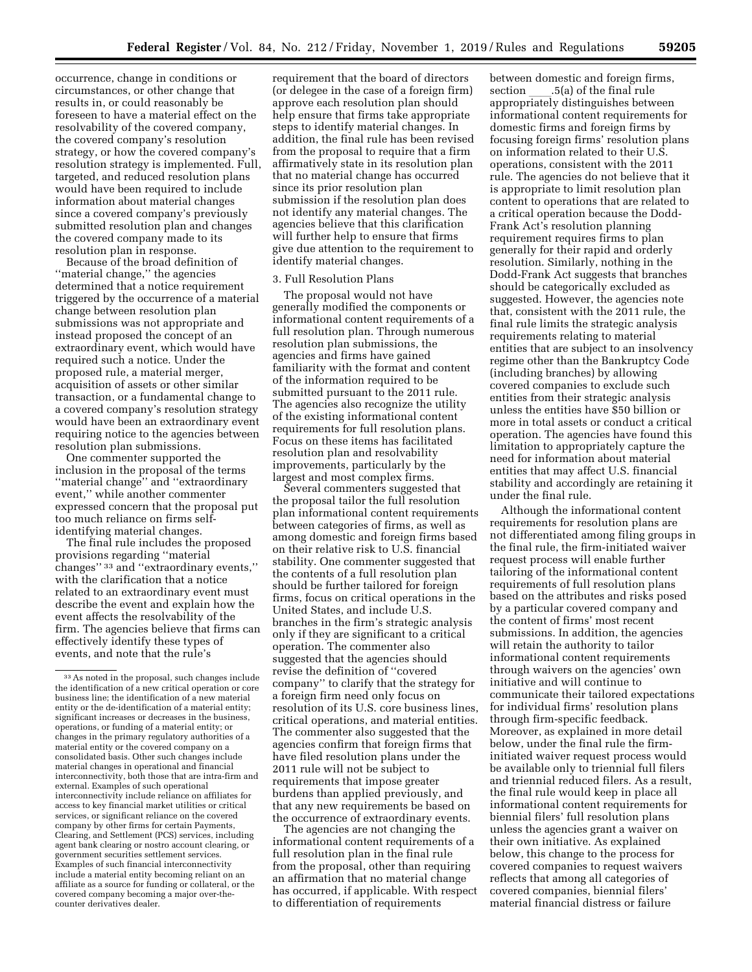occurrence, change in conditions or circumstances, or other change that results in, or could reasonably be foreseen to have a material effect on the resolvability of the covered company, the covered company's resolution strategy, or how the covered company's resolution strategy is implemented. Full, targeted, and reduced resolution plans would have been required to include information about material changes since a covered company's previously submitted resolution plan and changes the covered company made to its resolution plan in response.

Because of the broad definition of ''material change,'' the agencies determined that a notice requirement triggered by the occurrence of a material change between resolution plan submissions was not appropriate and instead proposed the concept of an extraordinary event, which would have required such a notice. Under the proposed rule, a material merger, acquisition of assets or other similar transaction, or a fundamental change to a covered company's resolution strategy would have been an extraordinary event requiring notice to the agencies between resolution plan submissions.

One commenter supported the inclusion in the proposal of the terms ''material change'' and ''extraordinary event,'' while another commenter expressed concern that the proposal put too much reliance on firms selfidentifying material changes.

The final rule includes the proposed provisions regarding ''material changes'' 33 and ''extraordinary events,'' with the clarification that a notice related to an extraordinary event must describe the event and explain how the event affects the resolvability of the firm. The agencies believe that firms can effectively identify these types of events, and note that the rule's

requirement that the board of directors (or delegee in the case of a foreign firm) approve each resolution plan should help ensure that firms take appropriate steps to identify material changes. In addition, the final rule has been revised from the proposal to require that a firm affirmatively state in its resolution plan that no material change has occurred since its prior resolution plan submission if the resolution plan does not identify any material changes. The agencies believe that this clarification will further help to ensure that firms give due attention to the requirement to identify material changes.

#### 3. Full Resolution Plans

The proposal would not have generally modified the components or informational content requirements of a full resolution plan. Through numerous resolution plan submissions, the agencies and firms have gained familiarity with the format and content of the information required to be submitted pursuant to the 2011 rule. The agencies also recognize the utility of the existing informational content requirements for full resolution plans. Focus on these items has facilitated resolution plan and resolvability improvements, particularly by the largest and most complex firms.

Several commenters suggested that the proposal tailor the full resolution plan informational content requirements between categories of firms, as well as among domestic and foreign firms based on their relative risk to U.S. financial stability. One commenter suggested that the contents of a full resolution plan should be further tailored for foreign firms, focus on critical operations in the United States, and include U.S. branches in the firm's strategic analysis only if they are significant to a critical operation. The commenter also suggested that the agencies should revise the definition of ''covered company'' to clarify that the strategy for a foreign firm need only focus on resolution of its U.S. core business lines, critical operations, and material entities. The commenter also suggested that the agencies confirm that foreign firms that have filed resolution plans under the 2011 rule will not be subject to requirements that impose greater burdens than applied previously, and that any new requirements be based on the occurrence of extraordinary events.

The agencies are not changing the informational content requirements of a full resolution plan in the final rule from the proposal, other than requiring an affirmation that no material change has occurred, if applicable. With respect to differentiation of requirements

between domestic and foreign firms, section \_\_\_\_.5(a) of the final rule<br>appropriately distinguishes between informational content requirements for domestic firms and foreign firms by focusing foreign firms' resolution plans on information related to their U.S. operations, consistent with the 2011 rule. The agencies do not believe that it is appropriate to limit resolution plan content to operations that are related to a critical operation because the Dodd-Frank Act's resolution planning requirement requires firms to plan generally for their rapid and orderly resolution. Similarly, nothing in the Dodd-Frank Act suggests that branches should be categorically excluded as suggested. However, the agencies note that, consistent with the 2011 rule, the final rule limits the strategic analysis requirements relating to material entities that are subject to an insolvency regime other than the Bankruptcy Code (including branches) by allowing covered companies to exclude such entities from their strategic analysis unless the entities have \$50 billion or more in total assets or conduct a critical operation. The agencies have found this limitation to appropriately capture the need for information about material entities that may affect U.S. financial stability and accordingly are retaining it under the final rule.

Although the informational content requirements for resolution plans are not differentiated among filing groups in the final rule, the firm-initiated waiver request process will enable further tailoring of the informational content requirements of full resolution plans based on the attributes and risks posed by a particular covered company and the content of firms' most recent submissions. In addition, the agencies will retain the authority to tailor informational content requirements through waivers on the agencies' own initiative and will continue to communicate their tailored expectations for individual firms' resolution plans through firm-specific feedback. Moreover, as explained in more detail below, under the final rule the firminitiated waiver request process would be available only to triennial full filers and triennial reduced filers. As a result, the final rule would keep in place all informational content requirements for biennial filers' full resolution plans unless the agencies grant a waiver on their own initiative. As explained below, this change to the process for covered companies to request waivers reflects that among all categories of covered companies, biennial filers' material financial distress or failure

<sup>33</sup>As noted in the proposal, such changes include the identification of a new critical operation or core business line; the identification of a new material entity or the de-identification of a material entity; significant increases or decreases in the business, operations, or funding of a material entity; or changes in the primary regulatory authorities of a material entity or the covered company on a consolidated basis. Other such changes include material changes in operational and financial interconnectivity, both those that are intra-firm and external. Examples of such operational interconnectivity include reliance on affiliates for access to key financial market utilities or critical services, or significant reliance on the covered company by other firms for certain Payments, Clearing, and Settlement (PCS) services, including agent bank clearing or nostro account clearing, or government securities settlement services. Examples of such financial interconnectivity include a material entity becoming reliant on an affiliate as a source for funding or collateral, or the covered company becoming a major over-thecounter derivatives dealer.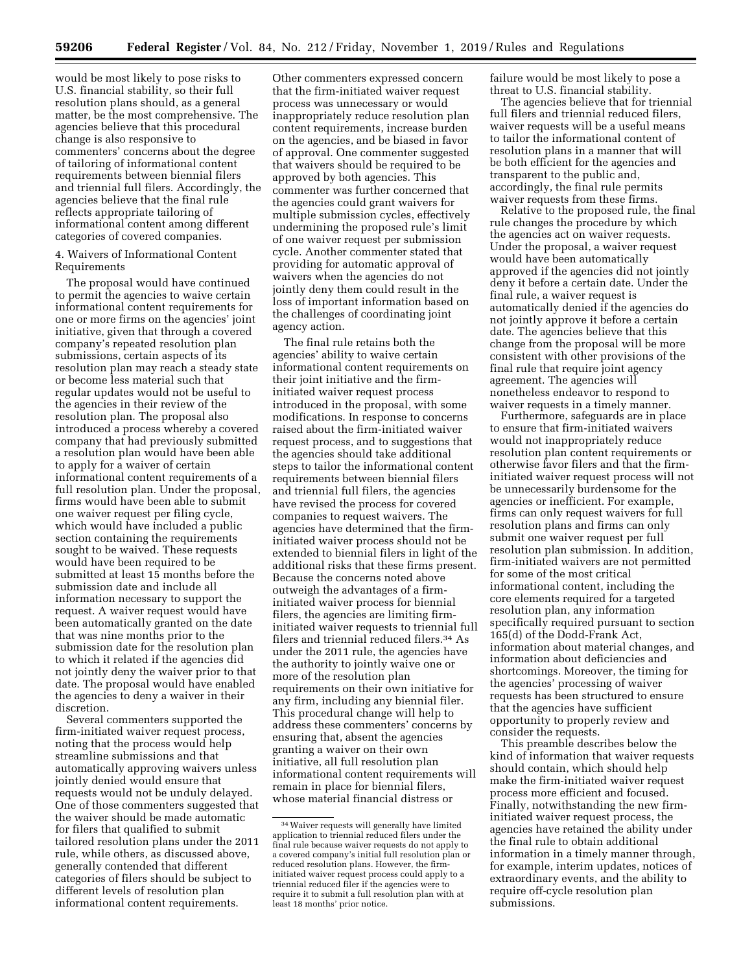would be most likely to pose risks to U.S. financial stability, so their full resolution plans should, as a general matter, be the most comprehensive. The agencies believe that this procedural change is also responsive to commenters' concerns about the degree of tailoring of informational content requirements between biennial filers and triennial full filers. Accordingly, the agencies believe that the final rule reflects appropriate tailoring of informational content among different categories of covered companies.

4. Waivers of Informational Content Requirements

The proposal would have continued to permit the agencies to waive certain informational content requirements for one or more firms on the agencies' joint initiative, given that through a covered company's repeated resolution plan submissions, certain aspects of its resolution plan may reach a steady state or become less material such that regular updates would not be useful to the agencies in their review of the resolution plan. The proposal also introduced a process whereby a covered company that had previously submitted a resolution plan would have been able to apply for a waiver of certain informational content requirements of a full resolution plan. Under the proposal, firms would have been able to submit one waiver request per filing cycle, which would have included a public section containing the requirements sought to be waived. These requests would have been required to be submitted at least 15 months before the submission date and include all information necessary to support the request. A waiver request would have been automatically granted on the date that was nine months prior to the submission date for the resolution plan to which it related if the agencies did not jointly deny the waiver prior to that date. The proposal would have enabled the agencies to deny a waiver in their discretion.

Several commenters supported the firm-initiated waiver request process, noting that the process would help streamline submissions and that automatically approving waivers unless jointly denied would ensure that requests would not be unduly delayed. One of those commenters suggested that the waiver should be made automatic for filers that qualified to submit tailored resolution plans under the 2011 rule, while others, as discussed above, generally contended that different categories of filers should be subject to different levels of resolution plan informational content requirements.

Other commenters expressed concern that the firm-initiated waiver request process was unnecessary or would inappropriately reduce resolution plan content requirements, increase burden on the agencies, and be biased in favor of approval. One commenter suggested that waivers should be required to be approved by both agencies. This commenter was further concerned that the agencies could grant waivers for multiple submission cycles, effectively undermining the proposed rule's limit of one waiver request per submission cycle. Another commenter stated that providing for automatic approval of waivers when the agencies do not jointly deny them could result in the loss of important information based on the challenges of coordinating joint agency action.

The final rule retains both the agencies' ability to waive certain informational content requirements on their joint initiative and the firminitiated waiver request process introduced in the proposal, with some modifications. In response to concerns raised about the firm-initiated waiver request process, and to suggestions that the agencies should take additional steps to tailor the informational content requirements between biennial filers and triennial full filers, the agencies have revised the process for covered companies to request waivers. The agencies have determined that the firminitiated waiver process should not be extended to biennial filers in light of the additional risks that these firms present. Because the concerns noted above outweigh the advantages of a firminitiated waiver process for biennial filers, the agencies are limiting firminitiated waiver requests to triennial full filers and triennial reduced filers.34 As under the 2011 rule, the agencies have the authority to jointly waive one or more of the resolution plan requirements on their own initiative for any firm, including any biennial filer. This procedural change will help to address these commenters' concerns by ensuring that, absent the agencies granting a waiver on their own initiative, all full resolution plan informational content requirements will remain in place for biennial filers, whose material financial distress or

failure would be most likely to pose a threat to U.S. financial stability.

The agencies believe that for triennial full filers and triennial reduced filers, waiver requests will be a useful means to tailor the informational content of resolution plans in a manner that will be both efficient for the agencies and transparent to the public and, accordingly, the final rule permits waiver requests from these firms.

Relative to the proposed rule, the final rule changes the procedure by which the agencies act on waiver requests. Under the proposal, a waiver request would have been automatically approved if the agencies did not jointly deny it before a certain date. Under the final rule, a waiver request is automatically denied if the agencies do not jointly approve it before a certain date. The agencies believe that this change from the proposal will be more consistent with other provisions of the final rule that require joint agency agreement. The agencies will nonetheless endeavor to respond to waiver requests in a timely manner.

Furthermore, safeguards are in place to ensure that firm-initiated waivers would not inappropriately reduce resolution plan content requirements or otherwise favor filers and that the firminitiated waiver request process will not be unnecessarily burdensome for the agencies or inefficient. For example, firms can only request waivers for full resolution plans and firms can only submit one waiver request per full resolution plan submission. In addition, firm-initiated waivers are not permitted for some of the most critical informational content, including the core elements required for a targeted resolution plan, any information specifically required pursuant to section 165(d) of the Dodd-Frank Act, information about material changes, and information about deficiencies and shortcomings. Moreover, the timing for the agencies' processing of waiver requests has been structured to ensure that the agencies have sufficient opportunity to properly review and consider the requests.

This preamble describes below the kind of information that waiver requests should contain, which should help make the firm-initiated waiver request process more efficient and focused. Finally, notwithstanding the new firminitiated waiver request process, the agencies have retained the ability under the final rule to obtain additional information in a timely manner through, for example, interim updates, notices of extraordinary events, and the ability to require off-cycle resolution plan submissions.

<sup>34</sup>Waiver requests will generally have limited application to triennial reduced filers under the final rule because waiver requests do not apply to a covered company's initial full resolution plan or reduced resolution plans. However, the firminitiated waiver request process could apply to a triennial reduced filer if the agencies were to require it to submit a full resolution plan with at least 18 months' prior notice.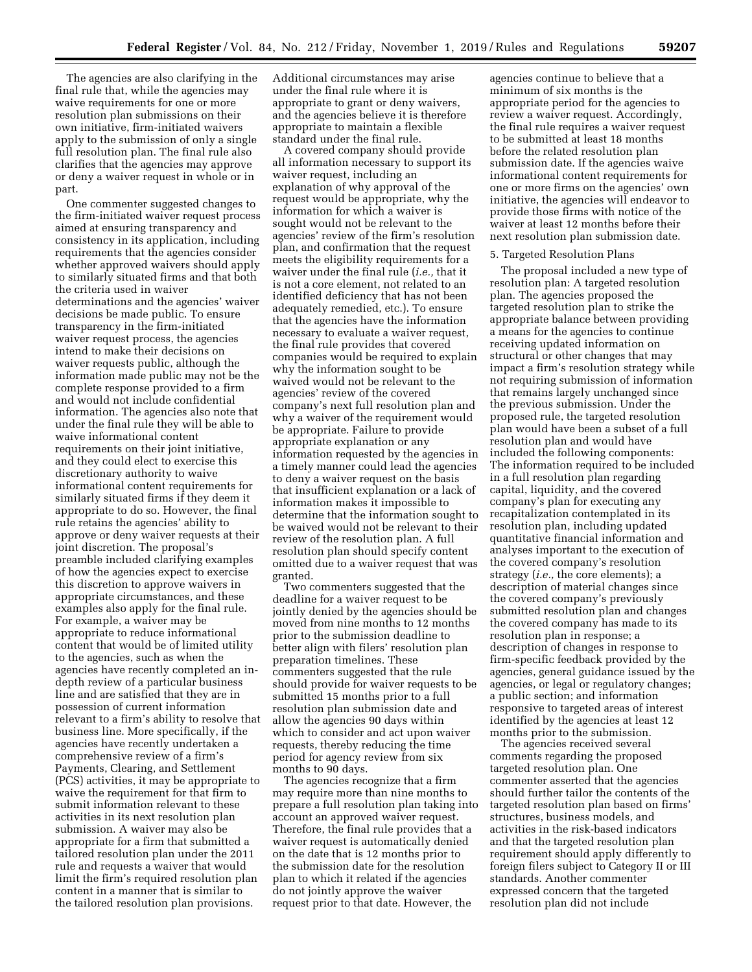The agencies are also clarifying in the final rule that, while the agencies may waive requirements for one or more resolution plan submissions on their own initiative, firm-initiated waivers apply to the submission of only a single full resolution plan. The final rule also clarifies that the agencies may approve or deny a waiver request in whole or in part.

One commenter suggested changes to the firm-initiated waiver request process aimed at ensuring transparency and consistency in its application, including requirements that the agencies consider whether approved waivers should apply to similarly situated firms and that both the criteria used in waiver determinations and the agencies' waiver decisions be made public. To ensure transparency in the firm-initiated waiver request process, the agencies intend to make their decisions on waiver requests public, although the information made public may not be the complete response provided to a firm and would not include confidential information. The agencies also note that under the final rule they will be able to waive informational content requirements on their joint initiative, and they could elect to exercise this discretionary authority to waive informational content requirements for similarly situated firms if they deem it appropriate to do so. However, the final rule retains the agencies' ability to approve or deny waiver requests at their joint discretion. The proposal's preamble included clarifying examples of how the agencies expect to exercise this discretion to approve waivers in appropriate circumstances, and these examples also apply for the final rule. For example, a waiver may be appropriate to reduce informational content that would be of limited utility to the agencies, such as when the agencies have recently completed an indepth review of a particular business line and are satisfied that they are in possession of current information relevant to a firm's ability to resolve that business line. More specifically, if the agencies have recently undertaken a comprehensive review of a firm's Payments, Clearing, and Settlement (PCS) activities, it may be appropriate to waive the requirement for that firm to submit information relevant to these activities in its next resolution plan submission. A waiver may also be appropriate for a firm that submitted a tailored resolution plan under the 2011 rule and requests a waiver that would limit the firm's required resolution plan content in a manner that is similar to the tailored resolution plan provisions.

Additional circumstances may arise under the final rule where it is appropriate to grant or deny waivers, and the agencies believe it is therefore appropriate to maintain a flexible standard under the final rule.

A covered company should provide all information necessary to support its waiver request, including an explanation of why approval of the request would be appropriate, why the information for which a waiver is sought would not be relevant to the agencies' review of the firm's resolution plan, and confirmation that the request meets the eligibility requirements for a waiver under the final rule (*i.e.,* that it is not a core element, not related to an identified deficiency that has not been adequately remedied, etc.). To ensure that the agencies have the information necessary to evaluate a waiver request, the final rule provides that covered companies would be required to explain why the information sought to be waived would not be relevant to the agencies' review of the covered company's next full resolution plan and why a waiver of the requirement would be appropriate. Failure to provide appropriate explanation or any information requested by the agencies in a timely manner could lead the agencies to deny a waiver request on the basis that insufficient explanation or a lack of information makes it impossible to determine that the information sought to be waived would not be relevant to their review of the resolution plan. A full resolution plan should specify content omitted due to a waiver request that was granted.

Two commenters suggested that the deadline for a waiver request to be jointly denied by the agencies should be moved from nine months to 12 months prior to the submission deadline to better align with filers' resolution plan preparation timelines. These commenters suggested that the rule should provide for waiver requests to be submitted 15 months prior to a full resolution plan submission date and allow the agencies 90 days within which to consider and act upon waiver requests, thereby reducing the time period for agency review from six months to 90 days.

The agencies recognize that a firm may require more than nine months to prepare a full resolution plan taking into account an approved waiver request. Therefore, the final rule provides that a waiver request is automatically denied on the date that is 12 months prior to the submission date for the resolution plan to which it related if the agencies do not jointly approve the waiver request prior to that date. However, the

agencies continue to believe that a minimum of six months is the appropriate period for the agencies to review a waiver request. Accordingly, the final rule requires a waiver request to be submitted at least 18 months before the related resolution plan submission date. If the agencies waive informational content requirements for one or more firms on the agencies' own initiative, the agencies will endeavor to provide those firms with notice of the waiver at least 12 months before their next resolution plan submission date.

# 5. Targeted Resolution Plans

The proposal included a new type of resolution plan: A targeted resolution plan. The agencies proposed the targeted resolution plan to strike the appropriate balance between providing a means for the agencies to continue receiving updated information on structural or other changes that may impact a firm's resolution strategy while not requiring submission of information that remains largely unchanged since the previous submission. Under the proposed rule, the targeted resolution plan would have been a subset of a full resolution plan and would have included the following components: The information required to be included in a full resolution plan regarding capital, liquidity, and the covered company's plan for executing any recapitalization contemplated in its resolution plan, including updated quantitative financial information and analyses important to the execution of the covered company's resolution strategy (*i.e.,* the core elements); a description of material changes since the covered company's previously submitted resolution plan and changes the covered company has made to its resolution plan in response; a description of changes in response to firm-specific feedback provided by the agencies, general guidance issued by the agencies, or legal or regulatory changes; a public section; and information responsive to targeted areas of interest identified by the agencies at least 12 months prior to the submission.

The agencies received several comments regarding the proposed targeted resolution plan. One commenter asserted that the agencies should further tailor the contents of the targeted resolution plan based on firms' structures, business models, and activities in the risk-based indicators and that the targeted resolution plan requirement should apply differently to foreign filers subject to Category II or III standards. Another commenter expressed concern that the targeted resolution plan did not include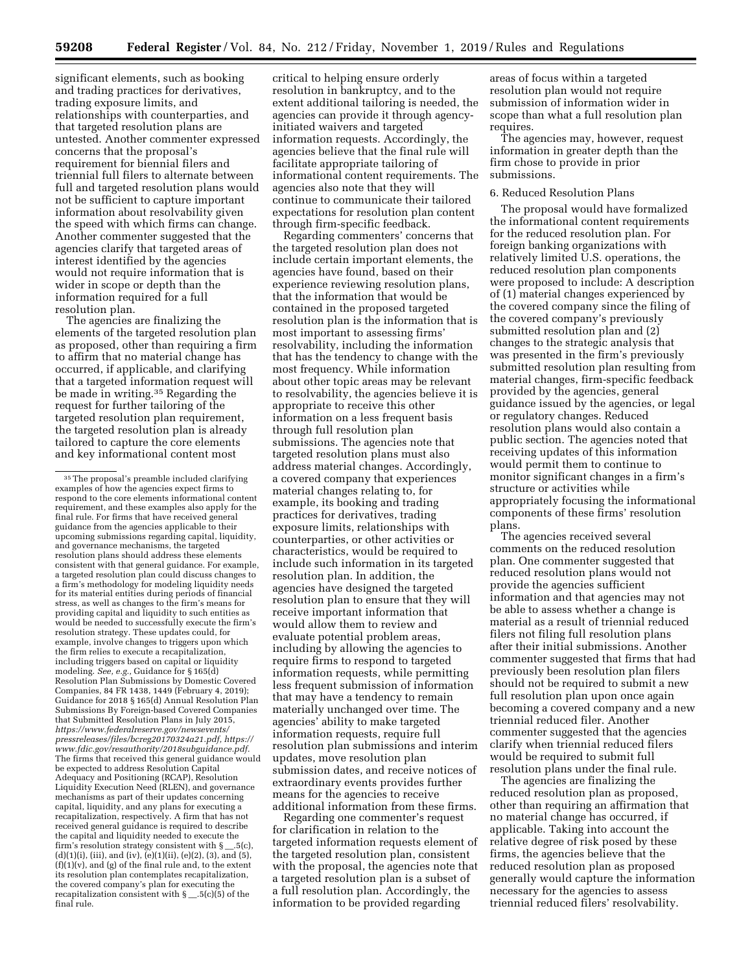significant elements, such as booking and trading practices for derivatives, trading exposure limits, and relationships with counterparties, and that targeted resolution plans are untested. Another commenter expressed concerns that the proposal's requirement for biennial filers and triennial full filers to alternate between full and targeted resolution plans would not be sufficient to capture important information about resolvability given the speed with which firms can change. Another commenter suggested that the agencies clarify that targeted areas of interest identified by the agencies would not require information that is wider in scope or depth than the information required for a full resolution plan.

The agencies are finalizing the elements of the targeted resolution plan as proposed, other than requiring a firm to affirm that no material change has occurred, if applicable, and clarifying that a targeted information request will be made in writing.35 Regarding the request for further tailoring of the targeted resolution plan requirement, the targeted resolution plan is already tailored to capture the core elements and key informational content most

critical to helping ensure orderly resolution in bankruptcy, and to the extent additional tailoring is needed, the agencies can provide it through agencyinitiated waivers and targeted information requests. Accordingly, the agencies believe that the final rule will facilitate appropriate tailoring of informational content requirements. The agencies also note that they will continue to communicate their tailored expectations for resolution plan content through firm-specific feedback.

Regarding commenters' concerns that the targeted resolution plan does not include certain important elements, the agencies have found, based on their experience reviewing resolution plans, that the information that would be contained in the proposed targeted resolution plan is the information that is most important to assessing firms' resolvability, including the information that has the tendency to change with the most frequency. While information about other topic areas may be relevant to resolvability, the agencies believe it is appropriate to receive this other information on a less frequent basis through full resolution plan submissions. The agencies note that targeted resolution plans must also address material changes. Accordingly, a covered company that experiences material changes relating to, for example, its booking and trading practices for derivatives, trading exposure limits, relationships with counterparties, or other activities or characteristics, would be required to include such information in its targeted resolution plan. In addition, the agencies have designed the targeted resolution plan to ensure that they will receive important information that would allow them to review and evaluate potential problem areas, including by allowing the agencies to require firms to respond to targeted information requests, while permitting less frequent submission of information that may have a tendency to remain materially unchanged over time. The agencies' ability to make targeted information requests, require full resolution plan submissions and interim updates, move resolution plan submission dates, and receive notices of extraordinary events provides further means for the agencies to receive additional information from these firms.

Regarding one commenter's request for clarification in relation to the targeted information requests element of the targeted resolution plan, consistent with the proposal, the agencies note that a targeted resolution plan is a subset of a full resolution plan. Accordingly, the information to be provided regarding

areas of focus within a targeted resolution plan would not require submission of information wider in scope than what a full resolution plan requires.

The agencies may, however, request information in greater depth than the firm chose to provide in prior submissions.

# 6. Reduced Resolution Plans

The proposal would have formalized the informational content requirements for the reduced resolution plan. For foreign banking organizations with relatively limited U.S. operations, the reduced resolution plan components were proposed to include: A description of (1) material changes experienced by the covered company since the filing of the covered company's previously submitted resolution plan and (2) changes to the strategic analysis that was presented in the firm's previously submitted resolution plan resulting from material changes, firm-specific feedback provided by the agencies, general guidance issued by the agencies, or legal or regulatory changes. Reduced resolution plans would also contain a public section. The agencies noted that receiving updates of this information would permit them to continue to monitor significant changes in a firm's structure or activities while appropriately focusing the informational components of these firms' resolution plans.

The agencies received several comments on the reduced resolution plan. One commenter suggested that reduced resolution plans would not provide the agencies sufficient information and that agencies may not be able to assess whether a change is material as a result of triennial reduced filers not filing full resolution plans after their initial submissions. Another commenter suggested that firms that had previously been resolution plan filers should not be required to submit a new full resolution plan upon once again becoming a covered company and a new triennial reduced filer. Another commenter suggested that the agencies clarify when triennial reduced filers would be required to submit full resolution plans under the final rule.

The agencies are finalizing the reduced resolution plan as proposed, other than requiring an affirmation that no material change has occurred, if applicable. Taking into account the relative degree of risk posed by these firms, the agencies believe that the reduced resolution plan as proposed generally would capture the information necessary for the agencies to assess triennial reduced filers' resolvability.

<sup>35</sup>The proposal's preamble included clarifying examples of how the agencies expect firms to respond to the core elements informational content requirement, and these examples also apply for the final rule. For firms that have received general guidance from the agencies applicable to their upcoming submissions regarding capital, liquidity, and governance mechanisms, the targeted resolution plans should address these elements consistent with that general guidance. For example, a targeted resolution plan could discuss changes to a firm's methodology for modeling liquidity needs for its material entities during periods of financial stress, as well as changes to the firm's means for providing capital and liquidity to such entities as would be needed to successfully execute the firm's resolution strategy. These updates could, for example, involve changes to triggers upon which the firm relies to execute a recapitalization, including triggers based on capital or liquidity modeling. *See, e.g.,* Guidance for § 165(d) Resolution Plan Submissions by Domestic Covered Companies, 84 FR 1438, 1449 (February 4, 2019); Guidance for 2018 § 165(d) Annual Resolution Plan Submissions By Foreign-based Covered Companies that Submitted Resolution Plans in July 2015, *[https://www.federalreserve.gov/newsevents/](https://www.federalreserve.gov/newsevents/pressreleases/files/bcreg20170324a21.pdf)  [pressreleases/files/bcreg20170324a21.pdf,](https://www.federalreserve.gov/newsevents/pressreleases/files/bcreg20170324a21.pdf) [https://](https://www.fdic.gov/resauthority/2018subguidance.pdf) [www.fdic.gov/resauthority/2018subguidance.pdf.](https://www.fdic.gov/resauthority/2018subguidance.pdf)*  The firms that received this general guidance would be expected to address Resolution Capital Adequacy and Positioning (RCAP), Resolution Liquidity Execution Need (RLEN), and governance mechanisms as part of their updates concerning capital, liquidity, and any plans for executing a recapitalization, respectively. A firm that has not received general guidance is required to describe the capital and liquidity needed to execute the firm's resolution strategy consistent with  $\S$  \_.5(c), (d)(1)(i), (iii), and (iv), (e)(1)(ii), (e)(2), (3), and (5), (f)(1)(v), and (g) of the final rule and, to the extent its resolution plan contemplates recapitalization, the covered company's plan for executing the recapitalization consistent with  $\S$  \_.5(c)(5) of the final rule.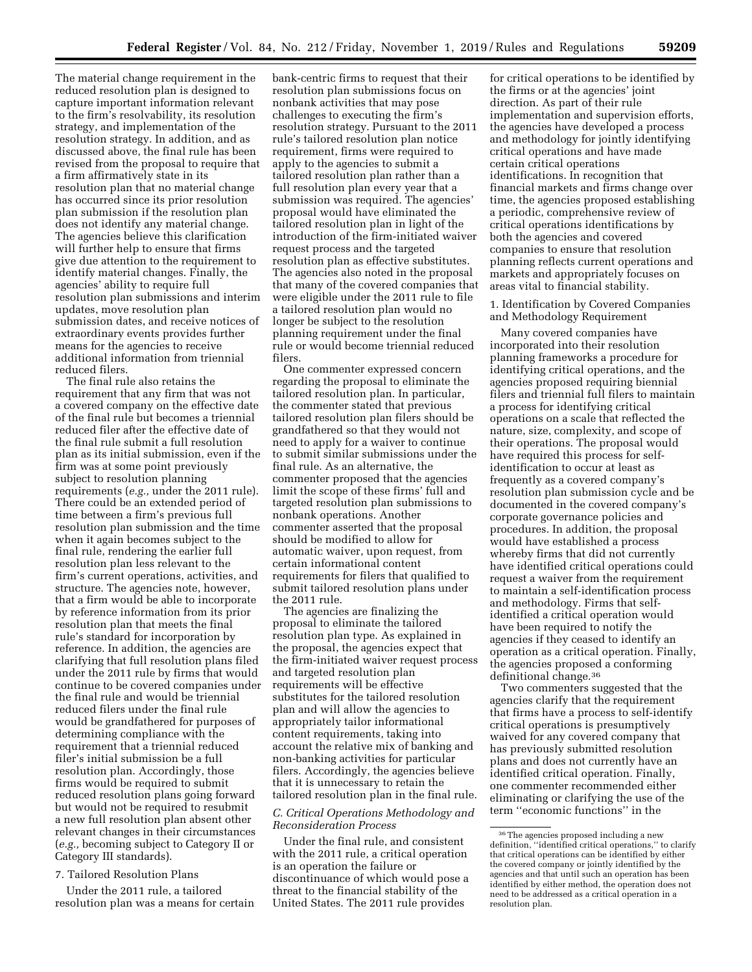The material change requirement in the reduced resolution plan is designed to capture important information relevant to the firm's resolvability, its resolution strategy, and implementation of the resolution strategy. In addition, and as discussed above, the final rule has been revised from the proposal to require that a firm affirmatively state in its resolution plan that no material change has occurred since its prior resolution plan submission if the resolution plan does not identify any material change. The agencies believe this clarification will further help to ensure that firms give due attention to the requirement to identify material changes. Finally, the agencies' ability to require full resolution plan submissions and interim updates, move resolution plan submission dates, and receive notices of extraordinary events provides further means for the agencies to receive additional information from triennial reduced filers.

The final rule also retains the requirement that any firm that was not a covered company on the effective date of the final rule but becomes a triennial reduced filer after the effective date of the final rule submit a full resolution plan as its initial submission, even if the firm was at some point previously subject to resolution planning requirements (*e.g.,* under the 2011 rule). There could be an extended period of time between a firm's previous full resolution plan submission and the time when it again becomes subject to the final rule, rendering the earlier full resolution plan less relevant to the firm's current operations, activities, and structure. The agencies note, however, that a firm would be able to incorporate by reference information from its prior resolution plan that meets the final rule's standard for incorporation by reference. In addition, the agencies are clarifying that full resolution plans filed under the 2011 rule by firms that would continue to be covered companies under the final rule and would be triennial reduced filers under the final rule would be grandfathered for purposes of determining compliance with the requirement that a triennial reduced filer's initial submission be a full resolution plan. Accordingly, those firms would be required to submit reduced resolution plans going forward but would not be required to resubmit a new full resolution plan absent other relevant changes in their circumstances (*e.g.,* becoming subject to Category II or Category III standards).

# 7. Tailored Resolution Plans

Under the 2011 rule, a tailored resolution plan was a means for certain

bank-centric firms to request that their resolution plan submissions focus on nonbank activities that may pose challenges to executing the firm's resolution strategy. Pursuant to the 2011 rule's tailored resolution plan notice requirement, firms were required to apply to the agencies to submit a tailored resolution plan rather than a full resolution plan every year that a submission was required. The agencies' proposal would have eliminated the tailored resolution plan in light of the introduction of the firm-initiated waiver request process and the targeted resolution plan as effective substitutes. The agencies also noted in the proposal that many of the covered companies that were eligible under the 2011 rule to file a tailored resolution plan would no longer be subject to the resolution planning requirement under the final rule or would become triennial reduced filers.

One commenter expressed concern regarding the proposal to eliminate the tailored resolution plan. In particular, the commenter stated that previous tailored resolution plan filers should be grandfathered so that they would not need to apply for a waiver to continue to submit similar submissions under the final rule. As an alternative, the commenter proposed that the agencies limit the scope of these firms' full and targeted resolution plan submissions to nonbank operations. Another commenter asserted that the proposal should be modified to allow for automatic waiver, upon request, from certain informational content requirements for filers that qualified to submit tailored resolution plans under the 2011 rule.

The agencies are finalizing the proposal to eliminate the tailored resolution plan type. As explained in the proposal, the agencies expect that the firm-initiated waiver request process and targeted resolution plan requirements will be effective substitutes for the tailored resolution plan and will allow the agencies to appropriately tailor informational content requirements, taking into account the relative mix of banking and non-banking activities for particular filers. Accordingly, the agencies believe that it is unnecessary to retain the tailored resolution plan in the final rule.

# *C. Critical Operations Methodology and Reconsideration Process*

Under the final rule, and consistent with the 2011 rule, a critical operation is an operation the failure or discontinuance of which would pose a threat to the financial stability of the United States. The 2011 rule provides

for critical operations to be identified by the firms or at the agencies' joint direction. As part of their rule implementation and supervision efforts, the agencies have developed a process and methodology for jointly identifying critical operations and have made certain critical operations identifications. In recognition that financial markets and firms change over time, the agencies proposed establishing a periodic, comprehensive review of critical operations identifications by both the agencies and covered companies to ensure that resolution planning reflects current operations and markets and appropriately focuses on areas vital to financial stability.

1. Identification by Covered Companies and Methodology Requirement

Many covered companies have incorporated into their resolution planning frameworks a procedure for identifying critical operations, and the agencies proposed requiring biennial filers and triennial full filers to maintain a process for identifying critical operations on a scale that reflected the nature, size, complexity, and scope of their operations. The proposal would have required this process for selfidentification to occur at least as frequently as a covered company's resolution plan submission cycle and be documented in the covered company's corporate governance policies and procedures. In addition, the proposal would have established a process whereby firms that did not currently have identified critical operations could request a waiver from the requirement to maintain a self-identification process and methodology. Firms that selfidentified a critical operation would have been required to notify the agencies if they ceased to identify an operation as a critical operation. Finally, the agencies proposed a conforming definitional change.36

Two commenters suggested that the agencies clarify that the requirement that firms have a process to self-identify critical operations is presumptively waived for any covered company that has previously submitted resolution plans and does not currently have an identified critical operation. Finally, one commenter recommended either eliminating or clarifying the use of the term ''economic functions'' in the

<sup>36</sup>The agencies proposed including a new definition, ''identified critical operations,'' to clarify that critical operations can be identified by either the covered company or jointly identified by the agencies and that until such an operation has been identified by either method, the operation does not need to be addressed as a critical operation in a resolution plan.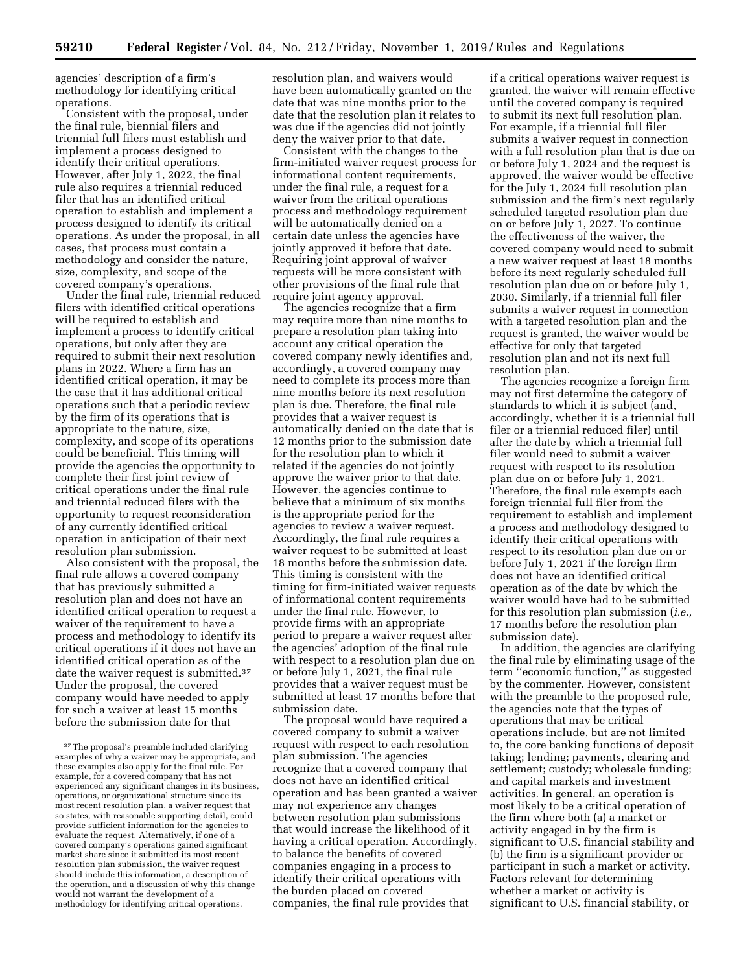agencies' description of a firm's methodology for identifying critical operations.

Consistent with the proposal, under the final rule, biennial filers and triennial full filers must establish and implement a process designed to identify their critical operations. However, after July 1, 2022, the final rule also requires a triennial reduced filer that has an identified critical operation to establish and implement a process designed to identify its critical operations. As under the proposal, in all cases, that process must contain a methodology and consider the nature, size, complexity, and scope of the covered company's operations.

Under the final rule, triennial reduced filers with identified critical operations will be required to establish and implement a process to identify critical operations, but only after they are required to submit their next resolution plans in 2022. Where a firm has an identified critical operation, it may be the case that it has additional critical operations such that a periodic review by the firm of its operations that is appropriate to the nature, size, complexity, and scope of its operations could be beneficial. This timing will provide the agencies the opportunity to complete their first joint review of critical operations under the final rule and triennial reduced filers with the opportunity to request reconsideration of any currently identified critical operation in anticipation of their next resolution plan submission.

Also consistent with the proposal, the final rule allows a covered company that has previously submitted a resolution plan and does not have an identified critical operation to request a waiver of the requirement to have a process and methodology to identify its critical operations if it does not have an identified critical operation as of the date the waiver request is submitted.37 Under the proposal, the covered company would have needed to apply for such a waiver at least 15 months before the submission date for that

resolution plan, and waivers would have been automatically granted on the date that was nine months prior to the date that the resolution plan it relates to was due if the agencies did not jointly deny the waiver prior to that date.

Consistent with the changes to the firm-initiated waiver request process for informational content requirements, under the final rule, a request for a waiver from the critical operations process and methodology requirement will be automatically denied on a certain date unless the agencies have jointly approved it before that date. Requiring joint approval of waiver requests will be more consistent with other provisions of the final rule that require joint agency approval.

The agencies recognize that a firm may require more than nine months to prepare a resolution plan taking into account any critical operation the covered company newly identifies and, accordingly, a covered company may need to complete its process more than nine months before its next resolution plan is due. Therefore, the final rule provides that a waiver request is automatically denied on the date that is 12 months prior to the submission date for the resolution plan to which it related if the agencies do not jointly approve the waiver prior to that date. However, the agencies continue to believe that a minimum of six months is the appropriate period for the agencies to review a waiver request. Accordingly, the final rule requires a waiver request to be submitted at least 18 months before the submission date. This timing is consistent with the timing for firm-initiated waiver requests of informational content requirements under the final rule. However, to provide firms with an appropriate period to prepare a waiver request after the agencies' adoption of the final rule with respect to a resolution plan due on or before July 1, 2021, the final rule provides that a waiver request must be submitted at least 17 months before that submission date.

The proposal would have required a covered company to submit a waiver request with respect to each resolution plan submission. The agencies recognize that a covered company that does not have an identified critical operation and has been granted a waiver may not experience any changes between resolution plan submissions that would increase the likelihood of it having a critical operation. Accordingly, to balance the benefits of covered companies engaging in a process to identify their critical operations with the burden placed on covered companies, the final rule provides that

if a critical operations waiver request is granted, the waiver will remain effective until the covered company is required to submit its next full resolution plan. For example, if a triennial full filer submits a waiver request in connection with a full resolution plan that is due on or before July 1, 2024 and the request is approved, the waiver would be effective for the July 1, 2024 full resolution plan submission and the firm's next regularly scheduled targeted resolution plan due on or before July 1, 2027. To continue the effectiveness of the waiver, the covered company would need to submit a new waiver request at least 18 months before its next regularly scheduled full resolution plan due on or before July 1, 2030. Similarly, if a triennial full filer submits a waiver request in connection with a targeted resolution plan and the request is granted, the waiver would be effective for only that targeted resolution plan and not its next full resolution plan.

The agencies recognize a foreign firm may not first determine the category of standards to which it is subject (and, accordingly, whether it is a triennial full filer or a triennial reduced filer) until after the date by which a triennial full filer would need to submit a waiver request with respect to its resolution plan due on or before July 1, 2021. Therefore, the final rule exempts each foreign triennial full filer from the requirement to establish and implement a process and methodology designed to identify their critical operations with respect to its resolution plan due on or before July 1, 2021 if the foreign firm does not have an identified critical operation as of the date by which the waiver would have had to be submitted for this resolution plan submission (*i.e.,*  17 months before the resolution plan submission date).

In addition, the agencies are clarifying the final rule by eliminating usage of the term ''economic function,'' as suggested by the commenter. However, consistent with the preamble to the proposed rule, the agencies note that the types of operations that may be critical operations include, but are not limited to, the core banking functions of deposit taking; lending; payments, clearing and settlement; custody; wholesale funding; and capital markets and investment activities. In general, an operation is most likely to be a critical operation of the firm where both (a) a market or activity engaged in by the firm is significant to U.S. financial stability and (b) the firm is a significant provider or participant in such a market or activity. Factors relevant for determining whether a market or activity is significant to U.S. financial stability, or

 $^{\rm 37}\!$  The proposal's preamble included clarifying examples of why a waiver may be appropriate, and these examples also apply for the final rule. For example, for a covered company that has not experienced any significant changes in its business, operations, or organizational structure since its most recent resolution plan, a waiver request that so states, with reasonable supporting detail, could provide sufficient information for the agencies to evaluate the request. Alternatively, if one of a covered company's operations gained significant market share since it submitted its most recent resolution plan submission, the waiver request should include this information, a description of the operation, and a discussion of why this change would not warrant the development of a methodology for identifying critical operations.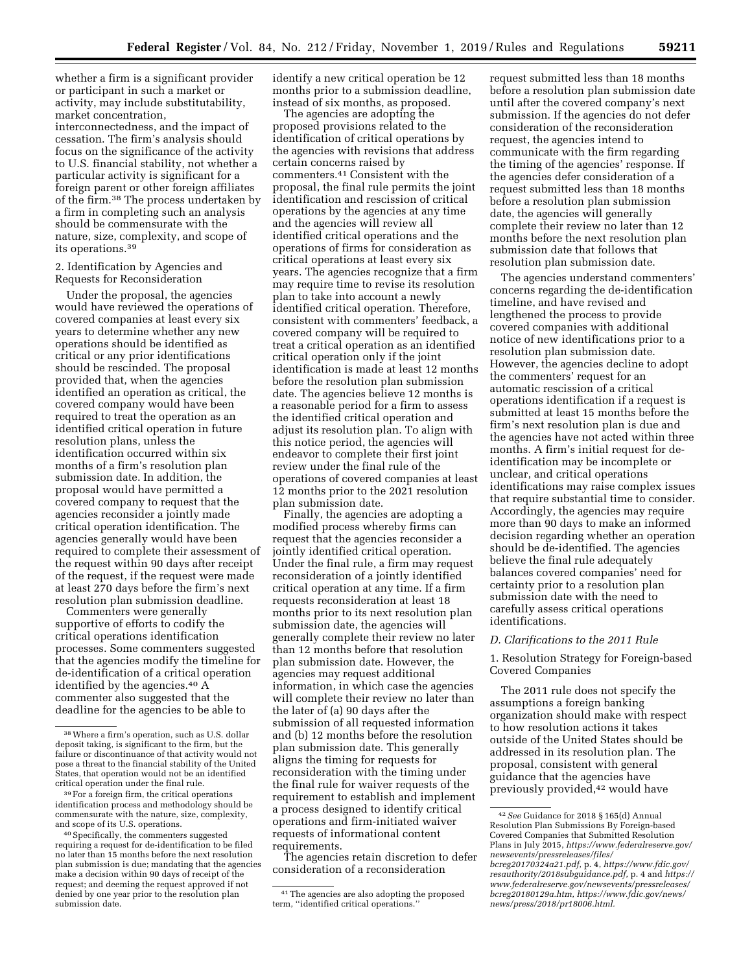whether a firm is a significant provider or participant in such a market or activity, may include substitutability, market concentration, interconnectedness, and the impact of cessation. The firm's analysis should focus on the significance of the activity to U.S. financial stability, not whether a particular activity is significant for a foreign parent or other foreign affiliates of the firm.38 The process undertaken by a firm in completing such an analysis should be commensurate with the nature, size, complexity, and scope of its operations.39

# 2. Identification by Agencies and Requests for Reconsideration

Under the proposal, the agencies would have reviewed the operations of covered companies at least every six years to determine whether any new operations should be identified as critical or any prior identifications should be rescinded. The proposal provided that, when the agencies identified an operation as critical, the covered company would have been required to treat the operation as an identified critical operation in future resolution plans, unless the identification occurred within six months of a firm's resolution plan submission date. In addition, the proposal would have permitted a covered company to request that the agencies reconsider a jointly made critical operation identification. The agencies generally would have been required to complete their assessment of the request within 90 days after receipt of the request, if the request were made at least 270 days before the firm's next resolution plan submission deadline.

Commenters were generally supportive of efforts to codify the critical operations identification processes. Some commenters suggested that the agencies modify the timeline for de-identification of a critical operation identified by the agencies.40 A commenter also suggested that the deadline for the agencies to be able to

identify a new critical operation be 12 months prior to a submission deadline, instead of six months, as proposed.

The agencies are adopting the proposed provisions related to the identification of critical operations by the agencies with revisions that address certain concerns raised by commenters.41 Consistent with the proposal, the final rule permits the joint identification and rescission of critical operations by the agencies at any time and the agencies will review all identified critical operations and the operations of firms for consideration as critical operations at least every six years. The agencies recognize that a firm may require time to revise its resolution plan to take into account a newly identified critical operation. Therefore, consistent with commenters' feedback, a covered company will be required to treat a critical operation as an identified critical operation only if the joint identification is made at least 12 months before the resolution plan submission date. The agencies believe 12 months is a reasonable period for a firm to assess the identified critical operation and adjust its resolution plan. To align with this notice period, the agencies will endeavor to complete their first joint review under the final rule of the operations of covered companies at least 12 months prior to the 2021 resolution plan submission date.

Finally, the agencies are adopting a modified process whereby firms can request that the agencies reconsider a jointly identified critical operation. Under the final rule, a firm may request reconsideration of a jointly identified critical operation at any time. If a firm requests reconsideration at least 18 months prior to its next resolution plan submission date, the agencies will generally complete their review no later than 12 months before that resolution plan submission date. However, the agencies may request additional information, in which case the agencies will complete their review no later than the later of (a) 90 days after the submission of all requested information and (b) 12 months before the resolution plan submission date. This generally aligns the timing for requests for reconsideration with the timing under the final rule for waiver requests of the requirement to establish and implement a process designed to identify critical operations and firm-initiated waiver requests of informational content requirements.

The agencies retain discretion to defer consideration of a reconsideration

request submitted less than 18 months before a resolution plan submission date until after the covered company's next submission. If the agencies do not defer consideration of the reconsideration request, the agencies intend to communicate with the firm regarding the timing of the agencies' response. If the agencies defer consideration of a request submitted less than 18 months before a resolution plan submission date, the agencies will generally complete their review no later than 12 months before the next resolution plan submission date that follows that resolution plan submission date.

The agencies understand commenters' concerns regarding the de-identification timeline, and have revised and lengthened the process to provide covered companies with additional notice of new identifications prior to a resolution plan submission date. However, the agencies decline to adopt the commenters' request for an automatic rescission of a critical operations identification if a request is submitted at least 15 months before the firm's next resolution plan is due and the agencies have not acted within three months. A firm's initial request for deidentification may be incomplete or unclear, and critical operations identifications may raise complex issues that require substantial time to consider. Accordingly, the agencies may require more than 90 days to make an informed decision regarding whether an operation should be de-identified. The agencies believe the final rule adequately balances covered companies' need for certainty prior to a resolution plan submission date with the need to carefully assess critical operations identifications.

# *D. Clarifications to the 2011 Rule*

1. Resolution Strategy for Foreign-based Covered Companies

The 2011 rule does not specify the assumptions a foreign banking organization should make with respect to how resolution actions it takes outside of the United States should be addressed in its resolution plan. The proposal, consistent with general guidance that the agencies have previously provided,42 would have

<sup>38</sup>Where a firm's operation, such as U.S. dollar deposit taking, is significant to the firm, but the failure or discontinuance of that activity would not pose a threat to the financial stability of the United States, that operation would not be an identified critical operation under the final rule.

<sup>39</sup>For a foreign firm, the critical operations identification process and methodology should be commensurate with the nature, size, complexity, and scope of its U.S. operations.

<sup>40</sup>Specifically, the commenters suggested requiring a request for de-identification to be filed no later than 15 months before the next resolution plan submission is due; mandating that the agencies make a decision within 90 days of receipt of the request; and deeming the request approved if not denied by one year prior to the resolution plan submission date.

<sup>41</sup>The agencies are also adopting the proposed term, ''identified critical operations.''

<sup>42</sup>*See* Guidance for 2018 § 165(d) Annual Resolution Plan Submissions By Foreign-based Covered Companies that Submitted Resolution Plans in July 2015, *[https://www.federalreserve.gov/](https://www.federalreserve.gov/newsevents/pressreleases/files/bcreg20170324a21.pdf)  [newsevents/pressreleases/files/](https://www.federalreserve.gov/newsevents/pressreleases/files/bcreg20170324a21.pdf) [bcreg20170324a21.pdf,](https://www.federalreserve.gov/newsevents/pressreleases/files/bcreg20170324a21.pdf)* p. 4, *[https://www.fdic.gov/](https://www.fdic.gov/resauthority/2018subguidance.pdf) [resauthority/2018subguidance.pdf,](https://www.fdic.gov/resauthority/2018subguidance.pdf)* p. 4 and *[https://](https://www.federalreserve.gov/newsevents/pressreleases/bcreg20180129a.htm) [www.federalreserve.gov/newsevents/pressreleases/](https://www.federalreserve.gov/newsevents/pressreleases/bcreg20180129a.htm)  [bcreg20180129a.htm,](https://www.federalreserve.gov/newsevents/pressreleases/bcreg20180129a.htm) [https://www.fdic.gov/news/](https://www.fdic.gov/news/news/press/2018/pr18006.html)  [news/press/2018/pr18006.html](https://www.fdic.gov/news/news/press/2018/pr18006.html).*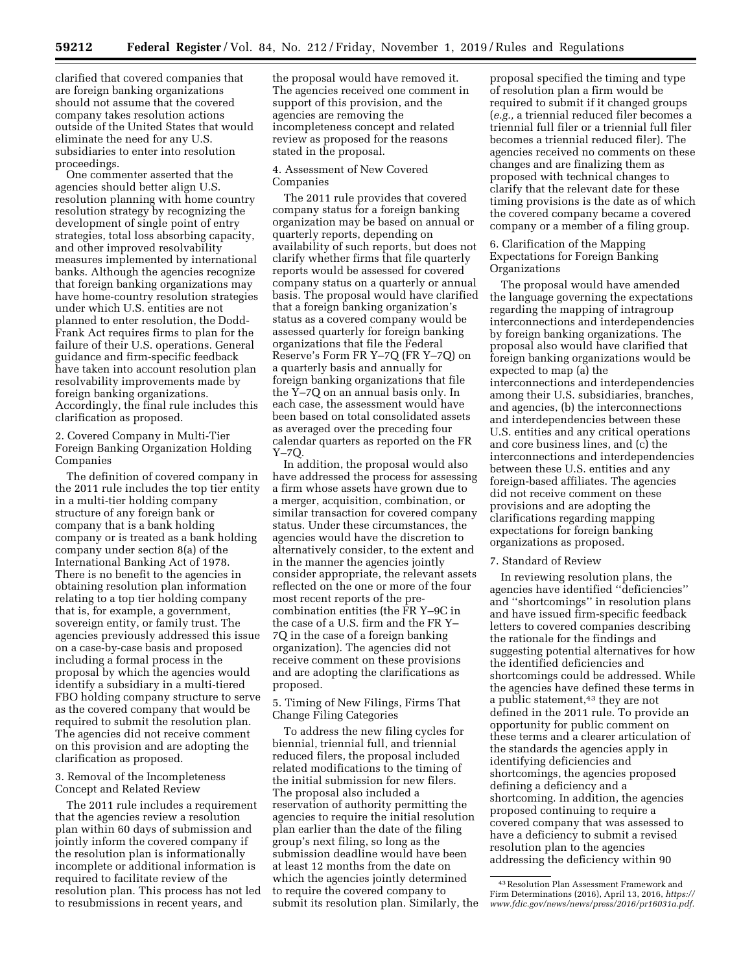clarified that covered companies that are foreign banking organizations should not assume that the covered company takes resolution actions outside of the United States that would eliminate the need for any U.S. subsidiaries to enter into resolution proceedings.

One commenter asserted that the agencies should better align U.S. resolution planning with home country resolution strategy by recognizing the development of single point of entry strategies, total loss absorbing capacity, and other improved resolvability measures implemented by international banks. Although the agencies recognize that foreign banking organizations may have home-country resolution strategies under which U.S. entities are not planned to enter resolution, the Dodd-Frank Act requires firms to plan for the failure of their U.S. operations. General guidance and firm-specific feedback have taken into account resolution plan resolvability improvements made by foreign banking organizations. Accordingly, the final rule includes this clarification as proposed.

2. Covered Company in Multi-Tier Foreign Banking Organization Holding Companies

The definition of covered company in the 2011 rule includes the top tier entity in a multi-tier holding company structure of any foreign bank or company that is a bank holding company or is treated as a bank holding company under section 8(a) of the International Banking Act of 1978. There is no benefit to the agencies in obtaining resolution plan information relating to a top tier holding company that is, for example, a government, sovereign entity, or family trust. The agencies previously addressed this issue on a case-by-case basis and proposed including a formal process in the proposal by which the agencies would identify a subsidiary in a multi-tiered FBO holding company structure to serve as the covered company that would be required to submit the resolution plan. The agencies did not receive comment on this provision and are adopting the clarification as proposed.

3. Removal of the Incompleteness Concept and Related Review

The 2011 rule includes a requirement that the agencies review a resolution plan within 60 days of submission and jointly inform the covered company if the resolution plan is informationally incomplete or additional information is required to facilitate review of the resolution plan. This process has not led to resubmissions in recent years, and

the proposal would have removed it. The agencies received one comment in support of this provision, and the agencies are removing the incompleteness concept and related review as proposed for the reasons stated in the proposal.

# 4. Assessment of New Covered Companies

The 2011 rule provides that covered company status for a foreign banking organization may be based on annual or quarterly reports, depending on availability of such reports, but does not clarify whether firms that file quarterly reports would be assessed for covered company status on a quarterly or annual basis. The proposal would have clarified that a foreign banking organization's status as a covered company would be assessed quarterly for foreign banking organizations that file the Federal Reserve's Form FR Y–7Q (FR Y–7Q) on a quarterly basis and annually for foreign banking organizations that file the Y–7Q on an annual basis only. In each case, the assessment would have been based on total consolidated assets as averaged over the preceding four calendar quarters as reported on the FR Y–7Q.

In addition, the proposal would also have addressed the process for assessing a firm whose assets have grown due to a merger, acquisition, combination, or similar transaction for covered company status. Under these circumstances, the agencies would have the discretion to alternatively consider, to the extent and in the manner the agencies jointly consider appropriate, the relevant assets reflected on the one or more of the four most recent reports of the precombination entities (the FR Y–9C in the case of a U.S. firm and the FR Y– 7Q in the case of a foreign banking organization). The agencies did not receive comment on these provisions and are adopting the clarifications as proposed.

5. Timing of New Filings, Firms That Change Filing Categories

To address the new filing cycles for biennial, triennial full, and triennial reduced filers, the proposal included related modifications to the timing of the initial submission for new filers. The proposal also included a reservation of authority permitting the agencies to require the initial resolution plan earlier than the date of the filing group's next filing, so long as the submission deadline would have been at least 12 months from the date on which the agencies jointly determined to require the covered company to submit its resolution plan. Similarly, the

proposal specified the timing and type of resolution plan a firm would be required to submit if it changed groups (*e.g.,* a triennial reduced filer becomes a triennial full filer or a triennial full filer becomes a triennial reduced filer). The agencies received no comments on these changes and are finalizing them as proposed with technical changes to clarify that the relevant date for these timing provisions is the date as of which the covered company became a covered company or a member of a filing group.

6. Clarification of the Mapping Expectations for Foreign Banking Organizations

The proposal would have amended the language governing the expectations regarding the mapping of intragroup interconnections and interdependencies by foreign banking organizations. The proposal also would have clarified that foreign banking organizations would be expected to map (a) the interconnections and interdependencies among their U.S. subsidiaries, branches, and agencies, (b) the interconnections and interdependencies between these U.S. entities and any critical operations and core business lines, and (c) the interconnections and interdependencies between these U.S. entities and any foreign-based affiliates. The agencies did not receive comment on these provisions and are adopting the clarifications regarding mapping expectations for foreign banking organizations as proposed.

# 7. Standard of Review

In reviewing resolution plans, the agencies have identified ''deficiencies'' and ''shortcomings'' in resolution plans and have issued firm-specific feedback letters to covered companies describing the rationale for the findings and suggesting potential alternatives for how the identified deficiencies and shortcomings could be addressed. While the agencies have defined these terms in a public statement,<sup>43</sup> they are not defined in the 2011 rule. To provide an opportunity for public comment on these terms and a clearer articulation of the standards the agencies apply in identifying deficiencies and shortcomings, the agencies proposed defining a deficiency and a shortcoming. In addition, the agencies proposed continuing to require a covered company that was assessed to have a deficiency to submit a revised resolution plan to the agencies addressing the deficiency within 90

<sup>43</sup>Resolution Plan Assessment Framework and Firm Determinations (2016), April 13, 2016, *[https://](https://www.fdic.gov/news/news/press/2016/pr16031a.pdf)  [www.fdic.gov/news/news/press/2016/pr16031a.pdf.](https://www.fdic.gov/news/news/press/2016/pr16031a.pdf)*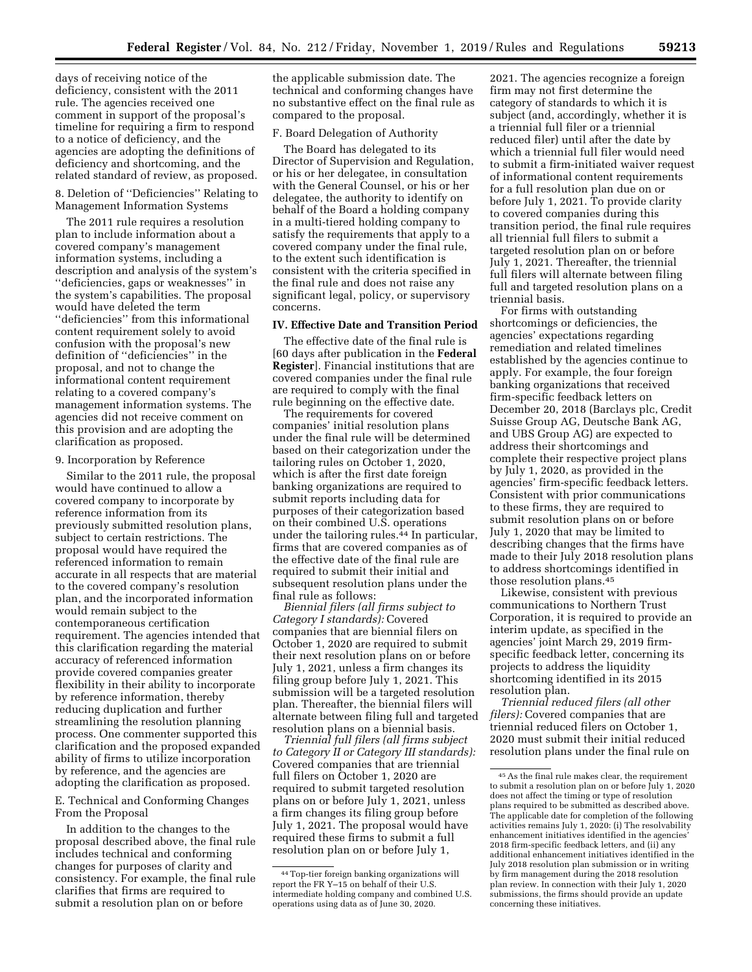days of receiving notice of the deficiency, consistent with the 2011 rule. The agencies received one comment in support of the proposal's timeline for requiring a firm to respond to a notice of deficiency, and the agencies are adopting the definitions of deficiency and shortcoming, and the related standard of review, as proposed.

8. Deletion of ''Deficiencies'' Relating to Management Information Systems

The 2011 rule requires a resolution plan to include information about a covered company's management information systems, including a description and analysis of the system's ''deficiencies, gaps or weaknesses'' in the system's capabilities. The proposal would have deleted the term ''deficiencies'' from this informational content requirement solely to avoid confusion with the proposal's new definition of ''deficiencies'' in the proposal, and not to change the informational content requirement relating to a covered company's management information systems. The agencies did not receive comment on this provision and are adopting the clarification as proposed.

# 9. Incorporation by Reference

Similar to the 2011 rule, the proposal would have continued to allow a covered company to incorporate by reference information from its previously submitted resolution plans, subject to certain restrictions. The proposal would have required the referenced information to remain accurate in all respects that are material to the covered company's resolution plan, and the incorporated information would remain subject to the contemporaneous certification requirement. The agencies intended that this clarification regarding the material accuracy of referenced information provide covered companies greater flexibility in their ability to incorporate by reference information, thereby reducing duplication and further streamlining the resolution planning process. One commenter supported this clarification and the proposed expanded ability of firms to utilize incorporation by reference, and the agencies are adopting the clarification as proposed.

E. Technical and Conforming Changes From the Proposal

In addition to the changes to the proposal described above, the final rule includes technical and conforming changes for purposes of clarity and consistency. For example, the final rule clarifies that firms are required to submit a resolution plan on or before

the applicable submission date. The technical and conforming changes have no substantive effect on the final rule as compared to the proposal.

# F. Board Delegation of Authority

The Board has delegated to its Director of Supervision and Regulation, or his or her delegatee, in consultation with the General Counsel, or his or her delegatee, the authority to identify on behalf of the Board a holding company in a multi-tiered holding company to satisfy the requirements that apply to a covered company under the final rule, to the extent such identification is consistent with the criteria specified in the final rule and does not raise any significant legal, policy, or supervisory concerns.

# **IV. Effective Date and Transition Period**

The effective date of the final rule is [60 days after publication in the **Federal Register**]. Financial institutions that are covered companies under the final rule are required to comply with the final rule beginning on the effective date.

The requirements for covered companies' initial resolution plans under the final rule will be determined based on their categorization under the tailoring rules on October 1, 2020, which is after the first date foreign banking organizations are required to submit reports including data for purposes of their categorization based on their combined U.S. operations under the tailoring rules.44 In particular, firms that are covered companies as of the effective date of the final rule are required to submit their initial and subsequent resolution plans under the final rule as follows:

*Biennial filers (all firms subject to Category I standards):* Covered companies that are biennial filers on October 1, 2020 are required to submit their next resolution plans on or before July 1, 2021, unless a firm changes its filing group before July 1, 2021. This submission will be a targeted resolution plan. Thereafter, the biennial filers will alternate between filing full and targeted resolution plans on a biennial basis.

*Triennial full filers (all firms subject to Category II or Category III standards):*  Covered companies that are triennial full filers on October 1, 2020 are required to submit targeted resolution plans on or before July 1, 2021, unless a firm changes its filing group before July 1, 2021. The proposal would have required these firms to submit a full resolution plan on or before July 1,

2021. The agencies recognize a foreign firm may not first determine the category of standards to which it is subject (and, accordingly, whether it is a triennial full filer or a triennial reduced filer) until after the date by which a triennial full filer would need to submit a firm-initiated waiver request of informational content requirements for a full resolution plan due on or before July 1, 2021. To provide clarity to covered companies during this transition period, the final rule requires all triennial full filers to submit a targeted resolution plan on or before July 1, 2021. Thereafter, the triennial full filers will alternate between filing full and targeted resolution plans on a triennial basis.

For firms with outstanding shortcomings or deficiencies, the agencies' expectations regarding remediation and related timelines established by the agencies continue to apply. For example, the four foreign banking organizations that received firm-specific feedback letters on December 20, 2018 (Barclays plc, Credit Suisse Group AG, Deutsche Bank AG, and UBS Group AG) are expected to address their shortcomings and complete their respective project plans by July 1, 2020, as provided in the agencies' firm-specific feedback letters. Consistent with prior communications to these firms, they are required to submit resolution plans on or before July 1, 2020 that may be limited to describing changes that the firms have made to their July 2018 resolution plans to address shortcomings identified in those resolution plans.45

Likewise, consistent with previous communications to Northern Trust Corporation, it is required to provide an interim update, as specified in the agencies' joint March 29, 2019 firmspecific feedback letter, concerning its projects to address the liquidity shortcoming identified in its 2015 resolution plan.

*Triennial reduced filers (all other filers):* Covered companies that are triennial reduced filers on October 1, 2020 must submit their initial reduced resolution plans under the final rule on

<sup>44</sup>Top-tier foreign banking organizations will report the FR Y–15 on behalf of their U.S. intermediate holding company and combined U.S. operations using data as of June 30, 2020.

<sup>45</sup>As the final rule makes clear, the requirement to submit a resolution plan on or before July 1, 2020 does not affect the timing or type of resolution plans required to be submitted as described above. The applicable date for completion of the following activities remains July 1, 2020: (i) The resolvability enhancement initiatives identified in the agencies' 2018 firm-specific feedback letters, and (ii) any additional enhancement initiatives identified in the July 2018 resolution plan submission or in writing by firm management during the 2018 resolution plan review. In connection with their July 1, 2020 submissions, the firms should provide an update concerning these initiatives.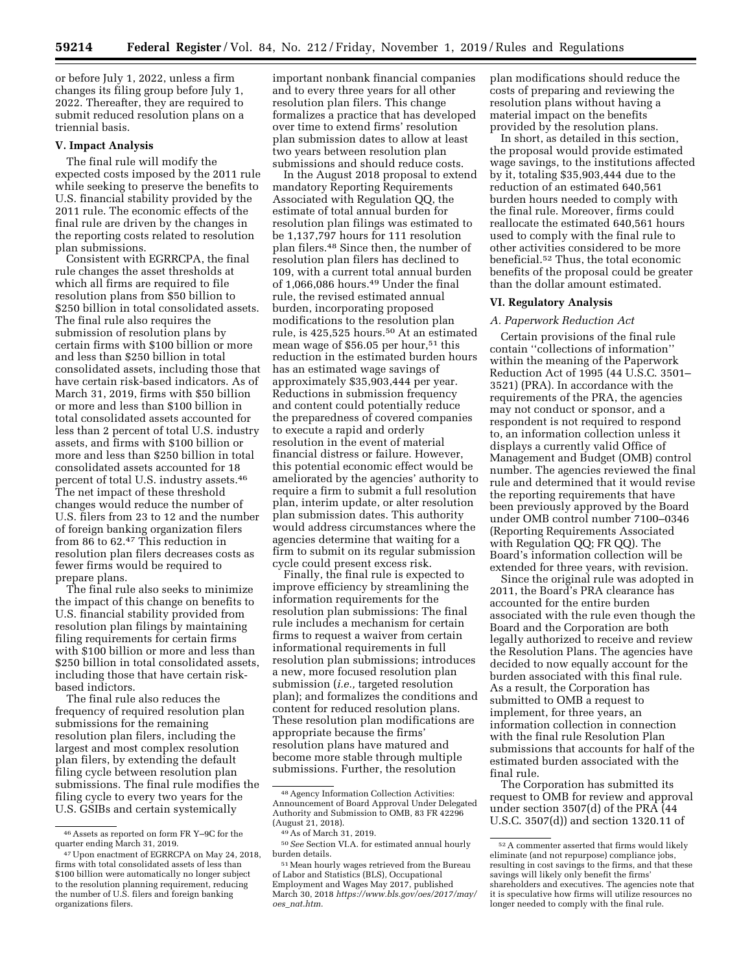or before July 1, 2022, unless a firm changes its filing group before July 1, 2022. Thereafter, they are required to submit reduced resolution plans on a triennial basis.

#### **V. Impact Analysis**

The final rule will modify the expected costs imposed by the 2011 rule while seeking to preserve the benefits to U.S. financial stability provided by the 2011 rule. The economic effects of the final rule are driven by the changes in the reporting costs related to resolution plan submissions.

Consistent with EGRRCPA, the final rule changes the asset thresholds at which all firms are required to file resolution plans from \$50 billion to \$250 billion in total consolidated assets. The final rule also requires the submission of resolution plans by certain firms with \$100 billion or more and less than \$250 billion in total consolidated assets, including those that have certain risk-based indicators. As of March 31, 2019, firms with \$50 billion or more and less than \$100 billion in total consolidated assets accounted for less than 2 percent of total U.S. industry assets, and firms with \$100 billion or more and less than \$250 billion in total consolidated assets accounted for 18 percent of total U.S. industry assets.46 The net impact of these threshold changes would reduce the number of U.S. filers from 23 to 12 and the number of foreign banking organization filers from 86 to 62.47 This reduction in resolution plan filers decreases costs as fewer firms would be required to prepare plans.

The final rule also seeks to minimize the impact of this change on benefits to U.S. financial stability provided from resolution plan filings by maintaining filing requirements for certain firms with \$100 billion or more and less than \$250 billion in total consolidated assets, including those that have certain riskbased indictors.

The final rule also reduces the frequency of required resolution plan submissions for the remaining resolution plan filers, including the largest and most complex resolution plan filers, by extending the default filing cycle between resolution plan submissions. The final rule modifies the filing cycle to every two years for the U.S. GSIBs and certain systemically

important nonbank financial companies and to every three years for all other resolution plan filers. This change formalizes a practice that has developed over time to extend firms' resolution plan submission dates to allow at least two years between resolution plan submissions and should reduce costs.

In the August 2018 proposal to extend mandatory Reporting Requirements Associated with Regulation QQ, the estimate of total annual burden for resolution plan filings was estimated to be 1,137,797 hours for 111 resolution plan filers.48 Since then, the number of resolution plan filers has declined to 109, with a current total annual burden of 1,066,086 hours.49 Under the final rule, the revised estimated annual burden, incorporating proposed modifications to the resolution plan rule, is 425,525 hours.<sup>50</sup> At an estimated mean wage of \$56.05 per hour,<sup>51</sup> this reduction in the estimated burden hours has an estimated wage savings of approximately \$35,903,444 per year. Reductions in submission frequency and content could potentially reduce the preparedness of covered companies to execute a rapid and orderly resolution in the event of material financial distress or failure. However, this potential economic effect would be ameliorated by the agencies' authority to require a firm to submit a full resolution plan, interim update, or alter resolution plan submission dates. This authority would address circumstances where the agencies determine that waiting for a firm to submit on its regular submission cycle could present excess risk.

Finally, the final rule is expected to improve efficiency by streamlining the information requirements for the resolution plan submissions: The final rule includes a mechanism for certain firms to request a waiver from certain informational requirements in full resolution plan submissions; introduces a new, more focused resolution plan submission (*i.e.,* targeted resolution plan); and formalizes the conditions and content for reduced resolution plans. These resolution plan modifications are appropriate because the firms' resolution plans have matured and become more stable through multiple submissions. Further, the resolution

plan modifications should reduce the costs of preparing and reviewing the resolution plans without having a material impact on the benefits provided by the resolution plans.

In short, as detailed in this section, the proposal would provide estimated wage savings, to the institutions affected by it, totaling \$35,903,444 due to the reduction of an estimated 640,561 burden hours needed to comply with the final rule. Moreover, firms could reallocate the estimated 640,561 hours used to comply with the final rule to other activities considered to be more beneficial.52 Thus, the total economic benefits of the proposal could be greater than the dollar amount estimated.

# **VI. Regulatory Analysis**

# *A. Paperwork Reduction Act*

Certain provisions of the final rule contain ''collections of information'' within the meaning of the Paperwork Reduction Act of 1995 (44 U.S.C. 3501– 3521) (PRA). In accordance with the requirements of the PRA, the agencies may not conduct or sponsor, and a respondent is not required to respond to, an information collection unless it displays a currently valid Office of Management and Budget (OMB) control number. The agencies reviewed the final rule and determined that it would revise the reporting requirements that have been previously approved by the Board under OMB control number 7100–0346 (Reporting Requirements Associated with Regulation QQ; FR QQ). The Board's information collection will be extended for three years, with revision.

Since the original rule was adopted in 2011, the Board's PRA clearance has accounted for the entire burden associated with the rule even though the Board and the Corporation are both legally authorized to receive and review the Resolution Plans. The agencies have decided to now equally account for the burden associated with this final rule. As a result, the Corporation has submitted to OMB a request to implement, for three years, an information collection in connection with the final rule Resolution Plan submissions that accounts for half of the estimated burden associated with the final rule.

The Corporation has submitted its request to OMB for review and approval under section 3507(d) of the PRA (44 U.S.C. 3507(d)) and section 1320.11 of

<sup>46</sup>Assets as reported on form FR Y–9C for the quarter ending March 31, 2019.

<sup>47</sup>Upon enactment of EGRRCPA on May 24, 2018, firms with total consolidated assets of less than \$100 billion were automatically no longer subject to the resolution planning requirement, reducing the number of U.S. filers and foreign banking organizations filers.

<sup>48</sup>Agency Information Collection Activities: Announcement of Board Approval Under Delegated Authority and Submission to OMB, 83 FR 42296 (August 21, 2018).

<sup>49</sup>As of March 31, 2019.

<sup>50</sup>*See* Section VI.A. for estimated annual hourly burden details.

<sup>51</sup>Mean hourly wages retrieved from the Bureau of Labor and Statistics (BLS), Occupational Employment and Wages May 2017, published March 30, 2018 *[https://www.bls.gov/oes/2017/may/](https://www.bls.gov/oes/2017/may/oes_nat.htm) oes*\_*[nat.htm.](https://www.bls.gov/oes/2017/may/oes_nat.htm)* 

<sup>52</sup>A commenter asserted that firms would likely eliminate (and not repurpose) compliance jobs, resulting in cost savings to the firms, and that these savings will likely only benefit the firms' shareholders and executives. The agencies note that it is speculative how firms will utilize resources no longer needed to comply with the final rule.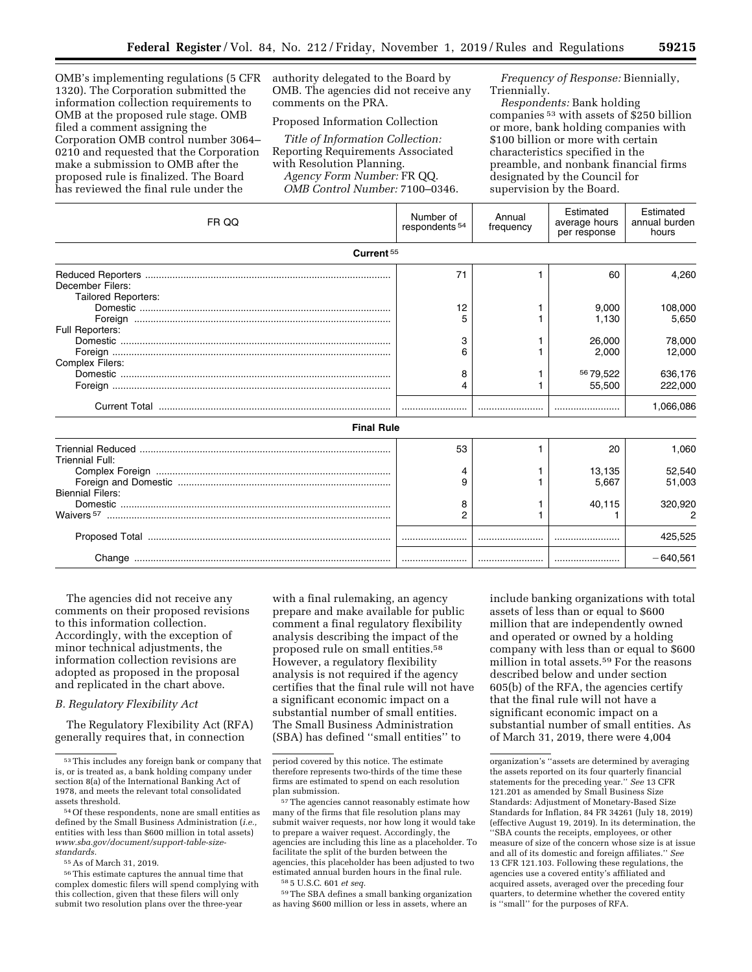OMB's implementing regulations (5 CFR 1320). The Corporation submitted the information collection requirements to OMB at the proposed rule stage. OMB filed a comment assigning the Corporation OMB control number 3064– 0210 and requested that the Corporation make a submission to OMB after the proposed rule is finalized. The Board has reviewed the final rule under the

authority delegated to the Board by OMB. The agencies did not receive any comments on the PRA.

Proposed Information Collection

*Title of Information Collection:*  Reporting Requirements Associated with Resolution Planning. *Agency Form Number:* FR QQ.

*OMB Control Number:* 7100–0346.

*Frequency of Response:* Biennially, Triennially.

*Respondents:* Bank holding companies 53 with assets of \$250 billion or more, bank holding companies with \$100 billion or more with certain characteristics specified in the preamble, and nonbank financial firms designated by the Council for supervision by the Board.

| FR QQ                      | Number of<br>respondents <sup>54</sup> | Annual<br>frequency | Estimated<br>average hours<br>per response | Estimated<br>annual burden<br>hours |
|----------------------------|----------------------------------------|---------------------|--------------------------------------------|-------------------------------------|
| Current <sup>55</sup>      |                                        |                     |                                            |                                     |
| December Filers:           | 71                                     |                     | 60                                         | 4,260                               |
| <b>Tailored Reporters:</b> | 12                                     |                     | 9,000<br>1,130                             | 108,000<br>5,650                    |
| Full Reporters:            | 3<br>6                                 |                     | 26,000<br>2,000                            | 78,000<br>12,000                    |
| Complex Filers:            | 8<br>4                                 |                     | 5679.522<br>55,500                         | 636,176<br>222,000                  |
|                            |                                        |                     |                                            | 1,066,086                           |
| <b>Final Rule</b>          |                                        |                     |                                            |                                     |
| <b>Triennial Full:</b>     | 53                                     |                     | 20                                         | 1.060                               |
| <b>Biennial Filers:</b>    | 4<br>9                                 |                     | 13,135<br>5.667                            | 52.540<br>51,003                    |
|                            | 8<br>2                                 |                     | 40,115                                     | 320,920                             |
|                            |                                        |                     |                                            | 425,525                             |
|                            |                                        |                     |                                            | $-640.561$                          |

The agencies did not receive any comments on their proposed revisions to this information collection. Accordingly, with the exception of minor technical adjustments, the information collection revisions are adopted as proposed in the proposal and replicated in the chart above.

#### *B. Regulatory Flexibility Act*

The Regulatory Flexibility Act (RFA) generally requires that, in connection

55As of March 31, 2019.

with a final rulemaking, an agency prepare and make available for public comment a final regulatory flexibility analysis describing the impact of the proposed rule on small entities.58 However, a regulatory flexibility analysis is not required if the agency certifies that the final rule will not have a significant economic impact on a substantial number of small entities. The Small Business Administration (SBA) has defined ''small entities'' to

59The SBA defines a small banking organization as having \$600 million or less in assets, where an

include banking organizations with total assets of less than or equal to \$600 million that are independently owned and operated or owned by a holding company with less than or equal to \$600 million in total assets.59 For the reasons described below and under section 605(b) of the RFA, the agencies certify that the final rule will not have a significant economic impact on a substantial number of small entities. As of March 31, 2019, there were 4,004

<sup>53</sup>This includes any foreign bank or company that is, or is treated as, a bank holding company under section 8(a) of the International Banking Act of 1978, and meets the relevant total consolidated assets threshold.

<sup>54</sup>Of these respondents, none are small entities as defined by the Small Business Administration (*i.e.,*  entities with less than \$600 million in total assets) *[www.sba.gov/document/support-table-size](http://www.sba.gov/document/support-table-size-standards)[standards.](http://www.sba.gov/document/support-table-size-standards)* 

<sup>56</sup>This estimate captures the annual time that complex domestic filers will spend complying with this collection, given that these filers will only submit two resolution plans over the three-year

period covered by this notice. The estimate therefore represents two-thirds of the time these firms are estimated to spend on each resolution plan submission.

<sup>57</sup>The agencies cannot reasonably estimate how many of the firms that file resolution plans may submit waiver requests, nor how long it would take to prepare a waiver request. Accordingly, the agencies are including this line as a placeholder. To facilitate the split of the burden between the agencies, this placeholder has been adjusted to two estimated annual burden hours in the final rule. 58 5 U.S.C. 601 *et seq.* 

organization's ''assets are determined by averaging the assets reported on its four quarterly financial statements for the preceding year.'' *See* 13 CFR 121.201 as amended by Small Business Size Standards: Adjustment of Monetary-Based Size Standards for Inflation, 84 FR 34261 (July 18, 2019) (effective August 19, 2019). In its determination, the ''SBA counts the receipts, employees, or other measure of size of the concern whose size is at issue and all of its domestic and foreign affiliates.'' *See*  13 CFR 121.103. Following these regulations, the agencies use a covered entity's affiliated and acquired assets, averaged over the preceding four quarters, to determine whether the covered entity is ''small'' for the purposes of RFA.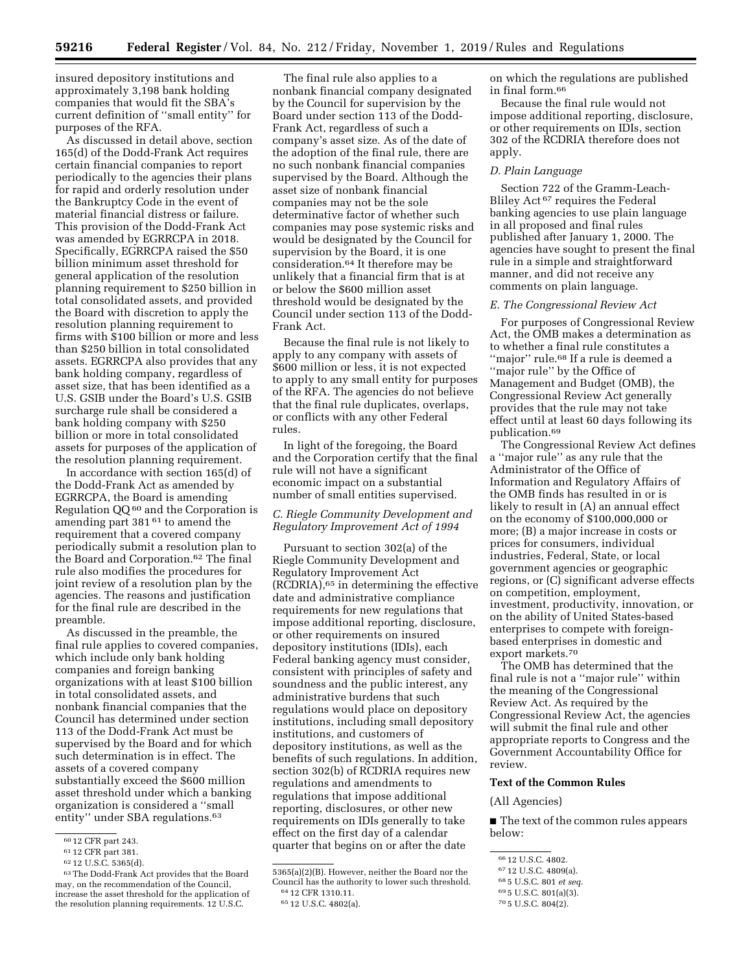insured depository institutions and approximately 3,198 bank holding companies that would fit the SBA's current definition of ''small entity'' for purposes of the RFA.

As discussed in detail above, section 165(d) of the Dodd-Frank Act requires certain financial companies to report periodically to the agencies their plans for rapid and orderly resolution under the Bankruptcy Code in the event of material financial distress or failure. This provision of the Dodd-Frank Act was amended by EGRRCPA in 2018. Specifically, EGRRCPA raised the \$50 billion minimum asset threshold for general application of the resolution planning requirement to \$250 billion in total consolidated assets, and provided the Board with discretion to apply the resolution planning requirement to firms with \$100 billion or more and less than \$250 billion in total consolidated assets. EGRRCPA also provides that any bank holding company, regardless of asset size, that has been identified as a U.S. GSIB under the Board's U.S. GSIB surcharge rule shall be considered a bank holding company with \$250 billion or more in total consolidated assets for purposes of the application of the resolution planning requirement.

In accordance with section 165(d) of the Dodd-Frank Act as amended by EGRRCPA, the Board is amending Regulation QQ 60 and the Corporation is amending part 381 61 to amend the requirement that a covered company periodically submit a resolution plan to the Board and Corporation.62 The final rule also modifies the procedures for joint review of a resolution plan by the agencies. The reasons and justification for the final rule are described in the preamble.

As discussed in the preamble, the final rule applies to covered companies, which include only bank holding companies and foreign banking organizations with at least \$100 billion in total consolidated assets, and nonbank financial companies that the Council has determined under section 113 of the Dodd-Frank Act must be supervised by the Board and for which such determination is in effect. The assets of a covered company substantially exceed the \$600 million asset threshold under which a banking organization is considered a ''small entity" under SBA regulations.<sup>63</sup>

The final rule also applies to a nonbank financial company designated by the Council for supervision by the Board under section 113 of the Dodd-Frank Act, regardless of such a company's asset size. As of the date of the adoption of the final rule, there are no such nonbank financial companies supervised by the Board. Although the asset size of nonbank financial companies may not be the sole determinative factor of whether such companies may pose systemic risks and would be designated by the Council for supervision by the Board, it is one consideration.64 It therefore may be unlikely that a financial firm that is at or below the \$600 million asset threshold would be designated by the Council under section 113 of the Dodd-Frank Act.

Because the final rule is not likely to apply to any company with assets of \$600 million or less, it is not expected to apply to any small entity for purposes of the RFA. The agencies do not believe that the final rule duplicates, overlaps, or conflicts with any other Federal rules.

In light of the foregoing, the Board and the Corporation certify that the final rule will not have a significant economic impact on a substantial number of small entities supervised.

# *C. Riegle Community Development and Regulatory Improvement Act of 1994*

Pursuant to section 302(a) of the Riegle Community Development and Regulatory Improvement Act (RCDRIA),65 in determining the effective date and administrative compliance requirements for new regulations that impose additional reporting, disclosure, or other requirements on insured depository institutions (IDIs), each Federal banking agency must consider, consistent with principles of safety and soundness and the public interest, any administrative burdens that such regulations would place on depository institutions, including small depository institutions, and customers of depository institutions, as well as the benefits of such regulations. In addition, section 302(b) of RCDRIA requires new regulations and amendments to regulations that impose additional reporting, disclosures, or other new requirements on IDIs generally to take effect on the first day of a calendar quarter that begins on or after the date

on which the regulations are published in final form.66

Because the final rule would not impose additional reporting, disclosure, or other requirements on IDIs, section 302 of the RCDRIA therefore does not apply.

#### *D. Plain Language*

Section 722 of the Gramm-Leach-Bliley Act 67 requires the Federal banking agencies to use plain language in all proposed and final rules published after January 1, 2000. The agencies have sought to present the final rule in a simple and straightforward manner, and did not receive any comments on plain language.

# *E. The Congressional Review Act*

For purposes of Congressional Review Act, the OMB makes a determination as to whether a final rule constitutes a ''major'' rule.68 If a rule is deemed a ''major rule'' by the Office of Management and Budget (OMB), the Congressional Review Act generally provides that the rule may not take effect until at least 60 days following its publication.69

The Congressional Review Act defines a ''major rule'' as any rule that the Administrator of the Office of Information and Regulatory Affairs of the OMB finds has resulted in or is likely to result in (A) an annual effect on the economy of \$100,000,000 or more; (B) a major increase in costs or prices for consumers, individual industries, Federal, State, or local government agencies or geographic regions, or (C) significant adverse effects on competition, employment, investment, productivity, innovation, or on the ability of United States-based enterprises to compete with foreignbased enterprises in domestic and export markets.70

The OMB has determined that the final rule is not a ''major rule'' within the meaning of the Congressional Review Act. As required by the Congressional Review Act, the agencies will submit the final rule and other appropriate reports to Congress and the Government Accountability Office for review.

# **Text of the Common Rules**

# (All Agencies)

■ The text of the common rules appears below:

<sup>60</sup> 12 CFR part 243.

<sup>61</sup> 12 CFR part 381.

<sup>62</sup> 12 U.S.C. 5365(d).

<sup>63</sup>The Dodd-Frank Act provides that the Board may, on the recommendation of the Council, increase the asset threshold for the application of the resolution planning requirements. 12 U.S.C.

<sup>5365(</sup>a)(2)(B). However, neither the Board nor the Council has the authority to lower such threshold. 64 12 CFR 1310.11.

<sup>65</sup> 12 U.S.C. 4802(a).

<sup>66</sup> 12 U.S.C. 4802.

<sup>67</sup> 12 U.S.C. 4809(a).

<sup>68</sup> 5 U.S.C. 801 *et seq.* 

<sup>69</sup> 5 U.S.C. 801(a)(3).

<sup>70</sup> 5 U.S.C. 804(2).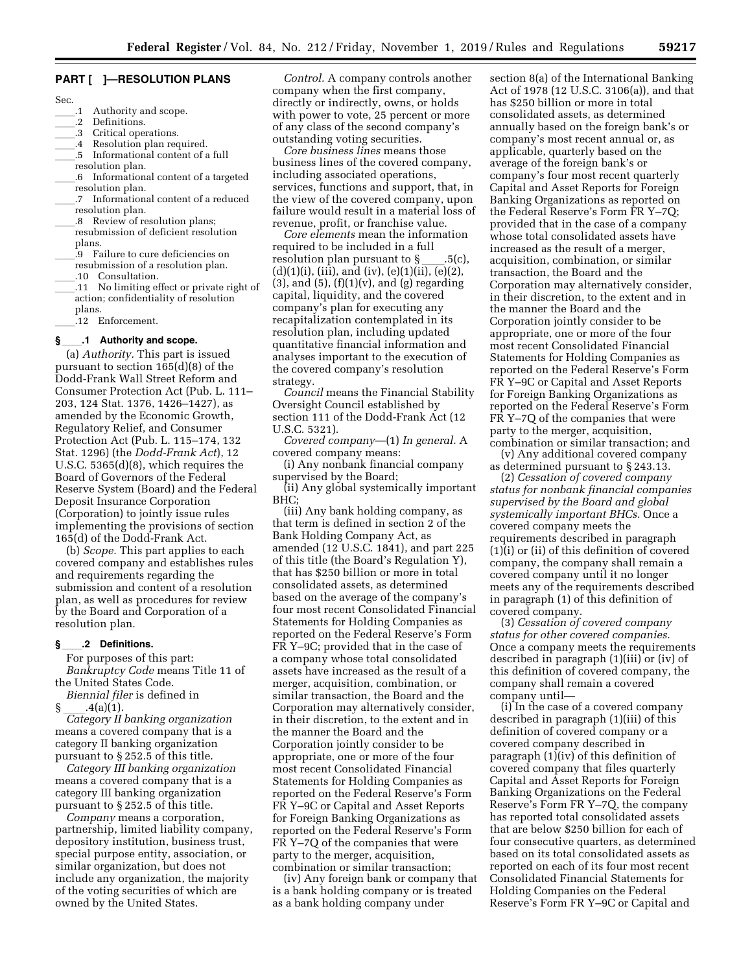# **PART [ ]—RESOLUTION PLANS**

- Sec.
- 
- .1 Authority and scope.<br>.2 Definitions. 2 Definitions.<br>3 Critical oper
- 3 Critical operations.<br>4 Resolution plan req
- .4 Resolution plan required.<br>.5 Informational content of a
- Informational content of a full
- resolution plan. .6 Informational content of a targeted resolution plan.
- .7 Informational content of a reduced resolution plan.
- .8 Review of resolution plans; resubmission of deficient resolution plans.
- .9 Failure to cure deficiencies on resubmission of a resolution plan.
- ll.10 Consultation.
- ll.11 No limiting effect or private right of action; confidentiality of resolution plans.
	- .12 Enforcement.

#### **§**ll**.1 Authority and scope.**

(a) *Authority.* This part is issued pursuant to section 165(d)(8) of the Dodd-Frank Wall Street Reform and Consumer Protection Act (Pub. L. 111– 203, 124 Stat. 1376, 1426–1427), as amended by the Economic Growth, Regulatory Relief, and Consumer Protection Act (Pub. L. 115–174, 132 Stat. 1296) (the *Dodd-Frank Act*), 12 U.S.C. 5365(d)(8), which requires the Board of Governors of the Federal Reserve System (Board) and the Federal Deposit Insurance Corporation (Corporation) to jointly issue rules implementing the provisions of section 165(d) of the Dodd-Frank Act.

(b) *Scope.* This part applies to each covered company and establishes rules and requirements regarding the submission and content of a resolution plan, as well as procedures for review by the Board and Corporation of a resolution plan.

# **§**ll**.2 Definitions.**

For purposes of this part: *Bankruptcy Code* means Title 11 of the United States Code.

*Biennial filer* is defined in

§ ll.4(a)(1). *Category II banking organization*  means a covered company that is a category II banking organization pursuant to § 252.5 of this title.

*Category III banking organization*  means a covered company that is a category III banking organization pursuant to § 252.5 of this title.

*Company* means a corporation, partnership, limited liability company, depository institution, business trust, special purpose entity, association, or similar organization, but does not include any organization, the majority of the voting securities of which are owned by the United States.

*Control.* A company controls another company when the first company, directly or indirectly, owns, or holds with power to vote, 25 percent or more of any class of the second company's outstanding voting securities.

*Core business lines* means those business lines of the covered company, including associated operations, services, functions and support, that, in the view of the covered company, upon failure would result in a material loss of revenue, profit, or franchise value.

*Core elements* mean the information required to be included in a full resolution plan pursuant to §\_\_\_.5(c),<br>(d)(1)(i), (iii), and (iv), (e)(1)(ii), (e)(2),  $(3)$ , and  $(5)$ ,  $(f)(1)(v)$ , and  $(g)$  regarding capital, liquidity, and the covered company's plan for executing any recapitalization contemplated in its resolution plan, including updated quantitative financial information and analyses important to the execution of the covered company's resolution strategy.

*Council* means the Financial Stability Oversight Council established by section 111 of the Dodd-Frank Act (12 U.S.C. 5321).

*Covered company*—(1) *In general.* A covered company means:

(i) Any nonbank financial company supervised by the Board;

(ii) Any global systemically important BHC;

(iii) Any bank holding company, as that term is defined in section 2 of the Bank Holding Company Act, as amended (12 U.S.C. 1841), and part 225 of this title (the Board's Regulation Y), that has \$250 billion or more in total consolidated assets, as determined based on the average of the company's four most recent Consolidated Financial Statements for Holding Companies as reported on the Federal Reserve's Form FR Y–9C; provided that in the case of a company whose total consolidated assets have increased as the result of a merger, acquisition, combination, or similar transaction, the Board and the Corporation may alternatively consider, in their discretion, to the extent and in the manner the Board and the Corporation jointly consider to be appropriate, one or more of the four most recent Consolidated Financial Statements for Holding Companies as reported on the Federal Reserve's Form FR Y–9C or Capital and Asset Reports for Foreign Banking Organizations as reported on the Federal Reserve's Form FR Y–7Q of the companies that were party to the merger, acquisition, combination or similar transaction;

(iv) Any foreign bank or company that is a bank holding company or is treated as a bank holding company under

section 8(a) of the International Banking Act of 1978 (12 U.S.C. 3106(a)), and that has \$250 billion or more in total consolidated assets, as determined annually based on the foreign bank's or company's most recent annual or, as applicable, quarterly based on the average of the foreign bank's or company's four most recent quarterly Capital and Asset Reports for Foreign Banking Organizations as reported on the Federal Reserve's Form FR Y–7Q; provided that in the case of a company whose total consolidated assets have increased as the result of a merger, acquisition, combination, or similar transaction, the Board and the Corporation may alternatively consider, in their discretion, to the extent and in the manner the Board and the Corporation jointly consider to be appropriate, one or more of the four most recent Consolidated Financial Statements for Holding Companies as reported on the Federal Reserve's Form FR Y–9C or Capital and Asset Reports for Foreign Banking Organizations as reported on the Federal Reserve's Form FR Y–7Q of the companies that were party to the merger, acquisition, combination or similar transaction; and

(v) Any additional covered company as determined pursuant to § 243.13.

(2) *Cessation of covered company status for nonbank financial companies supervised by the Board and global systemically important BHCs.* Once a covered company meets the requirements described in paragraph (1)(i) or (ii) of this definition of covered company, the company shall remain a covered company until it no longer meets any of the requirements described in paragraph (1) of this definition of covered company.

(3) *Cessation of covered company status for other covered companies.*  Once a company meets the requirements described in paragraph (1)(iii) or (iv) of this definition of covered company, the company shall remain a covered company until—

(i) In the case of a covered company described in paragraph (1)(iii) of this definition of covered company or a covered company described in paragraph (1)(iv) of this definition of covered company that files quarterly Capital and Asset Reports for Foreign Banking Organizations on the Federal Reserve's Form FR Y–7Q, the company has reported total consolidated assets that are below \$250 billion for each of four consecutive quarters, as determined based on its total consolidated assets as reported on each of its four most recent Consolidated Financial Statements for Holding Companies on the Federal Reserve's Form FR Y–9C or Capital and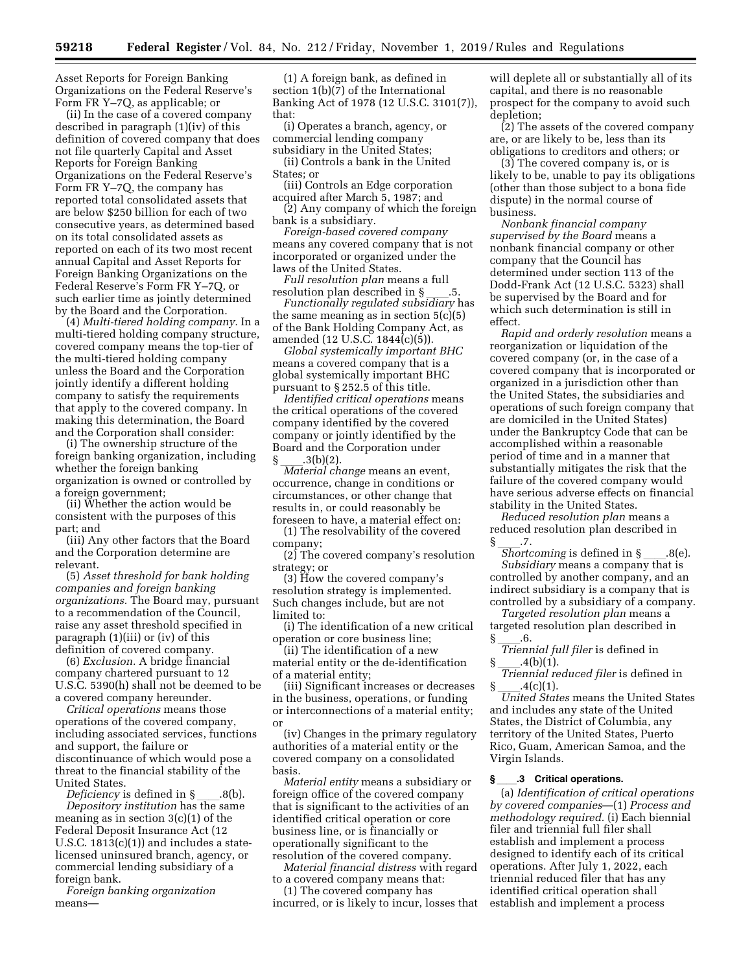Asset Reports for Foreign Banking Organizations on the Federal Reserve's Form FR Y–7Q, as applicable; or

(ii) In the case of a covered company described in paragraph (1)(iv) of this definition of covered company that does not file quarterly Capital and Asset Reports for Foreign Banking Organizations on the Federal Reserve's Form FR Y–7Q, the company has reported total consolidated assets that are below \$250 billion for each of two consecutive years, as determined based on its total consolidated assets as reported on each of its two most recent annual Capital and Asset Reports for Foreign Banking Organizations on the Federal Reserve's Form FR Y–7Q, or such earlier time as jointly determined by the Board and the Corporation.

(4) *Multi-tiered holding company.* In a multi-tiered holding company structure, covered company means the top-tier of the multi-tiered holding company unless the Board and the Corporation jointly identify a different holding company to satisfy the requirements that apply to the covered company. In making this determination, the Board and the Corporation shall consider:

(i) The ownership structure of the foreign banking organization, including whether the foreign banking organization is owned or controlled by a foreign government;

(ii) Whether the action would be consistent with the purposes of this part; and

(iii) Any other factors that the Board and the Corporation determine are relevant.

(5) *Asset threshold for bank holding companies and foreign banking organizations.* The Board may, pursuant to a recommendation of the Council, raise any asset threshold specified in paragraph (1)(iii) or (iv) of this definition of covered company.

(6) *Exclusion.* A bridge financial company chartered pursuant to 12 U.S.C. 5390(h) shall not be deemed to be a covered company hereunder.

*Critical operations* means those operations of the covered company, including associated services, functions and support, the failure or discontinuance of which would pose a threat to the financial stability of the

United States.<br>*Deficiency* is defined in § *Deficiency* is defined in §ll.8(b). *Depository institution* has the same meaning as in section 3(c)(1) of the Federal Deposit Insurance Act (12 U.S.C.  $1813(c)(1)$  and includes a statelicensed uninsured branch, agency, or commercial lending subsidiary of a foreign bank.

*Foreign banking organization*  means—

(1) A foreign bank, as defined in section 1(b)(7) of the International Banking Act of 1978 (12 U.S.C. 3101(7)), that:

(i) Operates a branch, agency, or commercial lending company subsidiary in the United States;

(ii) Controls a bank in the United States; or

(iii) Controls an Edge corporation acquired after March 5, 1987; and

(2) Any company of which the foreign bank is a subsidiary.

*Foreign-based covered company*  means any covered company that is not incorporated or organized under the laws of the United States.

*Full resolution plan means a full resolution plan described in §* 

resolution plan described in §ll.5. *Functionally regulated subsidiary* has the same meaning as in section  $5(c)(5)$ of the Bank Holding Company Act, as amended (12 U.S.C. 1844(c)(5)).

*Global systemically important BHC*  means a covered company that is a global systemically important BHC pursuant to § 252.5 of this title.

*Identified critical operations* means the critical operations of the covered company identified by the covered company or jointly identified by the Board and the Corporation under

§ \_\_\_.3(b)(2).<br>*Material change* means an event, occurrence, change in conditions or circumstances, or other change that results in, or could reasonably be foreseen to have, a material effect on:

(1) The resolvability of the covered company;

(2) The covered company's resolution strategy; or

(3) How the covered company's resolution strategy is implemented. Such changes include, but are not limited to:

(i) The identification of a new critical operation or core business line;

(ii) The identification of a new material entity or the de-identification of a material entity;

(iii) Significant increases or decreases in the business, operations, or funding or interconnections of a material entity; or

(iv) Changes in the primary regulatory authorities of a material entity or the covered company on a consolidated basis.

*Material entity* means a subsidiary or foreign office of the covered company that is significant to the activities of an identified critical operation or core business line, or is financially or operationally significant to the resolution of the covered company.

*Material financial distress* with regard to a covered company means that:

(1) The covered company has incurred, or is likely to incur, losses that

will deplete all or substantially all of its capital, and there is no reasonable prospect for the company to avoid such depletion;

(2) The assets of the covered company are, or are likely to be, less than its obligations to creditors and others; or

(3) The covered company is, or is likely to be, unable to pay its obligations (other than those subject to a bona fide dispute) in the normal course of business.

*Nonbank financial company supervised by the Board* means a nonbank financial company or other company that the Council has determined under section 113 of the Dodd-Frank Act (12 U.S.C. 5323) shall be supervised by the Board and for which such determination is still in effect.

*Rapid and orderly resolution* means a reorganization or liquidation of the covered company (or, in the case of a covered company that is incorporated or organized in a jurisdiction other than the United States, the subsidiaries and operations of such foreign company that are domiciled in the United States) under the Bankruptcy Code that can be accomplished within a reasonable period of time and in a manner that substantially mitigates the risk that the failure of the covered company would have serious adverse effects on financial stability in the United States.

*Reduced resolution plan* means a reduced resolution plan described in  $\frac{\S}{\text{Shortcoming}}$  is defined in  $\S$ 

*Shortcoming* is defined in §\_\_\_\_.8(e).<br>*Subsidiary* means a company that is controlled by another company, and an indirect subsidiary is a company that is controlled by a subsidiary of a company.

*Targeted resolution plan* means a targeted resolution plan described in

§ \_\_\_.6.<br>*Triennial full filer* is defined in

§ \_\_\_.4(b)(1).<br>*Triennial reduced filer* is defined in

§ \_\_\_\_.4(c)(1).<br>*United States* means the United States and includes any state of the United States, the District of Columbia, any territory of the United States, Puerto Rico, Guam, American Samoa, and the Virgin Islands.

#### **§**ll**.3 Critical operations.**

(a) *Identification of critical operations by covered companies*—(1) *Process and methodology required.* (i) Each biennial filer and triennial full filer shall establish and implement a process designed to identify each of its critical operations. After July 1, 2022, each triennial reduced filer that has any identified critical operation shall establish and implement a process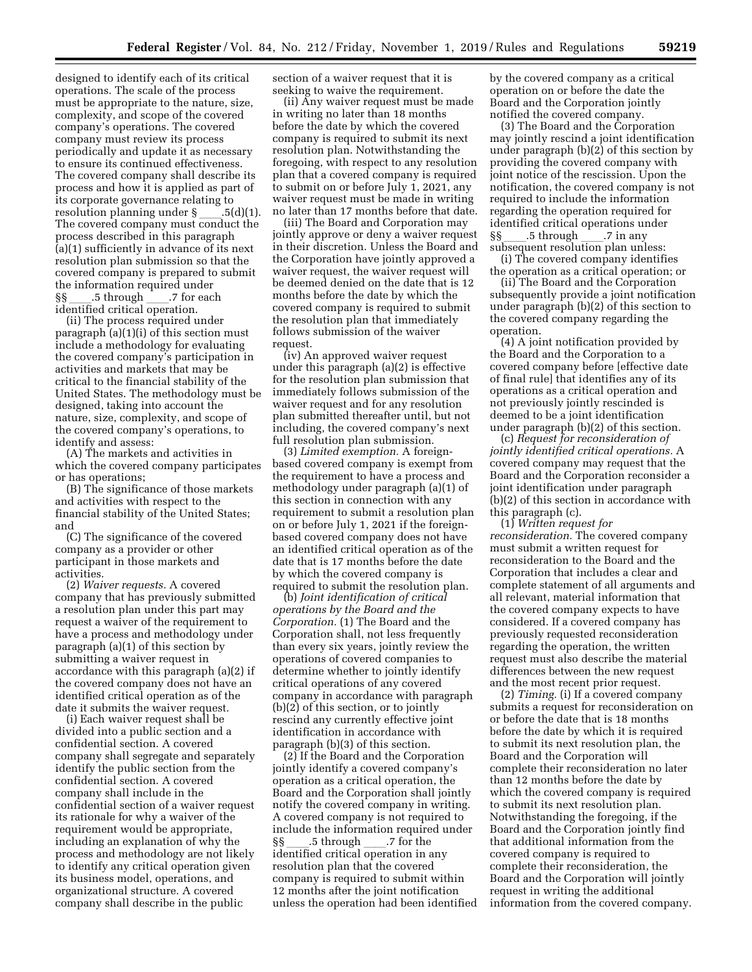designed to identify each of its critical operations. The scale of the process must be appropriate to the nature, size, complexity, and scope of the covered company's operations. The covered company must review its process periodically and update it as necessary to ensure its continued effectiveness. The covered company shall describe its process and how it is applied as part of its corporate governance relating to resolution planning under  $\delta$  \_\_\_\_.5(d)(1). The covered company must conduct the process described in this paragraph (a)(1) sufficiently in advance of its next resolution plan submission so that the covered company is prepared to submit the information required under §§ \_\_\_\_.5 through \_\_\_\_.7 for each<br>identified critical operation.

(ii) The process required under paragraph (a)(1)(i) of this section must include a methodology for evaluating the covered company's participation in activities and markets that may be critical to the financial stability of the United States. The methodology must be designed, taking into account the nature, size, complexity, and scope of the covered company's operations, to identify and assess:

(A) The markets and activities in which the covered company participates or has operations;

(B) The significance of those markets and activities with respect to the financial stability of the United States; and

(C) The significance of the covered company as a provider or other participant in those markets and activities.

(2) *Waiver requests.* A covered company that has previously submitted a resolution plan under this part may request a waiver of the requirement to have a process and methodology under paragraph (a)(1) of this section by submitting a waiver request in accordance with this paragraph (a)(2) if the covered company does not have an identified critical operation as of the date it submits the waiver request.

(i) Each waiver request shall be divided into a public section and a confidential section. A covered company shall segregate and separately identify the public section from the confidential section. A covered company shall include in the confidential section of a waiver request its rationale for why a waiver of the requirement would be appropriate, including an explanation of why the process and methodology are not likely to identify any critical operation given its business model, operations, and organizational structure. A covered company shall describe in the public

section of a waiver request that it is seeking to waive the requirement.

(ii) Any waiver request must be made in writing no later than 18 months before the date by which the covered company is required to submit its next resolution plan. Notwithstanding the foregoing, with respect to any resolution plan that a covered company is required to submit on or before July 1, 2021, any waiver request must be made in writing no later than 17 months before that date.

(iii) The Board and Corporation may jointly approve or deny a waiver request in their discretion. Unless the Board and the Corporation have jointly approved a waiver request, the waiver request will be deemed denied on the date that is 12 months before the date by which the covered company is required to submit the resolution plan that immediately follows submission of the waiver request.

(iv) An approved waiver request under this paragraph (a)(2) is effective for the resolution plan submission that immediately follows submission of the waiver request and for any resolution plan submitted thereafter until, but not including, the covered company's next full resolution plan submission.

(3) *Limited exemption.* A foreignbased covered company is exempt from the requirement to have a process and methodology under paragraph (a)(1) of this section in connection with any requirement to submit a resolution plan on or before July 1, 2021 if the foreignbased covered company does not have an identified critical operation as of the date that is 17 months before the date by which the covered company is required to submit the resolution plan.

(b) *Joint identification of critical operations by the Board and the Corporation.* (1) The Board and the Corporation shall, not less frequently than every six years, jointly review the operations of covered companies to determine whether to jointly identify critical operations of any covered company in accordance with paragraph (b)(2) of this section, or to jointly rescind any currently effective joint identification in accordance with paragraph (b)(3) of this section.

(2) If the Board and the Corporation jointly identify a covered company's operation as a critical operation, the Board and the Corporation shall jointly notify the covered company in writing. A covered company is not required to include the information required under<br>§§\_\_\_\_\_.5 through \_\_\_\_\_.7 for the §§ \_\_\_\_.5 through \_\_\_\_.7 for the<br>identified critical operation in any resolution plan that the covered company is required to submit within 12 months after the joint notification unless the operation had been identified by the covered company as a critical operation on or before the date the Board and the Corporation jointly notified the covered company.

(3) The Board and the Corporation may jointly rescind a joint identification under paragraph (b)(2) of this section by providing the covered company with joint notice of the rescission. Upon the notification, the covered company is not required to include the information regarding the operation required for identified critical operations under §§ \_\_\_\_.5 through \_\_\_\_.7 in any<br>subsequent resolution plan unless:

(i) The covered company identifies the operation as a critical operation; or

(ii) The Board and the Corporation subsequently provide a joint notification under paragraph (b)(2) of this section to the covered company regarding the operation.

(4) A joint notification provided by the Board and the Corporation to a covered company before [effective date of final rule] that identifies any of its operations as a critical operation and not previously jointly rescinded is deemed to be a joint identification under paragraph (b)(2) of this section.

(c) *Request for reconsideration of jointly identified critical operations.* A covered company may request that the Board and the Corporation reconsider a joint identification under paragraph (b)(2) of this section in accordance with this paragraph (c).

(1) *Written request for reconsideration.* The covered company must submit a written request for reconsideration to the Board and the Corporation that includes a clear and complete statement of all arguments and all relevant, material information that the covered company expects to have considered. If a covered company has previously requested reconsideration regarding the operation, the written request must also describe the material differences between the new request and the most recent prior request.

(2) *Timing.* (i) If a covered company submits a request for reconsideration on or before the date that is 18 months before the date by which it is required to submit its next resolution plan, the Board and the Corporation will complete their reconsideration no later than 12 months before the date by which the covered company is required to submit its next resolution plan. Notwithstanding the foregoing, if the Board and the Corporation jointly find that additional information from the covered company is required to complete their reconsideration, the Board and the Corporation will jointly request in writing the additional information from the covered company.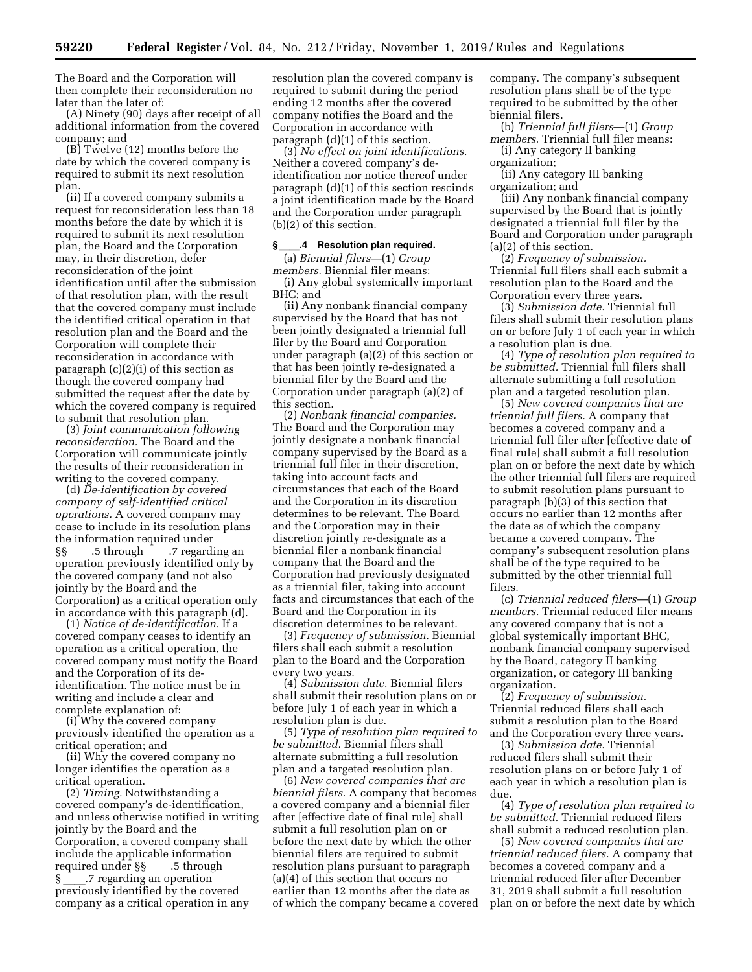The Board and the Corporation will then complete their reconsideration no later than the later of:

(A) Ninety (90) days after receipt of all additional information from the covered company; and

(B) Twelve (12) months before the date by which the covered company is required to submit its next resolution plan.

(ii) If a covered company submits a request for reconsideration less than 18 months before the date by which it is required to submit its next resolution plan, the Board and the Corporation may, in their discretion, defer reconsideration of the joint identification until after the submission of that resolution plan, with the result that the covered company must include the identified critical operation in that resolution plan and the Board and the Corporation will complete their reconsideration in accordance with paragraph (c)(2)(i) of this section as though the covered company had submitted the request after the date by which the covered company is required to submit that resolution plan.

(3) *Joint communication following reconsideration.* The Board and the Corporation will communicate jointly the results of their reconsideration in writing to the covered company.

(d) *De-identification by covered company of self-identified critical operations.* A covered company may cease to include in its resolution plans the information required under<br>
Starfted Mercedon SS 35 through 37 regarding an §§ \_\_\_\_.5 through \_\_\_\_.7 regarding an<br>operation previously identified only by the covered company (and not also jointly by the Board and the Corporation) as a critical operation only in accordance with this paragraph (d).

(1) *Notice of de-identification.* If a covered company ceases to identify an operation as a critical operation, the covered company must notify the Board and the Corporation of its deidentification. The notice must be in writing and include a clear and complete explanation of:

(i) Why the covered company previously identified the operation as a critical operation; and

(ii) Why the covered company no longer identifies the operation as a critical operation.

(2) *Timing.* Notwithstanding a covered company's de-identification, and unless otherwise notified in writing jointly by the Board and the Corporation, a covered company shall include the applicable information required under §§\_\_\_\_.5 through<br>§ 3.15 .7 regarding an operation § \_\_\_\_.7 regarding an operation<br>previously identified by the covered company as a critical operation in any

resolution plan the covered company is required to submit during the period ending 12 months after the covered company notifies the Board and the Corporation in accordance with paragraph (d)(1) of this section.

(3) *No effect on joint identifications.*  Neither a covered company's deidentification nor notice thereof under paragraph (d)(1) of this section rescinds a joint identification made by the Board and the Corporation under paragraph (b)(2) of this section.

#### **§**ll**.4 Resolution plan required.**

(a) *Biennial filers*—(1) *Group members.* Biennial filer means:

(i) Any global systemically important BHC; and

(ii) Any nonbank financial company supervised by the Board that has not been jointly designated a triennial full filer by the Board and Corporation under paragraph (a)(2) of this section or that has been jointly re-designated a biennial filer by the Board and the Corporation under paragraph (a)(2) of this section.

(2) *Nonbank financial companies.*  The Board and the Corporation may jointly designate a nonbank financial company supervised by the Board as a triennial full filer in their discretion, taking into account facts and circumstances that each of the Board and the Corporation in its discretion determines to be relevant. The Board and the Corporation may in their discretion jointly re-designate as a biennial filer a nonbank financial company that the Board and the Corporation had previously designated as a triennial filer, taking into account facts and circumstances that each of the Board and the Corporation in its discretion determines to be relevant.

(3) *Frequency of submission.* Biennial filers shall each submit a resolution plan to the Board and the Corporation every two years.

(4) *Submission date.* Biennial filers shall submit their resolution plans on or before July 1 of each year in which a resolution plan is due.

(5) *Type of resolution plan required to be submitted.* Biennial filers shall alternate submitting a full resolution plan and a targeted resolution plan.

(6) *New covered companies that are biennial filers.* A company that becomes a covered company and a biennial filer after [effective date of final rule] shall submit a full resolution plan on or before the next date by which the other biennial filers are required to submit resolution plans pursuant to paragraph (a)(4) of this section that occurs no earlier than 12 months after the date as of which the company became a covered company. The company's subsequent resolution plans shall be of the type required to be submitted by the other biennial filers.

(b) *Triennial full filers*—(1) *Group members.* Triennial full filer means:

(i) Any category II banking organization;

(ii) Any category III banking organization; and

(iii) Any nonbank financial company supervised by the Board that is jointly designated a triennial full filer by the Board and Corporation under paragraph (a)(2) of this section.

(2) *Frequency of submission.*  Triennial full filers shall each submit a resolution plan to the Board and the Corporation every three years.

(3) *Submission date.* Triennial full filers shall submit their resolution plans on or before July 1 of each year in which a resolution plan is due.

(4) *Type of resolution plan required to be submitted.* Triennial full filers shall alternate submitting a full resolution plan and a targeted resolution plan.

(5) *New covered companies that are triennial full filers.* A company that becomes a covered company and a triennial full filer after [effective date of final rule] shall submit a full resolution plan on or before the next date by which the other triennial full filers are required to submit resolution plans pursuant to paragraph (b)(3) of this section that occurs no earlier than 12 months after the date as of which the company became a covered company. The company's subsequent resolution plans shall be of the type required to be submitted by the other triennial full filers.

(c) *Triennial reduced filers*—(1) *Group members.* Triennial reduced filer means any covered company that is not a global systemically important BHC, nonbank financial company supervised by the Board, category II banking organization, or category III banking organization.

(2) *Frequency of submission.*  Triennial reduced filers shall each submit a resolution plan to the Board and the Corporation every three years.

(3) *Submission date.* Triennial reduced filers shall submit their resolution plans on or before July 1 of each year in which a resolution plan is due.

(4) *Type of resolution plan required to be submitted.* Triennial reduced filers shall submit a reduced resolution plan.

(5) *New covered companies that are triennial reduced filers.* A company that becomes a covered company and a triennial reduced filer after December 31, 2019 shall submit a full resolution plan on or before the next date by which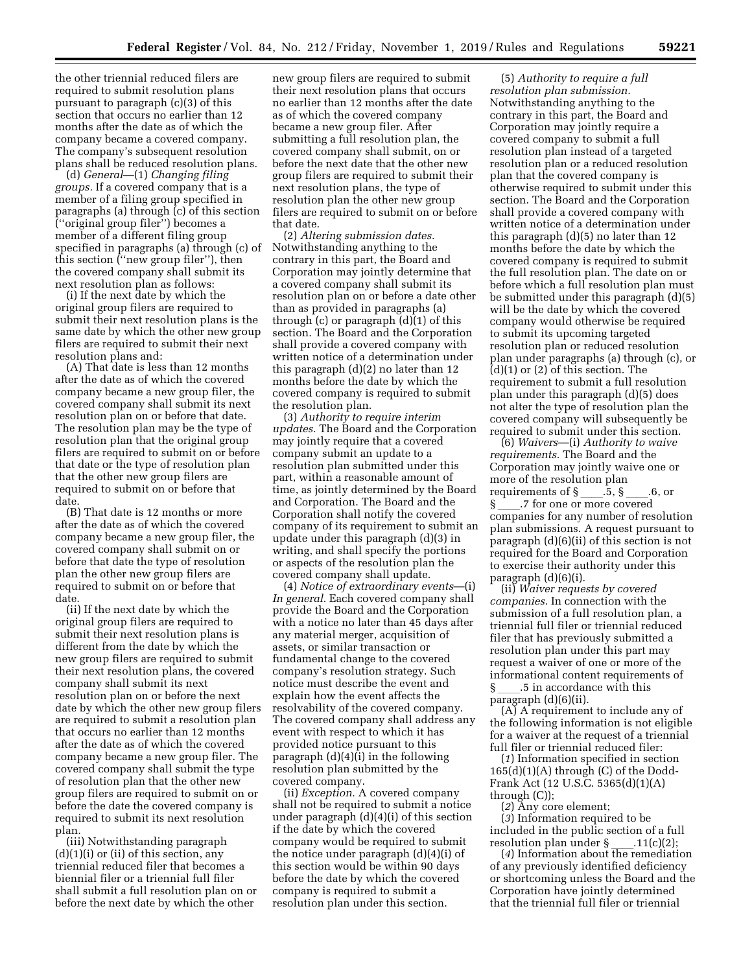the other triennial reduced filers are required to submit resolution plans pursuant to paragraph (c)(3) of this section that occurs no earlier than 12 months after the date as of which the company became a covered company. The company's subsequent resolution plans shall be reduced resolution plans.

(d) *General*—(1) *Changing filing groups.* If a covered company that is a member of a filing group specified in paragraphs (a) through (c) of this section (''original group filer'') becomes a member of a different filing group specified in paragraphs (a) through (c) of this section (''new group filer''), then the covered company shall submit its next resolution plan as follows:

(i) If the next date by which the original group filers are required to submit their next resolution plans is the same date by which the other new group filers are required to submit their next resolution plans and:

(A) That date is less than 12 months after the date as of which the covered company became a new group filer, the covered company shall submit its next resolution plan on or before that date. The resolution plan may be the type of resolution plan that the original group filers are required to submit on or before that date or the type of resolution plan that the other new group filers are required to submit on or before that date.

(B) That date is 12 months or more after the date as of which the covered company became a new group filer, the covered company shall submit on or before that date the type of resolution plan the other new group filers are required to submit on or before that date.

(ii) If the next date by which the original group filers are required to submit their next resolution plans is different from the date by which the new group filers are required to submit their next resolution plans, the covered company shall submit its next resolution plan on or before the next date by which the other new group filers are required to submit a resolution plan that occurs no earlier than 12 months after the date as of which the covered company became a new group filer. The covered company shall submit the type of resolution plan that the other new group filers are required to submit on or before the date the covered company is required to submit its next resolution plan.

(iii) Notwithstanding paragraph  $(d)(1)(i)$  or  $(ii)$  of this section, any triennial reduced filer that becomes a biennial filer or a triennial full filer shall submit a full resolution plan on or before the next date by which the other

new group filers are required to submit their next resolution plans that occurs no earlier than 12 months after the date as of which the covered company became a new group filer. After submitting a full resolution plan, the covered company shall submit, on or before the next date that the other new group filers are required to submit their next resolution plans, the type of resolution plan the other new group filers are required to submit on or before that date.

(2) *Altering submission dates.*  Notwithstanding anything to the contrary in this part, the Board and Corporation may jointly determine that a covered company shall submit its resolution plan on or before a date other than as provided in paragraphs (a) through (c) or paragraph (d)(1) of this section. The Board and the Corporation shall provide a covered company with written notice of a determination under this paragraph (d)(2) no later than 12 months before the date by which the covered company is required to submit the resolution plan.

(3) *Authority to require interim updates.* The Board and the Corporation may jointly require that a covered company submit an update to a resolution plan submitted under this part, within a reasonable amount of time, as jointly determined by the Board and Corporation. The Board and the Corporation shall notify the covered company of its requirement to submit an update under this paragraph (d)(3) in writing, and shall specify the portions or aspects of the resolution plan the covered company shall update.

(4) *Notice of extraordinary events*—(i) *In general.* Each covered company shall provide the Board and the Corporation with a notice no later than 45 days after any material merger, acquisition of assets, or similar transaction or fundamental change to the covered company's resolution strategy. Such notice must describe the event and explain how the event affects the resolvability of the covered company. The covered company shall address any event with respect to which it has provided notice pursuant to this paragraph (d)(4)(i) in the following resolution plan submitted by the covered company.

(ii) *Exception.* A covered company shall not be required to submit a notice under paragraph (d)(4)(i) of this section if the date by which the covered company would be required to submit the notice under paragraph (d)(4)(i) of this section would be within 90 days before the date by which the covered company is required to submit a resolution plan under this section.

(5) *Authority to require a full resolution plan submission.*  Notwithstanding anything to the contrary in this part, the Board and Corporation may jointly require a covered company to submit a full resolution plan instead of a targeted resolution plan or a reduced resolution plan that the covered company is otherwise required to submit under this section. The Board and the Corporation shall provide a covered company with written notice of a determination under this paragraph (d)(5) no later than 12 months before the date by which the covered company is required to submit the full resolution plan. The date on or before which a full resolution plan must be submitted under this paragraph (d)(5) will be the date by which the covered company would otherwise be required to submit its upcoming targeted resolution plan or reduced resolution plan under paragraphs (a) through (c), or  $(d)(1)$  or  $(2)$  of this section. The requirement to submit a full resolution plan under this paragraph (d)(5) does not alter the type of resolution plan the covered company will subsequently be required to submit under this section.

(6) *Waivers*—(i) *Authority to waive requirements.* The Board and the Corporation may jointly waive one or more of the resolution plan requirements of  $\underbrace{\S...}.5, \underline{\S...}.6, \text{ or }$ <br> $\underbrace{\S...7}$  for one or more covered § \_\_\_\_.7 for one or more covered<br>companies for any number of res companies for any number of resolution plan submissions. A request pursuant to paragraph (d)(6)(ii) of this section is not required for the Board and Corporation to exercise their authority under this paragraph (d)(6)(i).

(ii) *Waiver requests by covered companies.* In connection with the submission of a full resolution plan, a triennial full filer or triennial reduced filer that has previously submitted a resolution plan under this part may request a waiver of one or more of the informational content requirements of § \_\_\_\_.5 in accordance with this paragraph (d)(6)(ii).

(A) A requirement to include any of the following information is not eligible for a waiver at the request of a triennial full filer or triennial reduced filer:

(*1*) Information specified in section  $165(d)(1)(A)$  through  $(C)$  of the Dodd-Frank Act (12 U.S.C. 5365(d)(1)(A) through (C));

(*2*) Any core element;

(*3*) Information required to be included in the public section of a full<br>resolution plan under  $\S$  .11(c)(2); resolution plan under §\_\_\_\_.11(c)(2);<br>(4) Information about the remediation

of any previously identified deficiency or shortcoming unless the Board and the Corporation have jointly determined that the triennial full filer or triennial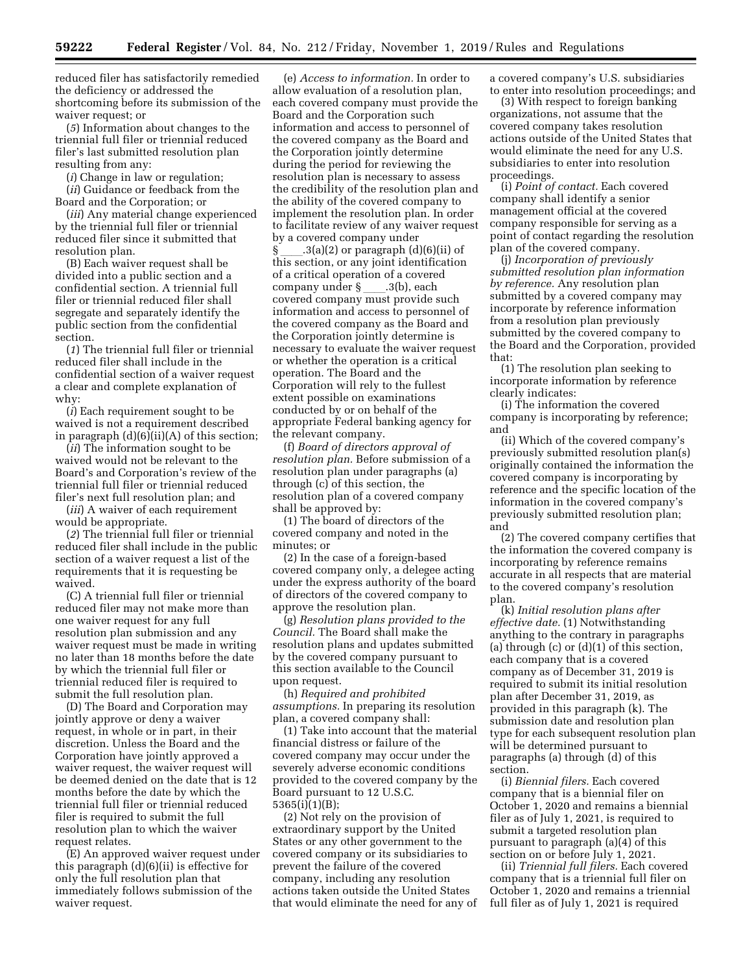reduced filer has satisfactorily remedied the deficiency or addressed the shortcoming before its submission of the waiver request; or

(*5*) Information about changes to the triennial full filer or triennial reduced filer's last submitted resolution plan resulting from any:

(*i*) Change in law or regulation;

(*ii*) Guidance or feedback from the Board and the Corporation; or

(*iii*) Any material change experienced by the triennial full filer or triennial reduced filer since it submitted that resolution plan.

(B) Each waiver request shall be divided into a public section and a confidential section. A triennial full filer or triennial reduced filer shall segregate and separately identify the public section from the confidential section.

(*1*) The triennial full filer or triennial reduced filer shall include in the confidential section of a waiver request a clear and complete explanation of why:

(*i*) Each requirement sought to be waived is not a requirement described in paragraph  $(d)(6)(ii)(A)$  of this section;

(*ii*) The information sought to be waived would not be relevant to the Board's and Corporation's review of the triennial full filer or triennial reduced filer's next full resolution plan; and

(*iii*) A waiver of each requirement would be appropriate.

(*2*) The triennial full filer or triennial reduced filer shall include in the public section of a waiver request a list of the requirements that it is requesting be waived.

(C) A triennial full filer or triennial reduced filer may not make more than one waiver request for any full resolution plan submission and any waiver request must be made in writing no later than 18 months before the date by which the triennial full filer or triennial reduced filer is required to submit the full resolution plan.

(D) The Board and Corporation may jointly approve or deny a waiver request, in whole or in part, in their discretion. Unless the Board and the Corporation have jointly approved a waiver request, the waiver request will be deemed denied on the date that is 12 months before the date by which the triennial full filer or triennial reduced filer is required to submit the full resolution plan to which the waiver request relates.

(E) An approved waiver request under this paragraph (d)(6)(ii) is effective for only the full resolution plan that immediately follows submission of the waiver request.

(e) *Access to information.* In order to allow evaluation of a resolution plan, each covered company must provide the Board and the Corporation such information and access to personnel of the covered company as the Board and the Corporation jointly determine during the period for reviewing the resolution plan is necessary to assess the credibility of the resolution plan and the ability of the covered company to implement the resolution plan. In order to facilitate review of any waiver request by a covered company under

 $\lambda(3(a)(2)$  or paragraph  $(d)(6)(ii)$  of this section, or any joint identification of a critical operation of a covered company under § \_\_\_\_.3(b), each<br>covered company must provide such information and access to personnel of the covered company as the Board and the Corporation jointly determine is necessary to evaluate the waiver request or whether the operation is a critical operation. The Board and the Corporation will rely to the fullest extent possible on examinations conducted by or on behalf of the appropriate Federal banking agency for the relevant company.

(f) *Board of directors approval of resolution plan.* Before submission of a resolution plan under paragraphs (a) through (c) of this section, the resolution plan of a covered company shall be approved by:

(1) The board of directors of the covered company and noted in the minutes; or

(2) In the case of a foreign-based covered company only, a delegee acting under the express authority of the board of directors of the covered company to approve the resolution plan.

(g) *Resolution plans provided to the Council.* The Board shall make the resolution plans and updates submitted by the covered company pursuant to this section available to the Council upon request.

(h) *Required and prohibited assumptions.* In preparing its resolution plan, a covered company shall:

(1) Take into account that the material financial distress or failure of the covered company may occur under the severely adverse economic conditions provided to the covered company by the Board pursuant to 12 U.S.C. 5365(i)(1)(B);

(2) Not rely on the provision of extraordinary support by the United States or any other government to the covered company or its subsidiaries to prevent the failure of the covered company, including any resolution actions taken outside the United States that would eliminate the need for any of a covered company's U.S. subsidiaries to enter into resolution proceedings; and

(3) With respect to foreign banking organizations, not assume that the covered company takes resolution actions outside of the United States that would eliminate the need for any U.S. subsidiaries to enter into resolution proceedings.

(i) *Point of contact.* Each covered company shall identify a senior management official at the covered company responsible for serving as a point of contact regarding the resolution plan of the covered company.

(j) *Incorporation of previously submitted resolution plan information by reference.* Any resolution plan submitted by a covered company may incorporate by reference information from a resolution plan previously submitted by the covered company to the Board and the Corporation, provided that:

(1) The resolution plan seeking to incorporate information by reference clearly indicates:

(i) The information the covered company is incorporating by reference; and

(ii) Which of the covered company's previously submitted resolution plan(s) originally contained the information the covered company is incorporating by reference and the specific location of the information in the covered company's previously submitted resolution plan; and

(2) The covered company certifies that the information the covered company is incorporating by reference remains accurate in all respects that are material to the covered company's resolution plan.

(k) *Initial resolution plans after effective date.* (1) Notwithstanding anything to the contrary in paragraphs (a) through  $(c)$  or  $(d)(1)$  of this section, each company that is a covered company as of December 31, 2019 is required to submit its initial resolution plan after December 31, 2019, as provided in this paragraph (k). The submission date and resolution plan type for each subsequent resolution plan will be determined pursuant to paragraphs (a) through (d) of this section.

(i) *Biennial filers.* Each covered company that is a biennial filer on October 1, 2020 and remains a biennial filer as of July 1, 2021, is required to submit a targeted resolution plan pursuant to paragraph (a)(4) of this section on or before July 1, 2021.

(ii) *Triennial full filers.* Each covered company that is a triennial full filer on October 1, 2020 and remains a triennial full filer as of July 1, 2021 is required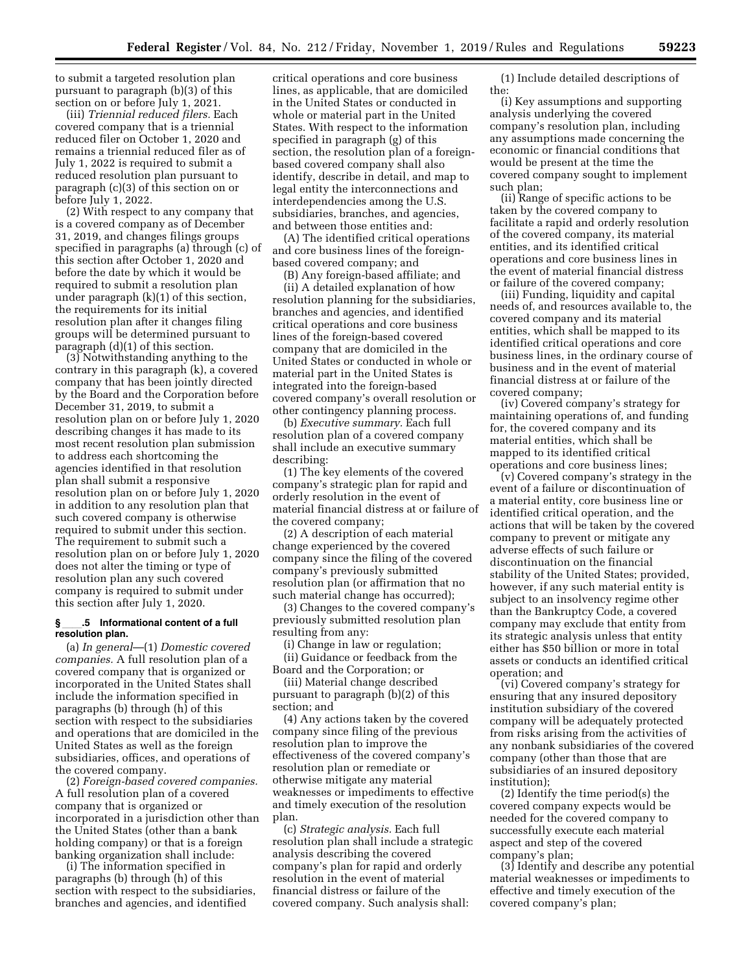to submit a targeted resolution plan pursuant to paragraph (b)(3) of this section on or before July 1, 2021.

(iii) *Triennial reduced filers.* Each covered company that is a triennial reduced filer on October 1, 2020 and remains a triennial reduced filer as of July 1, 2022 is required to submit a reduced resolution plan pursuant to paragraph (c)(3) of this section on or before July 1, 2022.

(2) With respect to any company that is a covered company as of December 31, 2019, and changes filings groups specified in paragraphs (a) through (c) of this section after October 1, 2020 and before the date by which it would be required to submit a resolution plan under paragraph (k)(1) of this section, the requirements for its initial resolution plan after it changes filing groups will be determined pursuant to paragraph (d)(1) of this section.

(3) Notwithstanding anything to the contrary in this paragraph (k), a covered company that has been jointly directed by the Board and the Corporation before December 31, 2019, to submit a resolution plan on or before July 1, 2020 describing changes it has made to its most recent resolution plan submission to address each shortcoming the agencies identified in that resolution plan shall submit a responsive resolution plan on or before July 1, 2020 in addition to any resolution plan that such covered company is otherwise required to submit under this section. The requirement to submit such a resolution plan on or before July 1, 2020 does not alter the timing or type of resolution plan any such covered company is required to submit under this section after July 1, 2020.

# **§**ll**.5 Informational content of a full resolution plan.**

(a) *In general*—(1) *Domestic covered companies.* A full resolution plan of a covered company that is organized or incorporated in the United States shall include the information specified in paragraphs (b) through (h) of this section with respect to the subsidiaries and operations that are domiciled in the United States as well as the foreign subsidiaries, offices, and operations of the covered company.

(2) *Foreign-based covered companies.*  A full resolution plan of a covered company that is organized or incorporated in a jurisdiction other than the United States (other than a bank holding company) or that is a foreign banking organization shall include:

(i) The information specified in paragraphs (b) through (h) of this section with respect to the subsidiaries, branches and agencies, and identified

critical operations and core business lines, as applicable, that are domiciled in the United States or conducted in whole or material part in the United States. With respect to the information specified in paragraph (g) of this section, the resolution plan of a foreignbased covered company shall also identify, describe in detail, and map to legal entity the interconnections and interdependencies among the U.S. subsidiaries, branches, and agencies, and between those entities and:

(A) The identified critical operations and core business lines of the foreignbased covered company; and

(B) Any foreign-based affiliate; and (ii) A detailed explanation of how resolution planning for the subsidiaries, branches and agencies, and identified critical operations and core business lines of the foreign-based covered company that are domiciled in the United States or conducted in whole or material part in the United States is integrated into the foreign-based covered company's overall resolution or other contingency planning process.

(b) *Executive summary.* Each full resolution plan of a covered company shall include an executive summary describing:

(1) The key elements of the covered company's strategic plan for rapid and orderly resolution in the event of material financial distress at or failure of the covered company;

(2) A description of each material change experienced by the covered company since the filing of the covered company's previously submitted resolution plan (or affirmation that no such material change has occurred);

(3) Changes to the covered company's previously submitted resolution plan resulting from any:

(i) Change in law or regulation;

(ii) Guidance or feedback from the Board and the Corporation; or

(iii) Material change described pursuant to paragraph (b)(2) of this section; and

(4) Any actions taken by the covered company since filing of the previous resolution plan to improve the effectiveness of the covered company's resolution plan or remediate or otherwise mitigate any material weaknesses or impediments to effective and timely execution of the resolution plan.

(c) *Strategic analysis.* Each full resolution plan shall include a strategic analysis describing the covered company's plan for rapid and orderly resolution in the event of material financial distress or failure of the covered company. Such analysis shall:

(1) Include detailed descriptions of the:

(i) Key assumptions and supporting analysis underlying the covered company's resolution plan, including any assumptions made concerning the economic or financial conditions that would be present at the time the covered company sought to implement such plan;

(ii) Range of specific actions to be taken by the covered company to facilitate a rapid and orderly resolution of the covered company, its material entities, and its identified critical operations and core business lines in the event of material financial distress or failure of the covered company;

(iii) Funding, liquidity and capital needs of, and resources available to, the covered company and its material entities, which shall be mapped to its identified critical operations and core business lines, in the ordinary course of business and in the event of material financial distress at or failure of the covered company;

(iv) Covered company's strategy for maintaining operations of, and funding for, the covered company and its material entities, which shall be mapped to its identified critical operations and core business lines;

(v) Covered company's strategy in the event of a failure or discontinuation of a material entity, core business line or identified critical operation, and the actions that will be taken by the covered company to prevent or mitigate any adverse effects of such failure or discontinuation on the financial stability of the United States; provided, however, if any such material entity is subject to an insolvency regime other than the Bankruptcy Code, a covered company may exclude that entity from its strategic analysis unless that entity either has \$50 billion or more in total assets or conducts an identified critical operation; and

(vi) Covered company's strategy for ensuring that any insured depository institution subsidiary of the covered company will be adequately protected from risks arising from the activities of any nonbank subsidiaries of the covered company (other than those that are subsidiaries of an insured depository institution);

(2) Identify the time period(s) the covered company expects would be needed for the covered company to successfully execute each material aspect and step of the covered company's plan;

(3) Identify and describe any potential material weaknesses or impediments to effective and timely execution of the covered company's plan;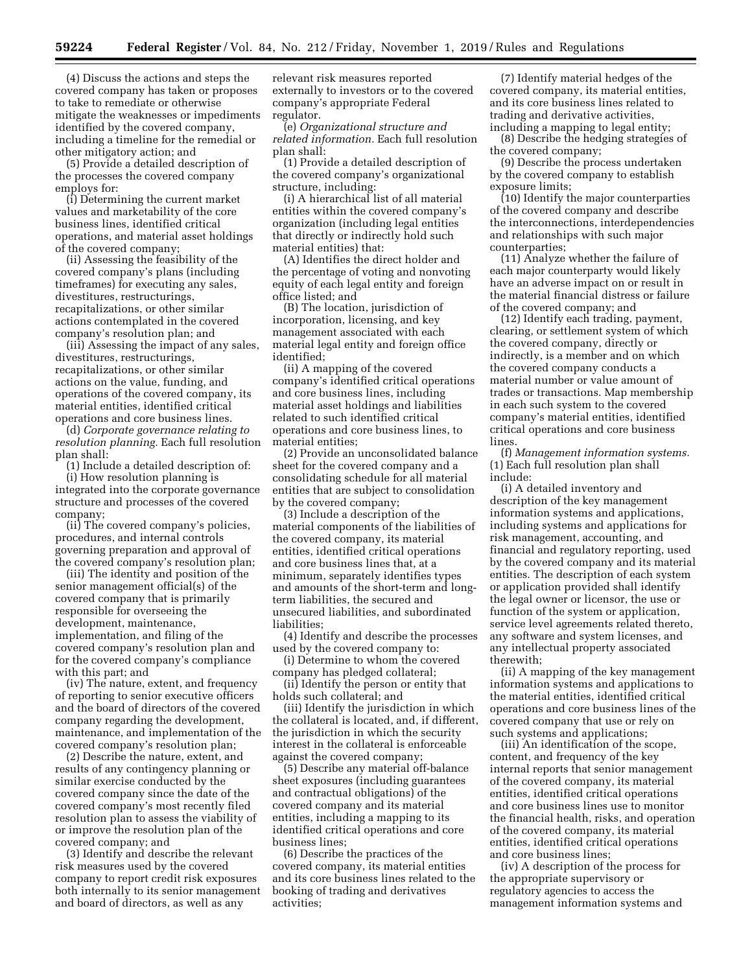(4) Discuss the actions and steps the covered company has taken or proposes to take to remediate or otherwise mitigate the weaknesses or impediments identified by the covered company, including a timeline for the remedial or other mitigatory action; and

(5) Provide a detailed description of the processes the covered company employs for:

(i) Determining the current market values and marketability of the core business lines, identified critical operations, and material asset holdings of the covered company;

(ii) Assessing the feasibility of the covered company's plans (including timeframes) for executing any sales, divestitures, restructurings, recapitalizations, or other similar actions contemplated in the covered company's resolution plan; and

(iii) Assessing the impact of any sales, divestitures, restructurings, recapitalizations, or other similar actions on the value, funding, and operations of the covered company, its material entities, identified critical operations and core business lines.

(d) *Corporate governance relating to resolution planning.* Each full resolution plan shall:

(1) Include a detailed description of: (i) How resolution planning is integrated into the corporate governance structure and processes of the covered company;

(ii) The covered company's policies, procedures, and internal controls governing preparation and approval of the covered company's resolution plan;

(iii) The identity and position of the senior management official(s) of the covered company that is primarily responsible for overseeing the development, maintenance, implementation, and filing of the covered company's resolution plan and for the covered company's compliance with this part; and

(iv) The nature, extent, and frequency of reporting to senior executive officers and the board of directors of the covered company regarding the development, maintenance, and implementation of the covered company's resolution plan;

(2) Describe the nature, extent, and results of any contingency planning or similar exercise conducted by the covered company since the date of the covered company's most recently filed resolution plan to assess the viability of or improve the resolution plan of the covered company; and

(3) Identify and describe the relevant risk measures used by the covered company to report credit risk exposures both internally to its senior management and board of directors, as well as any

relevant risk measures reported externally to investors or to the covered company's appropriate Federal regulator.

(e) *Organizational structure and related information.* Each full resolution plan shall:

(1) Provide a detailed description of the covered company's organizational structure, including:

(i) A hierarchical list of all material entities within the covered company's organization (including legal entities that directly or indirectly hold such material entities) that:

(A) Identifies the direct holder and the percentage of voting and nonvoting equity of each legal entity and foreign office listed; and

(B) The location, jurisdiction of incorporation, licensing, and key management associated with each material legal entity and foreign office identified;

(ii) A mapping of the covered company's identified critical operations and core business lines, including material asset holdings and liabilities related to such identified critical operations and core business lines, to material entities;

(2) Provide an unconsolidated balance sheet for the covered company and a consolidating schedule for all material entities that are subject to consolidation by the covered company;

(3) Include a description of the material components of the liabilities of the covered company, its material entities, identified critical operations and core business lines that, at a minimum, separately identifies types and amounts of the short-term and longterm liabilities, the secured and unsecured liabilities, and subordinated liabilities;

(4) Identify and describe the processes used by the covered company to:

(i) Determine to whom the covered company has pledged collateral;

(ii) Identify the person or entity that holds such collateral; and

(iii) Identify the jurisdiction in which the collateral is located, and, if different, the jurisdiction in which the security interest in the collateral is enforceable against the covered company;

(5) Describe any material off-balance sheet exposures (including guarantees and contractual obligations) of the covered company and its material entities, including a mapping to its identified critical operations and core business lines;

(6) Describe the practices of the covered company, its material entities and its core business lines related to the booking of trading and derivatives activities;

(7) Identify material hedges of the covered company, its material entities, and its core business lines related to trading and derivative activities, including a mapping to legal entity;

(8) Describe the hedging strategies of the covered company;

(9) Describe the process undertaken by the covered company to establish exposure limits;

(10) Identify the major counterparties of the covered company and describe the interconnections, interdependencies and relationships with such major counterparties;

(11) Analyze whether the failure of each major counterparty would likely have an adverse impact on or result in the material financial distress or failure of the covered company; and

(12) Identify each trading, payment, clearing, or settlement system of which the covered company, directly or indirectly, is a member and on which the covered company conducts a material number or value amount of trades or transactions. Map membership in each such system to the covered company's material entities, identified critical operations and core business lines.

(f) *Management information systems.*  (1) Each full resolution plan shall include:

(i) A detailed inventory and description of the key management information systems and applications, including systems and applications for risk management, accounting, and financial and regulatory reporting, used by the covered company and its material entities. The description of each system or application provided shall identify the legal owner or licensor, the use or function of the system or application, service level agreements related thereto, any software and system licenses, and any intellectual property associated therewith;

(ii) A mapping of the key management information systems and applications to the material entities, identified critical operations and core business lines of the covered company that use or rely on such systems and applications;

(iii) An identification of the scope, content, and frequency of the key internal reports that senior management of the covered company, its material entities, identified critical operations and core business lines use to monitor the financial health, risks, and operation of the covered company, its material entities, identified critical operations and core business lines;

(iv) A description of the process for the appropriate supervisory or regulatory agencies to access the management information systems and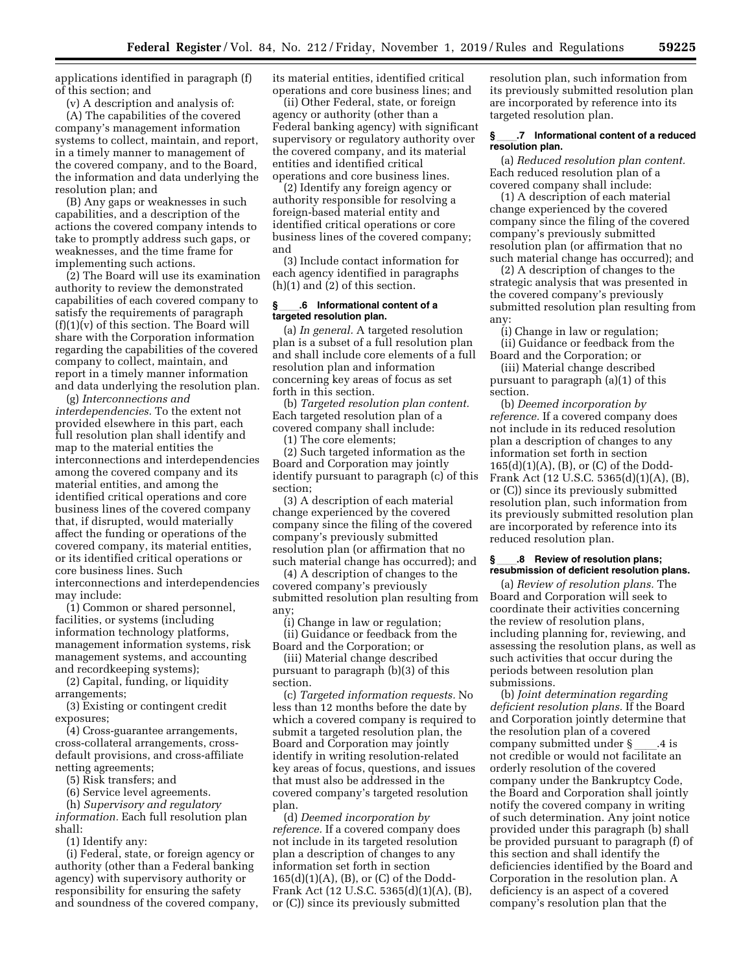applications identified in paragraph (f) of this section; and

(v) A description and analysis of: (A) The capabilities of the covered company's management information systems to collect, maintain, and report, in a timely manner to management of the covered company, and to the Board,

resolution plan; and (B) Any gaps or weaknesses in such capabilities, and a description of the actions the covered company intends to take to promptly address such gaps, or weaknesses, and the time frame for implementing such actions.

the information and data underlying the

(2) The Board will use its examination authority to review the demonstrated capabilities of each covered company to satisfy the requirements of paragraph (f)(1)(v) of this section. The Board will share with the Corporation information regarding the capabilities of the covered company to collect, maintain, and report in a timely manner information and data underlying the resolution plan.

(g) *Interconnections and interdependencies.* To the extent not provided elsewhere in this part, each full resolution plan shall identify and map to the material entities the interconnections and interdependencies among the covered company and its material entities, and among the identified critical operations and core business lines of the covered company that, if disrupted, would materially affect the funding or operations of the covered company, its material entities, or its identified critical operations or core business lines. Such interconnections and interdependencies may include:

(1) Common or shared personnel, facilities, or systems (including information technology platforms, management information systems, risk management systems, and accounting and recordkeeping systems);

(2) Capital, funding, or liquidity arrangements;

(3) Existing or contingent credit exposures;

(4) Cross-guarantee arrangements, cross-collateral arrangements, crossdefault provisions, and cross-affiliate netting agreements;

(5) Risk transfers; and

(6) Service level agreements.

(h) *Supervisory and regulatory information.* Each full resolution plan shall:

(1) Identify any:

(i) Federal, state, or foreign agency or authority (other than a Federal banking agency) with supervisory authority or responsibility for ensuring the safety and soundness of the covered company, its material entities, identified critical operations and core business lines; and

(ii) Other Federal, state, or foreign agency or authority (other than a Federal banking agency) with significant supervisory or regulatory authority over the covered company, and its material entities and identified critical operations and core business lines.

(2) Identify any foreign agency or authority responsible for resolving a foreign-based material entity and identified critical operations or core business lines of the covered company; and

(3) Include contact information for each agency identified in paragraphs (h)(1) and (2) of this section.

# **§**ll**.6 Informational content of a targeted resolution plan.**

(a) *In general.* A targeted resolution plan is a subset of a full resolution plan and shall include core elements of a full resolution plan and information concerning key areas of focus as set forth in this section.

(b) *Targeted resolution plan content.*  Each targeted resolution plan of a covered company shall include:

(1) The core elements;

(2) Such targeted information as the Board and Corporation may jointly identify pursuant to paragraph (c) of this section;

(3) A description of each material change experienced by the covered company since the filing of the covered company's previously submitted resolution plan (or affirmation that no such material change has occurred); and

(4) A description of changes to the covered company's previously submitted resolution plan resulting from any;

(i) Change in law or regulation;

(ii) Guidance or feedback from the Board and the Corporation; or

(iii) Material change described pursuant to paragraph (b)(3) of this section.

(c) *Targeted information requests.* No less than 12 months before the date by which a covered company is required to submit a targeted resolution plan, the Board and Corporation may jointly identify in writing resolution-related key areas of focus, questions, and issues that must also be addressed in the covered company's targeted resolution plan.

(d) *Deemed incorporation by reference.* If a covered company does not include in its targeted resolution plan a description of changes to any information set forth in section 165(d)(1)(A), (B), or (C) of the Dodd-Frank Act (12 U.S.C. 5365(d)(1)(A), (B), or (C)) since its previously submitted

resolution plan, such information from its previously submitted resolution plan are incorporated by reference into its targeted resolution plan.

# **§**ll**.7 Informational content of a reduced resolution plan.**

(a) *Reduced resolution plan content.*  Each reduced resolution plan of a covered company shall include:

(1) A description of each material change experienced by the covered company since the filing of the covered company's previously submitted resolution plan (or affirmation that no such material change has occurred); and

(2) A description of changes to the strategic analysis that was presented in the covered company's previously submitted resolution plan resulting from any:

(i) Change in law or regulation; (ii) Guidance or feedback from the

Board and the Corporation; or (iii) Material change described pursuant to paragraph (a)(1) of this section.

(b) *Deemed incorporation by reference.* If a covered company does not include in its reduced resolution plan a description of changes to any information set forth in section 165(d)(1)(A), (B), or (C) of the Dodd-Frank Act (12 U.S.C. 5365(d)(1)(A), (B), or (C)) since its previously submitted resolution plan, such information from its previously submitted resolution plan are incorporated by reference into its reduced resolution plan.

#### **§**ll**.8 Review of resolution plans; resubmission of deficient resolution plans.**

(a) *Review of resolution plans.* The Board and Corporation will seek to coordinate their activities concerning the review of resolution plans, including planning for, reviewing, and assessing the resolution plans, as well as such activities that occur during the periods between resolution plan submissions.

(b) *Joint determination regarding deficient resolution plans.* If the Board and Corporation jointly determine that the resolution plan of a covered company submitted under § \_\_\_\_.4 is<br>not credible or would not facilitate an orderly resolution of the covered company under the Bankruptcy Code, the Board and Corporation shall jointly notify the covered company in writing of such determination. Any joint notice provided under this paragraph (b) shall be provided pursuant to paragraph (f) of this section and shall identify the deficiencies identified by the Board and Corporation in the resolution plan. A deficiency is an aspect of a covered company's resolution plan that the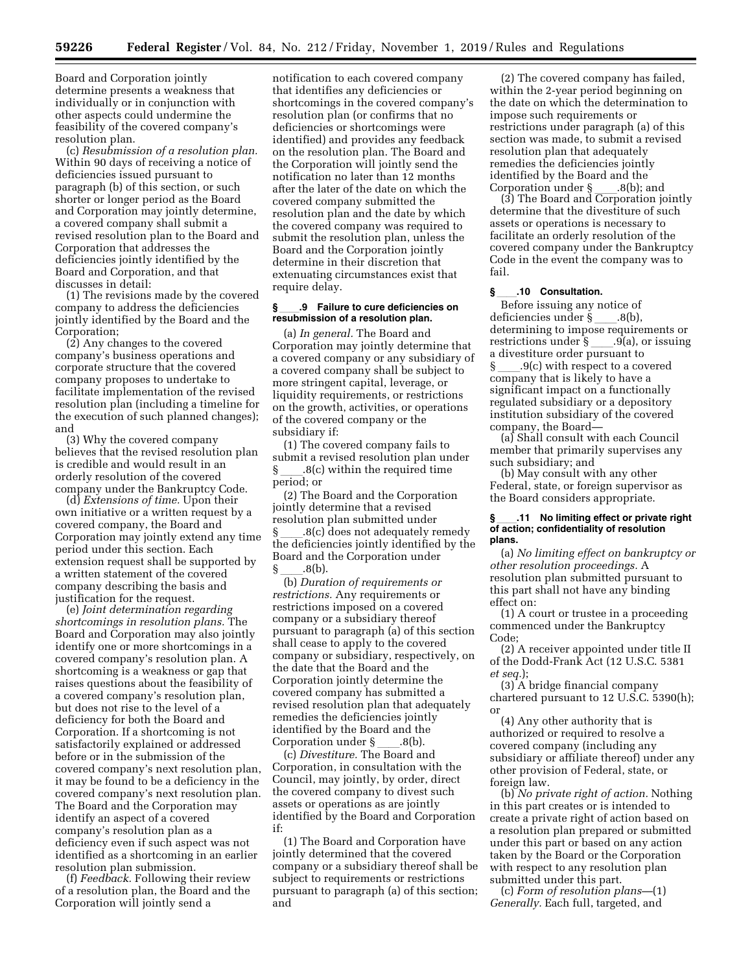Board and Corporation jointly determine presents a weakness that individually or in conjunction with other aspects could undermine the feasibility of the covered company's resolution plan.

(c) *Resubmission of a resolution plan.*  Within 90 days of receiving a notice of deficiencies issued pursuant to paragraph (b) of this section, or such shorter or longer period as the Board and Corporation may jointly determine, a covered company shall submit a revised resolution plan to the Board and Corporation that addresses the deficiencies jointly identified by the Board and Corporation, and that discusses in detail:

(1) The revisions made by the covered company to address the deficiencies jointly identified by the Board and the Corporation;

(2) Any changes to the covered company's business operations and corporate structure that the covered company proposes to undertake to facilitate implementation of the revised resolution plan (including a timeline for the execution of such planned changes); and

(3) Why the covered company believes that the revised resolution plan is credible and would result in an orderly resolution of the covered company under the Bankruptcy Code.

(d) *Extensions of time.* Upon their own initiative or a written request by a covered company, the Board and Corporation may jointly extend any time period under this section. Each extension request shall be supported by a written statement of the covered company describing the basis and justification for the request.

(e) *Joint determination regarding shortcomings in resolution plans.* The Board and Corporation may also jointly identify one or more shortcomings in a covered company's resolution plan. A shortcoming is a weakness or gap that raises questions about the feasibility of a covered company's resolution plan, but does not rise to the level of a deficiency for both the Board and Corporation. If a shortcoming is not satisfactorily explained or addressed before or in the submission of the covered company's next resolution plan, it may be found to be a deficiency in the covered company's next resolution plan. The Board and the Corporation may identify an aspect of a covered company's resolution plan as a deficiency even if such aspect was not identified as a shortcoming in an earlier resolution plan submission.

(f) *Feedback.* Following their review of a resolution plan, the Board and the Corporation will jointly send a

notification to each covered company that identifies any deficiencies or shortcomings in the covered company's resolution plan (or confirms that no deficiencies or shortcomings were identified) and provides any feedback on the resolution plan. The Board and the Corporation will jointly send the notification no later than 12 months after the later of the date on which the covered company submitted the resolution plan and the date by which the covered company was required to submit the resolution plan, unless the Board and the Corporation jointly determine in their discretion that extenuating circumstances exist that require delay.

# §<sub>\_\_\_\_\_</sub>9 Failure to cure deficiencies on<br>resubmission of a resolution plan.

(a) *In general.* The Board and Corporation may jointly determine that a covered company or any subsidiary of a covered company shall be subject to more stringent capital, leverage, or liquidity requirements, or restrictions on the growth, activities, or operations of the covered company or the subsidiary if:

(1) The covered company fails to submit a revised resolution plan under  $\S$  .8(c) within the required time period; or

(2) The Board and the Corporation jointly determine that a revised resolution plan submitted under .8(c) does not adequately remedy the deficiencies jointly identified by the Board and the Corporation under

§ \_\_\_\_.8(b).<br>(b) *Duration of requirements or restrictions.* Any requirements or restrictions imposed on a covered company or a subsidiary thereof pursuant to paragraph (a) of this section shall cease to apply to the covered company or subsidiary, respectively, on the date that the Board and the Corporation jointly determine the covered company has submitted a revised resolution plan that adequately remedies the deficiencies jointly identified by the Board and the

Corporation under §\_\_\_\_.8(b).<br>(c) *Divestiture.* The Board and Corporation, in consultation with the Council, may jointly, by order, direct the covered company to divest such assets or operations as are jointly identified by the Board and Corporation if:

(1) The Board and Corporation have jointly determined that the covered company or a subsidiary thereof shall be subject to requirements or restrictions pursuant to paragraph (a) of this section; and

(2) The covered company has failed, within the 2-year period beginning on the date on which the determination to impose such requirements or restrictions under paragraph (a) of this section was made, to submit a revised resolution plan that adequately remedies the deficiencies jointly identified by the Board and the

Corporation under § \_\_\_.8(b); and<br>(3) The Board and Corporation jointly determine that the divestiture of such assets or operations is necessary to facilitate an orderly resolution of the covered company under the Bankruptcy Code in the event the company was to fail.

# **§**ll**.10 Consultation.**

Before issuing any notice of deficiencies under § .8(b), determining to impose requirements or<br>restrictions under § .9(a), or issuing restrictions under § \_\_\_\_.9(a), or issuing<br>a divestiture order pursuant to  $.9(c)$  with respect to a covered company that is likely to have a significant impact on a functionally regulated subsidiary or a depository institution subsidiary of the covered company, the Board—

(a) Shall consult with each Council member that primarily supervises any such subsidiary; and

(b) May consult with any other Federal, state, or foreign supervisor as the Board considers appropriate.

# **§**ll**.11 No limiting effect or private right of action; confidentiality of resolution plans.**

(a) *No limiting effect on bankruptcy or other resolution proceedings.* A resolution plan submitted pursuant to this part shall not have any binding effect on:

(1) A court or trustee in a proceeding commenced under the Bankruptcy Code;

(2) A receiver appointed under title II of the Dodd-Frank Act (12 U.S.C. 5381 *et seq.*);

(3) A bridge financial company chartered pursuant to 12 U.S.C. 5390(h); or

(4) Any other authority that is authorized or required to resolve a covered company (including any subsidiary or affiliate thereof) under any other provision of Federal, state, or foreign law.

(b) *No private right of action.* Nothing in this part creates or is intended to create a private right of action based on a resolution plan prepared or submitted under this part or based on any action taken by the Board or the Corporation with respect to any resolution plan submitted under this part.

(c) *Form of resolution plans—*(1) *Generally.* Each full, targeted, and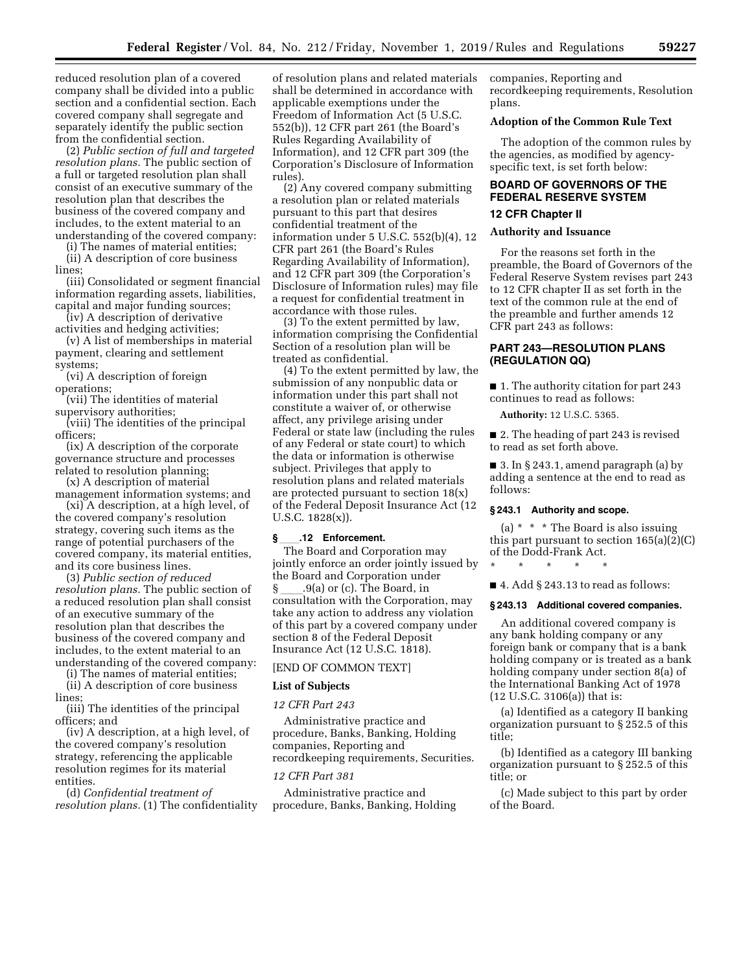reduced resolution plan of a covered company shall be divided into a public section and a confidential section. Each covered company shall segregate and separately identify the public section from the confidential section.

(2) *Public section of full and targeted resolution plans.* The public section of a full or targeted resolution plan shall consist of an executive summary of the resolution plan that describes the business of the covered company and includes, to the extent material to an understanding of the covered company:

(i) The names of material entities;

(ii) A description of core business lines;

(iii) Consolidated or segment financial information regarding assets, liabilities, capital and major funding sources;

(iv) A description of derivative activities and hedging activities;

(v) A list of memberships in material payment, clearing and settlement systems;

(vi) A description of foreign operations;

(vii) The identities of material supervisory authorities;

(viii) The identities of the principal officers;

(ix) A description of the corporate governance structure and processes related to resolution planning;

(x) A description of material management information systems; and

(xi) A description, at a high level, of the covered company's resolution strategy, covering such items as the range of potential purchasers of the covered company, its material entities, and its core business lines.

(3) *Public section of reduced resolution plans.* The public section of a reduced resolution plan shall consist of an executive summary of the resolution plan that describes the business of the covered company and includes, to the extent material to an understanding of the covered company:

(i) The names of material entities;

(ii) A description of core business lines;

(iii) The identities of the principal officers; and

(iv) A description, at a high level, of the covered company's resolution strategy, referencing the applicable resolution regimes for its material entities.

(d) *Confidential treatment of resolution plans.* (1) The confidentiality

of resolution plans and related materials shall be determined in accordance with applicable exemptions under the Freedom of Information Act (5 U.S.C. 552(b)), 12 CFR part 261 (the Board's Rules Regarding Availability of Information), and 12 CFR part 309 (the Corporation's Disclosure of Information rules).

(2) Any covered company submitting a resolution plan or related materials pursuant to this part that desires confidential treatment of the information under 5 U.S.C. 552(b)(4), 12 CFR part 261 (the Board's Rules Regarding Availability of Information), and 12 CFR part 309 (the Corporation's Disclosure of Information rules) may file a request for confidential treatment in accordance with those rules.

(3) To the extent permitted by law, information comprising the Confidential Section of a resolution plan will be treated as confidential.

(4) To the extent permitted by law, the submission of any nonpublic data or information under this part shall not constitute a waiver of, or otherwise affect, any privilege arising under Federal or state law (including the rules of any Federal or state court) to which the data or information is otherwise subject. Privileges that apply to resolution plans and related materials are protected pursuant to section 18(x) of the Federal Deposit Insurance Act (12 U.S.C. 1828(x)).

# **§**ll**.12 Enforcement.**

The Board and Corporation may jointly enforce an order jointly issued by the Board and Corporation under § \_\_\_\_.9(a) or (c). The Board, in<br>consultation with the Corporation, may take any action to address any violation of this part by a covered company under section 8 of the Federal Deposit Insurance Act (12 U.S.C. 1818).

# [END OF COMMON TEXT]

#### **List of Subjects**

# *12 CFR Part 243*

Administrative practice and procedure, Banks, Banking, Holding companies, Reporting and recordkeeping requirements, Securities.

# *12 CFR Part 381*

Administrative practice and procedure, Banks, Banking, Holding companies, Reporting and recordkeeping requirements, Resolution plans.

# **Adoption of the Common Rule Text**

The adoption of the common rules by the agencies, as modified by agencyspecific text, is set forth below:

# **BOARD OF GOVERNORS OF THE FEDERAL RESERVE SYSTEM**

# **12 CFR Chapter II**

# **Authority and Issuance**

For the reasons set forth in the preamble, the Board of Governors of the Federal Reserve System revises part 243 to 12 CFR chapter II as set forth in the text of the common rule at the end of the preamble and further amends 12 CFR part 243 as follows:

# **PART 243—RESOLUTION PLANS (REGULATION QQ)**

■ 1. The authority citation for part 243 continues to read as follows:

**Authority:** 12 U.S.C. 5365.

■ 2. The heading of part 243 is revised to read as set forth above.

■ 3. In § 243.1, amend paragraph (a) by adding a sentence at the end to read as follows:

#### **§ 243.1 Authority and scope.**

\* \* \* \* \*

(a) \* \* \* The Board is also issuing this part pursuant to section 165(a)(2)(C) of the Dodd-Frank Act.

 $\blacksquare$  4. Add § 243.13 to read as follows:

# **§ 243.13 Additional covered companies.**

An additional covered company is any bank holding company or any foreign bank or company that is a bank holding company or is treated as a bank holding company under section 8(a) of the International Banking Act of 1978 (12 U.S.C. 3106(a)) that is:

(a) Identified as a category II banking organization pursuant to § 252.5 of this title;

(b) Identified as a category III banking organization pursuant to § 252.5 of this title; or

(c) Made subject to this part by order of the Board.